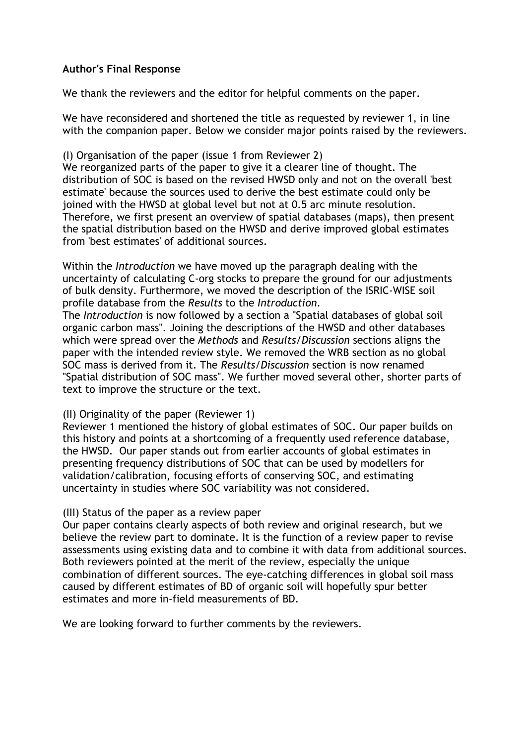# **Author's Final Response**

We thank the reviewers and the editor for helpful comments on the paper.

We have reconsidered and shortened the title as requested by reviewer 1, in line with the companion paper. Below we consider major points raised by the reviewers.

(I) Organisation of the paper (issue 1 from Reviewer 2) We reorganized parts of the paper to give it a clearer line of thought. The distribution of SOC is based on the revised HWSD only and not on the overall 'best estimate' because the sources used to derive the best estimate could only be joined with the HWSD at global level but not at 0.5 arc minute resolution. Therefore, we first present an overview of spatial databases (maps), then present the spatial distribution based on the HWSD and derive improved global estimates from 'best estimates' of additional sources.

Within the *Introduction* we have moved up the paragraph dealing with the uncertainty of calculating C-org stocks to prepare the ground for our adjustments of bulk density. Furthermore, we moved the description of the ISRIC-WISE soil profile database from the *Results* to the *Introduction*.

The *Introduction* is now followed by a section a "Spatial databases of global soil organic carbon mass". Joining the descriptions of the HWSD and other databases which were spread over the *Methods* and *Results/Discussion* sections aligns the paper with the intended review style. We removed the WRB section as no global SOC mass is derived from it. The *Results/Discussion* section is now renamed "Spatial distribution of SOC mass". We further moved several other, shorter parts of text to improve the structure or the text.

# (II) Originality of the paper (Reviewer 1)

Reviewer 1 mentioned the history of global estimates of SOC. Our paper builds on this history and points at a shortcoming of a frequently used reference database, the HWSD. Our paper stands out from earlier accounts of global estimates in presenting frequency distributions of SOC that can be used by modellers for validation/calibration, focusing efforts of conserving SOC, and estimating uncertainty in studies where SOC variability was not considered.

# (III) Status of the paper as a review paper

Our paper contains clearly aspects of both review and original research, but we believe the review part to dominate. It is the function of a review paper to revise assessments using existing data and to combine it with data from additional sources. Both reviewers pointed at the merit of the review, especially the unique combination of different sources. The eye-catching differences in global soil mass caused by different estimates of BD of organic soil will hopefully spur better estimates and more in-field measurements of BD.

We are looking forward to further comments by the reviewers.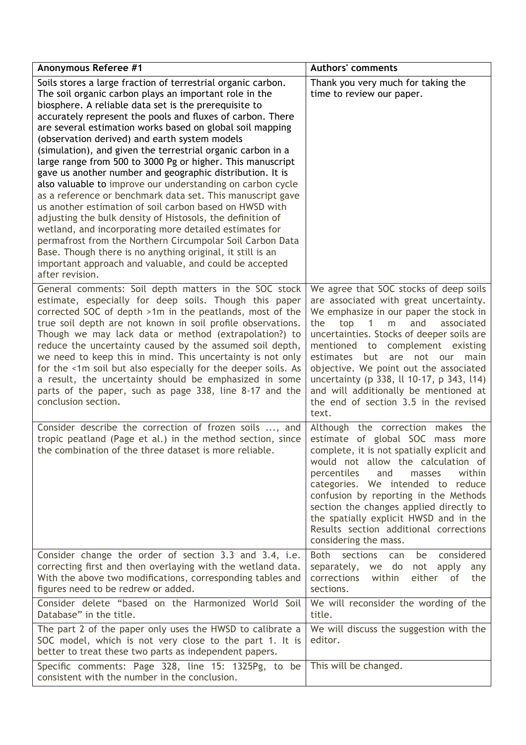| <b>Anonymous Referee #1</b>                                                                                                                                                                                                                                                                                                                                                                                                                                                                                                                                                                                                                                                                                                                                                                                                                                                                                                                                                                                                                                                  | <b>Authors' comments</b>                                                                                                                                                                                                                                                                                                                                                                                                                                                                         |  |  |
|------------------------------------------------------------------------------------------------------------------------------------------------------------------------------------------------------------------------------------------------------------------------------------------------------------------------------------------------------------------------------------------------------------------------------------------------------------------------------------------------------------------------------------------------------------------------------------------------------------------------------------------------------------------------------------------------------------------------------------------------------------------------------------------------------------------------------------------------------------------------------------------------------------------------------------------------------------------------------------------------------------------------------------------------------------------------------|--------------------------------------------------------------------------------------------------------------------------------------------------------------------------------------------------------------------------------------------------------------------------------------------------------------------------------------------------------------------------------------------------------------------------------------------------------------------------------------------------|--|--|
| Soils stores a large fraction of terrestrial organic carbon.<br>The soil organic carbon plays an important role in the<br>biosphere. A reliable data set is the prerequisite to<br>accurately represent the pools and fluxes of carbon. There<br>are several estimation works based on global soil mapping<br>(observation derived) and earth system models<br>(simulation), and given the terrestrial organic carbon in a<br>large range from 500 to 3000 Pg or higher. This manuscript<br>gave us another number and geographic distribution. It is<br>also valuable to improve our understanding on carbon cycle<br>as a reference or benchmark data set. This manuscript gave<br>us another estimation of soil carbon based on HWSD with<br>adjusting the bulk density of Histosols, the definition of<br>wetland, and incorporating more detailed estimates for<br>permafrost from the Northern Circumpolar Soil Carbon Data<br>Base. Though there is no anything original, it still is an<br>important approach and valuable, and could be accepted<br>after revision. | Thank you very much for taking the<br>time to review our paper.                                                                                                                                                                                                                                                                                                                                                                                                                                  |  |  |
| General comments: Soil depth matters in the SOC stock<br>estimate, especially for deep soils. Though this paper<br>corrected SOC of depth >1m in the peatlands, most of the<br>true soil depth are not known in soil profile observations.<br>Though we may lack data or method (extrapolation?) to<br>reduce the uncertainty caused by the assumed soil depth,<br>we need to keep this in mind. This uncertainty is not only<br>for the <1m soil but also especially for the deeper soils. As<br>a result, the uncertainty should be emphasized in some<br>parts of the paper, such as page 338, line 8-17 and the<br>conclusion section.                                                                                                                                                                                                                                                                                                                                                                                                                                   | We agree that SOC stocks of deep soils<br>are associated with great uncertainty.<br>We emphasize in our paper the stock in<br>and<br>top<br>$\mathbf{1}$<br>m<br>the<br>associated<br>uncertainties. Stocks of deeper soils are<br>mentioned<br>to complement existing<br>estimates<br>but are not our<br>main<br>objective. We point out the associated<br>uncertainty (p 338, ll 10-17, p 343, l14)<br>and will additionally be mentioned at<br>the end of section 3.5 in the revised<br>text. |  |  |
| Consider describe the correction of frozen soils , and<br>tropic peatland (Page et al.) in the method section, since<br>the combination of the three dataset is more reliable.                                                                                                                                                                                                                                                                                                                                                                                                                                                                                                                                                                                                                                                                                                                                                                                                                                                                                               | Although the correction makes the<br>estimate of global SOC mass more<br>complete, it is not spatially explicit and<br>would not allow the calculation of<br>percentiles<br>and<br>within<br>masses<br>categories. We intended to reduce<br>confusion by reporting in the Methods<br>section the changes applied directly to<br>the spatially explicit HWSD and in the<br>Results section additional corrections<br>considering the mass.                                                        |  |  |
| Consider change the order of section 3.3 and 3.4, i.e.<br>correcting first and then overlaying with the wetland data.<br>With the above two modifications, corresponding tables and<br>figures need to be redrew or added.                                                                                                                                                                                                                                                                                                                                                                                                                                                                                                                                                                                                                                                                                                                                                                                                                                                   | <b>Both</b><br>sections<br>be<br>considered<br>can<br>separately,<br>we do<br>not<br>apply<br>any<br>corrections<br>either<br>within<br>the<br>0f.<br>sections.                                                                                                                                                                                                                                                                                                                                  |  |  |
| Consider delete "based on the Harmonized World Soil<br>Database" in the title.                                                                                                                                                                                                                                                                                                                                                                                                                                                                                                                                                                                                                                                                                                                                                                                                                                                                                                                                                                                               | We will reconsider the wording of the<br>title.                                                                                                                                                                                                                                                                                                                                                                                                                                                  |  |  |
| The part 2 of the paper only uses the HWSD to calibrate a<br>SOC model, which is not very close to the part 1. It is<br>better to treat these two parts as independent papers.                                                                                                                                                                                                                                                                                                                                                                                                                                                                                                                                                                                                                                                                                                                                                                                                                                                                                               | We will discuss the suggestion with the<br>editor.                                                                                                                                                                                                                                                                                                                                                                                                                                               |  |  |
| Specific comments: Page 328, line 15: 1325Pg, to be<br>consistent with the number in the conclusion.                                                                                                                                                                                                                                                                                                                                                                                                                                                                                                                                                                                                                                                                                                                                                                                                                                                                                                                                                                         | This will be changed.                                                                                                                                                                                                                                                                                                                                                                                                                                                                            |  |  |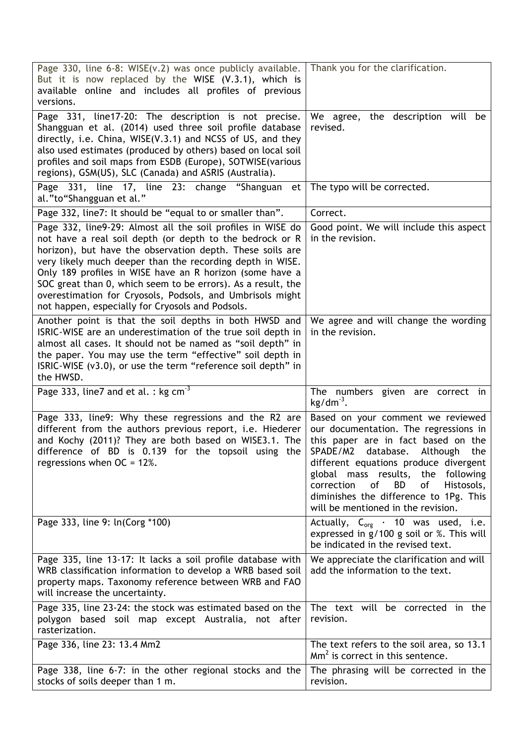| Page 330, line 6-8: WISE(v.2) was once publicly available.<br>But it is now replaced by the WISE (V.3.1), which is<br>available online and includes all profiles of previous<br>versions.                                                                                                                                                                                                                                                                                                      | Thank you for the clarification.                                                                                                                                                                                                                                                                                                                                           |  |  |
|------------------------------------------------------------------------------------------------------------------------------------------------------------------------------------------------------------------------------------------------------------------------------------------------------------------------------------------------------------------------------------------------------------------------------------------------------------------------------------------------|----------------------------------------------------------------------------------------------------------------------------------------------------------------------------------------------------------------------------------------------------------------------------------------------------------------------------------------------------------------------------|--|--|
| Page 331, line17-20: The description is not precise.<br>Shangguan et al. (2014) used three soil profile database<br>directly, i.e. China, WISE(V.3.1) and NCSS of US, and they<br>also used estimates (produced by others) based on local soil<br>profiles and soil maps from ESDB (Europe), SOTWISE(various<br>regions), GSM(US), SLC (Canada) and ASRIS (Australia).                                                                                                                         | We agree, the description will be<br>revised.                                                                                                                                                                                                                                                                                                                              |  |  |
| Page 331, line 17, line 23: change "Shanguan et<br>al."to"Shangguan et al."                                                                                                                                                                                                                                                                                                                                                                                                                    | The typo will be corrected.                                                                                                                                                                                                                                                                                                                                                |  |  |
| Page 332, line7: It should be "equal to or smaller than".                                                                                                                                                                                                                                                                                                                                                                                                                                      | Correct.                                                                                                                                                                                                                                                                                                                                                                   |  |  |
| Page 332, line9-29: Almost all the soil profiles in WISE do<br>not have a real soil depth (or depth to the bedrock or R<br>horizon), but have the observation depth. These soils are<br>very likely much deeper than the recording depth in WISE.<br>Only 189 profiles in WISE have an R horizon (some have a<br>SOC great than 0, which seem to be errors). As a result, the<br>overestimation for Cryosols, Podsols, and Umbrisols might<br>not happen, especially for Cryosols and Podsols. | Good point. We will include this aspect<br>in the revision.                                                                                                                                                                                                                                                                                                                |  |  |
| Another point is that the soil depths in both HWSD and<br>ISRIC-WISE are an underestimation of the true soil depth in<br>almost all cases. It should not be named as "soil depth" in<br>the paper. You may use the term "effective" soil depth in<br>ISRIC-WISE (v3.0), or use the term "reference soil depth" in<br>the HWSD.                                                                                                                                                                 | We agree and will change the wording<br>in the revision.                                                                                                                                                                                                                                                                                                                   |  |  |
| Page 333, line7 and et al. : $kg cm-3$                                                                                                                                                                                                                                                                                                                                                                                                                                                         | The numbers given are correct in<br>$kg/dm-3$ .                                                                                                                                                                                                                                                                                                                            |  |  |
| Page 333, line9: Why these regressions and the R2 are<br>different from the authors previous report, i.e. Hiederer<br>and Kochy (2011)? They are both based on WISE3.1. The<br>difference of BD is 0.139 for the topsoil using the<br>regressions when $OC = 12\%$ .                                                                                                                                                                                                                           | Based on your comment we reviewed<br>our documentation. The regressions in<br>this paper are in fact based on the<br>SPADE/M2<br>database.<br>Although<br>the<br>different equations produce divergent<br>global mass results, the following<br>οf<br>correction<br>BD<br>Histosols,<br>οf<br>diminishes the difference to 1Pg. This<br>will be mentioned in the revision. |  |  |
| Page 333, line 9: ln(Corg *100)                                                                                                                                                                                                                                                                                                                                                                                                                                                                | Actually, $C_{org}$ · 10 was used, i.e.<br>expressed in $g/100$ g soil or %. This will<br>be indicated in the revised text.                                                                                                                                                                                                                                                |  |  |
| Page 335, line 13-17: It lacks a soil profile database with<br>WRB classification information to develop a WRB based soil<br>property maps. Taxonomy reference between WRB and FAO<br>will increase the uncertainty.                                                                                                                                                                                                                                                                           | We appreciate the clarification and will<br>add the information to the text.                                                                                                                                                                                                                                                                                               |  |  |
| Page 335, line 23-24: the stock was estimated based on the<br>polygon based soil map except Australia, not after<br>rasterization.                                                                                                                                                                                                                                                                                                                                                             | The text will be corrected in the<br>revision.                                                                                                                                                                                                                                                                                                                             |  |  |
| Page 336, line 23: 13.4 Mm2                                                                                                                                                                                                                                                                                                                                                                                                                                                                    | The text refers to the soil area, so 13.1<br>$\text{Mm}^2$ is correct in this sentence.                                                                                                                                                                                                                                                                                    |  |  |
| Page 338, line 6-7: in the other regional stocks and the<br>stocks of soils deeper than 1 m.                                                                                                                                                                                                                                                                                                                                                                                                   | The phrasing will be corrected in the<br>revision.                                                                                                                                                                                                                                                                                                                         |  |  |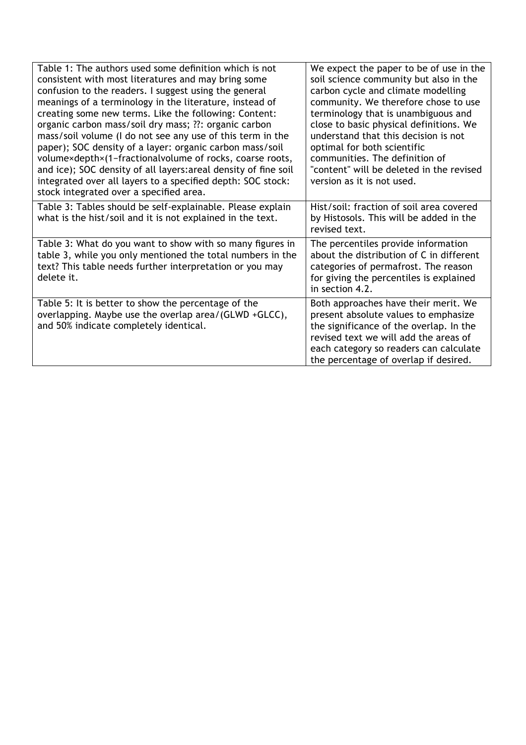| Table 1: The authors used some definition which is not<br>consistent with most literatures and may bring some<br>confusion to the readers. I suggest using the general<br>meanings of a terminology in the literature, instead of<br>creating some new terms. Like the following: Content:<br>organic carbon mass/soil dry mass; ??: organic carbon<br>mass/soil volume (I do not see any use of this term in the<br>paper); SOC density of a layer: organic carbon mass/soil<br>volume×depth×(1-fractionalvolume of rocks, coarse roots,<br>and ice); SOC density of all layers: areal density of fine soil<br>integrated over all layers to a specified depth: SOC stock:<br>stock integrated over a specified area. | We expect the paper to be of use in the<br>soil science community but also in the<br>carbon cycle and climate modelling<br>community. We therefore chose to use<br>terminology that is unambiguous and<br>close to basic physical definitions. We<br>understand that this decision is not<br>optimal for both scientific<br>communities. The definition of<br>"content" will be deleted in the revised<br>version as it is not used. |
|------------------------------------------------------------------------------------------------------------------------------------------------------------------------------------------------------------------------------------------------------------------------------------------------------------------------------------------------------------------------------------------------------------------------------------------------------------------------------------------------------------------------------------------------------------------------------------------------------------------------------------------------------------------------------------------------------------------------|--------------------------------------------------------------------------------------------------------------------------------------------------------------------------------------------------------------------------------------------------------------------------------------------------------------------------------------------------------------------------------------------------------------------------------------|
| Table 3: Tables should be self-explainable. Please explain<br>what is the hist/soil and it is not explained in the text.                                                                                                                                                                                                                                                                                                                                                                                                                                                                                                                                                                                               | Hist/soil: fraction of soil area covered<br>by Histosols. This will be added in the<br>revised text.                                                                                                                                                                                                                                                                                                                                 |
| Table 3: What do you want to show with so many figures in<br>table 3, while you only mentioned the total numbers in the<br>text? This table needs further interpretation or you may<br>delete it.                                                                                                                                                                                                                                                                                                                                                                                                                                                                                                                      | The percentiles provide information<br>about the distribution of C in different<br>categories of permafrost. The reason<br>for giving the percentiles is explained<br>in section 4.2.                                                                                                                                                                                                                                                |
| Table 5: It is better to show the percentage of the<br>overlapping. Maybe use the overlap area/(GLWD +GLCC),<br>and 50% indicate completely identical.                                                                                                                                                                                                                                                                                                                                                                                                                                                                                                                                                                 | Both approaches have their merit. We<br>present absolute values to emphasize<br>the significance of the overlap. In the<br>revised text we will add the areas of<br>each category so readers can calculate<br>the percentage of overlap if desired.                                                                                                                                                                                  |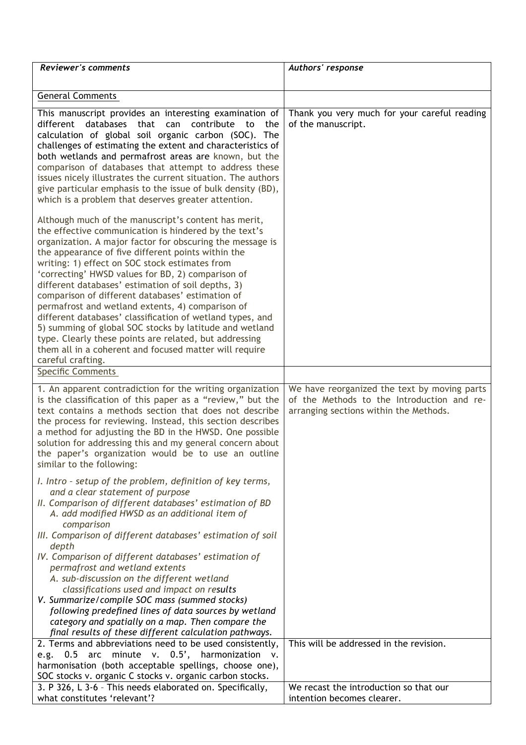| <b>Reviewer's comments</b>                                                                                                                                                                                                                                                                                                                                                                                                                                                                                                                                                                                                                                                                                                                                             | Authors' response                                                                                                                    |
|------------------------------------------------------------------------------------------------------------------------------------------------------------------------------------------------------------------------------------------------------------------------------------------------------------------------------------------------------------------------------------------------------------------------------------------------------------------------------------------------------------------------------------------------------------------------------------------------------------------------------------------------------------------------------------------------------------------------------------------------------------------------|--------------------------------------------------------------------------------------------------------------------------------------|
| <b>General Comments</b>                                                                                                                                                                                                                                                                                                                                                                                                                                                                                                                                                                                                                                                                                                                                                |                                                                                                                                      |
| This manuscript provides an interesting examination of<br>databases<br>that<br>different<br>can<br>contribute<br>to<br>the<br>calculation of global soil organic carbon (SOC). The<br>challenges of estimating the extent and characteristics of<br>both wetlands and permafrost areas are known, but the<br>comparison of databases that attempt to address these<br>issues nicely illustrates the current situation. The authors<br>give particular emphasis to the issue of bulk density (BD),<br>which is a problem that deserves greater attention.                                                                                                                                                                                                               | Thank you very much for your careful reading<br>of the manuscript.                                                                   |
| Although much of the manuscript's content has merit,<br>the effective communication is hindered by the text's<br>organization. A major factor for obscuring the message is<br>the appearance of five different points within the<br>writing: 1) effect on SOC stock estimates from<br>'correcting' HWSD values for BD, 2) comparison of<br>different databases' estimation of soil depths, 3)<br>comparison of different databases' estimation of<br>permafrost and wetland extents, 4) comparison of<br>different databases' classification of wetland types, and<br>5) summing of global SOC stocks by latitude and wetland<br>type. Clearly these points are related, but addressing<br>them all in a coherent and focused matter will require<br>careful crafting. |                                                                                                                                      |
| <b>Specific Comments</b>                                                                                                                                                                                                                                                                                                                                                                                                                                                                                                                                                                                                                                                                                                                                               |                                                                                                                                      |
| 1. An apparent contradiction for the writing organization<br>is the classification of this paper as a "review," but the<br>text contains a methods section that does not describe<br>the process for reviewing. Instead, this section describes<br>a method for adjusting the BD in the HWSD. One possible<br>solution for addressing this and my general concern about<br>the paper's organization would be to use an outline<br>similar to the following:                                                                                                                                                                                                                                                                                                            | We have reorganized the text by moving parts<br>of the Methods to the Introduction and re-<br>arranging sections within the Methods. |
| I. Intro - setup of the problem, definition of key terms,<br>and a clear statement of purpose<br>II. Comparison of different databases' estimation of BD<br>A. add modified HWSD as an additional item of<br>comparison<br>III. Comparison of different databases' estimation of soil<br>depth<br>IV. Comparison of different databases' estimation of<br>permafrost and wetland extents<br>A. sub-discussion on the different wetland<br>classifications used and impact on results<br>V. Summarize/compile SOC mass (summed stocks)<br>following predefined lines of data sources by wetland<br>category and spatially on a map. Then compare the<br>final results of these different calculation pathways.                                                          |                                                                                                                                      |
| 2. Terms and abbreviations need to be used consistently,<br>e.g. 0.5 arc minute v. 0.5', harmonization<br>V.                                                                                                                                                                                                                                                                                                                                                                                                                                                                                                                                                                                                                                                           | This will be addressed in the revision.                                                                                              |
| harmonisation (both acceptable spellings, choose one),<br>SOC stocks v. organic C stocks v. organic carbon stocks.                                                                                                                                                                                                                                                                                                                                                                                                                                                                                                                                                                                                                                                     |                                                                                                                                      |
| 3. P 326, L 3-6 - This needs elaborated on. Specifically,<br>what constitutes 'relevant'?                                                                                                                                                                                                                                                                                                                                                                                                                                                                                                                                                                                                                                                                              | We recast the introduction so that our<br>intention becomes clearer.                                                                 |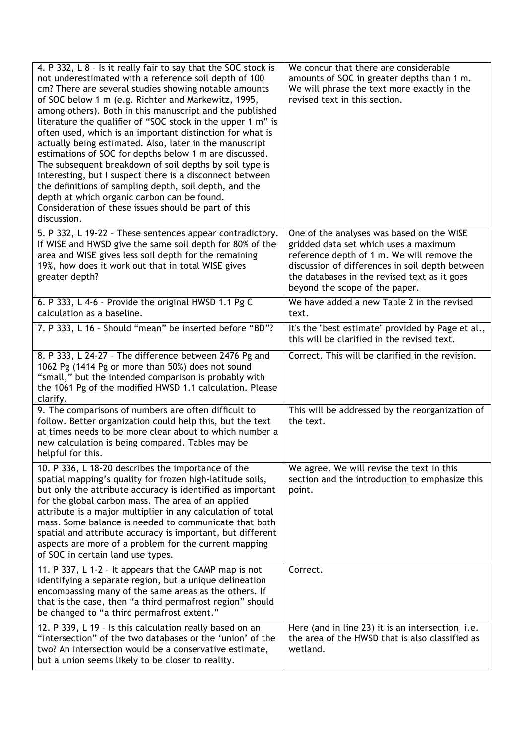| 4. P 332, L 8 - Is it really fair to say that the SOC stock is<br>not underestimated with a reference soil depth of 100<br>cm? There are several studies showing notable amounts<br>of SOC below 1 m (e.g. Richter and Markewitz, 1995,<br>among others). Both in this manuscript and the published<br>literature the qualifier of "SOC stock in the upper 1 m" is<br>often used, which is an important distinction for what is<br>actually being estimated. Also, later in the manuscript<br>estimations of SOC for depths below 1 m are discussed.<br>The subsequent breakdown of soil depths by soil type is<br>interesting, but I suspect there is a disconnect between<br>the definitions of sampling depth, soil depth, and the<br>depth at which organic carbon can be found.<br>Consideration of these issues should be part of this<br>discussion. | We concur that there are considerable<br>amounts of SOC in greater depths than 1 m.<br>We will phrase the text more exactly in the<br>revised text in this section.                                                                                                   |
|-------------------------------------------------------------------------------------------------------------------------------------------------------------------------------------------------------------------------------------------------------------------------------------------------------------------------------------------------------------------------------------------------------------------------------------------------------------------------------------------------------------------------------------------------------------------------------------------------------------------------------------------------------------------------------------------------------------------------------------------------------------------------------------------------------------------------------------------------------------|-----------------------------------------------------------------------------------------------------------------------------------------------------------------------------------------------------------------------------------------------------------------------|
| 5. P 332, L 19-22 - These sentences appear contradictory.<br>If WISE and HWSD give the same soil depth for 80% of the<br>area and WISE gives less soil depth for the remaining<br>19%, how does it work out that in total WISE gives<br>greater depth?                                                                                                                                                                                                                                                                                                                                                                                                                                                                                                                                                                                                      | One of the analyses was based on the WISE<br>gridded data set which uses a maximum<br>reference depth of 1 m. We will remove the<br>discussion of differences in soil depth between<br>the databases in the revised text as it goes<br>beyond the scope of the paper. |
| 6. P 333, L 4-6 - Provide the original HWSD 1.1 Pg C<br>calculation as a baseline.                                                                                                                                                                                                                                                                                                                                                                                                                                                                                                                                                                                                                                                                                                                                                                          | We have added a new Table 2 in the revised<br>text.                                                                                                                                                                                                                   |
| 7. P 333, L 16 - Should "mean" be inserted before "BD"?                                                                                                                                                                                                                                                                                                                                                                                                                                                                                                                                                                                                                                                                                                                                                                                                     | It's the "best estimate" provided by Page et al.,<br>this will be clarified in the revised text.                                                                                                                                                                      |
| 8. P 333, L 24-27 - The difference between 2476 Pg and<br>1062 Pg (1414 Pg or more than 50%) does not sound<br>"small," but the intended comparison is probably with<br>the 1061 Pg of the modified HWSD 1.1 calculation. Please<br>clarify.                                                                                                                                                                                                                                                                                                                                                                                                                                                                                                                                                                                                                | Correct. This will be clarified in the revision.                                                                                                                                                                                                                      |
| 9. The comparisons of numbers are often difficult to<br>follow. Better organization could help this, but the text<br>at times needs to be more clear about to which number a<br>new calculation is being compared. Tables may be<br>helpful for this.                                                                                                                                                                                                                                                                                                                                                                                                                                                                                                                                                                                                       | This will be addressed by the reorganization of<br>the text.                                                                                                                                                                                                          |
| 10. P 336, L 18-20 describes the importance of the<br>spatial mapping's quality for frozen high-latitude soils,<br>but only the attribute accuracy is identified as important<br>for the global carbon mass. The area of an applied<br>attribute is a major multiplier in any calculation of total<br>mass. Some balance is needed to communicate that both<br>spatial and attribute accuracy is important, but different<br>aspects are more of a problem for the current mapping<br>of SOC in certain land use types.                                                                                                                                                                                                                                                                                                                                     | We agree. We will revise the text in this<br>section and the introduction to emphasize this<br>point.                                                                                                                                                                 |
| 11. P 337, L 1-2 - It appears that the CAMP map is not<br>identifying a separate region, but a unique delineation<br>encompassing many of the same areas as the others. If<br>that is the case, then "a third permafrost region" should<br>be changed to "a third permafrost extent."                                                                                                                                                                                                                                                                                                                                                                                                                                                                                                                                                                       | Correct.                                                                                                                                                                                                                                                              |
| 12. P 339, L 19 - Is this calculation really based on an<br>"intersection" of the two databases or the 'union' of the<br>two? An intersection would be a conservative estimate,<br>but a union seems likely to be closer to reality.                                                                                                                                                                                                                                                                                                                                                                                                                                                                                                                                                                                                                        | Here (and in line 23) it is an intersection, i.e.<br>the area of the HWSD that is also classified as<br>wetland.                                                                                                                                                      |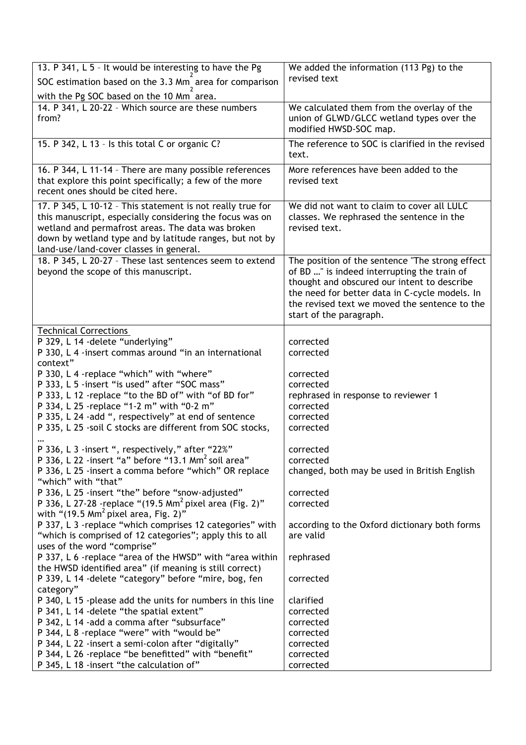| 13. P 341, L 5 - It would be interesting to have the Pg                                                              | We added the information (113 Pg) to the                   |  |
|----------------------------------------------------------------------------------------------------------------------|------------------------------------------------------------|--|
| SOC estimation based on the 3.3 Mm <sub>,</sub> area for comparison                                                  | revised text                                               |  |
| with the Pg SOC based on the 10 Mm area.                                                                             |                                                            |  |
| 14. P 341, L 20-22 - Which source are these numbers                                                                  | We calculated them from the overlay of the                 |  |
| from?                                                                                                                | union of GLWD/GLCC wetland types over the                  |  |
|                                                                                                                      | modified HWSD-SOC map.                                     |  |
| 15. P 342, L 13 - Is this total C or organic C?                                                                      | The reference to SOC is clarified in the revised           |  |
|                                                                                                                      | text.                                                      |  |
| 16. P 344, L 11-14 - There are many possible references                                                              | More references have been added to the                     |  |
| that explore this point specifically; a few of the more<br>recent ones should be cited here.                         | revised text                                               |  |
|                                                                                                                      |                                                            |  |
| 17. P 345, L 10-12 - This statement is not really true for                                                           | We did not want to claim to cover all LULC                 |  |
| this manuscript, especially considering the focus was on                                                             | classes. We rephrased the sentence in the                  |  |
| wetland and permafrost areas. The data was broken<br>down by wetland type and by latitude ranges, but not by         | revised text.                                              |  |
| land-use/land-cover classes in general.                                                                              |                                                            |  |
| 18. P 345, L 20-27 - These last sentences seem to extend                                                             | The position of the sentence "The strong effect            |  |
| beyond the scope of this manuscript.                                                                                 | of BD " is indeed interrupting the train of                |  |
|                                                                                                                      | thought and obscured our intent to describe                |  |
|                                                                                                                      | the need for better data in C-cycle models. In             |  |
|                                                                                                                      | the revised text we moved the sentence to the              |  |
|                                                                                                                      | start of the paragraph.                                    |  |
| <b>Technical Corrections</b>                                                                                         |                                                            |  |
| P 329, L 14 - delete "underlying"                                                                                    | corrected                                                  |  |
| P 330, L 4 -insert commas around "in an international                                                                | corrected                                                  |  |
| context"                                                                                                             |                                                            |  |
| P 330, L 4 -replace "which" with "where"                                                                             | corrected                                                  |  |
| P 333, L 5 -insert "is used" after "SOC mass"                                                                        | corrected                                                  |  |
| P 333, L 12 -replace "to the BD of" with "of BD for"                                                                 | rephrased in response to reviewer 1                        |  |
| P 334, L 25 -replace "1-2 m" with "0-2 m"<br>P 335, L 24 -add ", respectively" at end of sentence                    | corrected<br>corrected                                     |  |
| P 335, L 25 -soil C stocks are different from SOC stocks,                                                            | corrected                                                  |  |
|                                                                                                                      |                                                            |  |
| P 336, L 3 -insert ", respectively," after "22%"                                                                     | corrected                                                  |  |
| P 336, L 22 -insert "a" before "13.1 Mm <sup>2</sup> soil area"                                                      | corrected                                                  |  |
| P 336, L 25 -insert a comma before "which" OR replace                                                                | changed, both may be used in British English               |  |
| "which" with "that"                                                                                                  |                                                            |  |
| P 336, L 25 -insert "the" before "snow-adjusted"                                                                     | corrected                                                  |  |
| P 336, L 27-28 - replace "(19.5 Mm <sup>2</sup> pixel area (Fig. 2)"                                                 | corrected                                                  |  |
| with " $(19.5 \text{ Mm}^2 \text{ pixel area}, \text{Fig. 2})$ "                                                     |                                                            |  |
| P 337, L 3 -replace "which comprises 12 categories" with<br>"which is comprised of 12 categories"; apply this to all | according to the Oxford dictionary both forms<br>are valid |  |
| uses of the word "comprise"                                                                                          |                                                            |  |
| P 337, L 6 - replace "area of the HWSD" with "area within                                                            | rephrased                                                  |  |
| the HWSD identified area" (if meaning is still correct)                                                              |                                                            |  |
| P 339, L 14 -delete "category" before "mire, bog, fen                                                                | corrected                                                  |  |
| category"                                                                                                            |                                                            |  |
| P 340, L 15 -please add the units for numbers in this line                                                           | clarified                                                  |  |
| P 341, L 14 - delete "the spatial extent"                                                                            | corrected                                                  |  |
| P 342, L 14 - add a comma after "subsurface"                                                                         | corrected                                                  |  |
| P 344, L 8 - replace "were" with "would be"                                                                          | corrected                                                  |  |
| P 344, L 22 -insert a semi-colon after "digitally"                                                                   | corrected                                                  |  |
| P 344, L 26 - replace "be benefitted" with "benefit"                                                                 | corrected                                                  |  |
| P 345, L 18 -insert "the calculation of"                                                                             | corrected                                                  |  |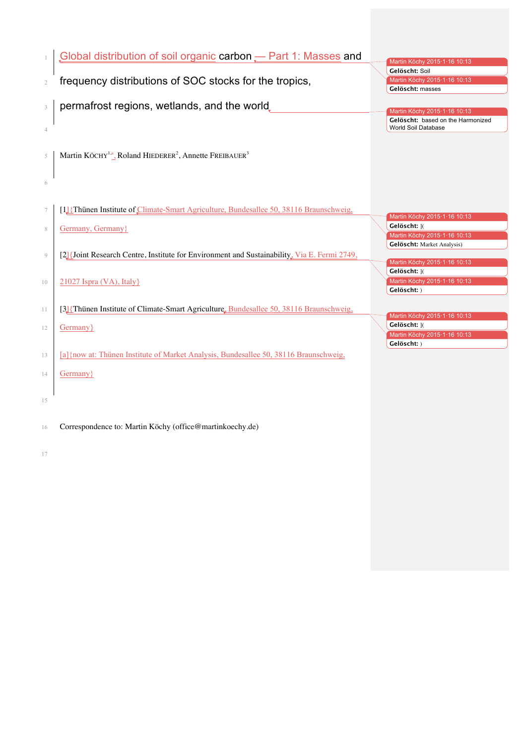| $\mathbf{1}$   | Global distribution of soil organic carbon - Part 1: Masses and                                    | Martin Köchy 2015·1·16 10:13                                                      |
|----------------|----------------------------------------------------------------------------------------------------|-----------------------------------------------------------------------------------|
| $\mathfrak{2}$ | frequency distributions of SOC stocks for the tropics,                                             | Gelöscht: Soil<br>Martin Köchy 2015·1·16 10:13<br>Gelöscht: masses                |
| $\mathfrak{Z}$ | permafrost regions, wetlands, and the world.                                                       | Martin Köchy 2015·1·16 10:13                                                      |
| $\overline{4}$ |                                                                                                    | Gelöscht: based on the Harmonized<br>World Soil Database                          |
| 5              | Martin KÖCHY <sup>1,a</sup> , Roland HIEDERER <sup>2</sup> , Annette FREIBAUER <sup>3</sup>        |                                                                                   |
| 6              |                                                                                                    |                                                                                   |
| $\tau$         | [1] {Thünen Institute of Climate-Smart Agriculture, Bundesallee 50, 38116 Braunschweig,            | Martin Köchy 2015·1·16 10:13                                                      |
| 8              | Germany, Germany}                                                                                  | Gelöscht: 10<br>Martin Köchy 2015·1·16 10:13<br><b>Gelöscht:</b> Market Analysis) |
| $\overline{9}$ | [2] [Joint Research Centre, Institute for Environment and Sustainability, Via E. Fermi 2749,       | Martin Köchy 2015·1·16 10:13<br>Gelöscht: 10                                      |
| 10             | 21027 Ispra (VA), Italy}                                                                           | Martin Köchy 2015·1·16 10:13<br>Gelöscht: )                                       |
| 11             | [3] {Thünen Institute of Climate-Smart Agriculture, Bundesallee 50, 38116 Braunschweig,            | Martin Köchy 2015·1·16 10:13                                                      |
| 12             | Germany }                                                                                          | Gelöscht: 10<br>Martin Köchy 2015·1·16 10:13<br>Gelöscht: )                       |
| 13<br>14       | [a] {now at: Thünen Institute of Market Analysis, Bundesallee 50, 38116 Braunschweig,<br>Germany } |                                                                                   |
| 15             |                                                                                                    |                                                                                   |
|                |                                                                                                    |                                                                                   |
| 16             | Correspondence to: Martin Köchy (office@martinkoechy.de)                                           |                                                                                   |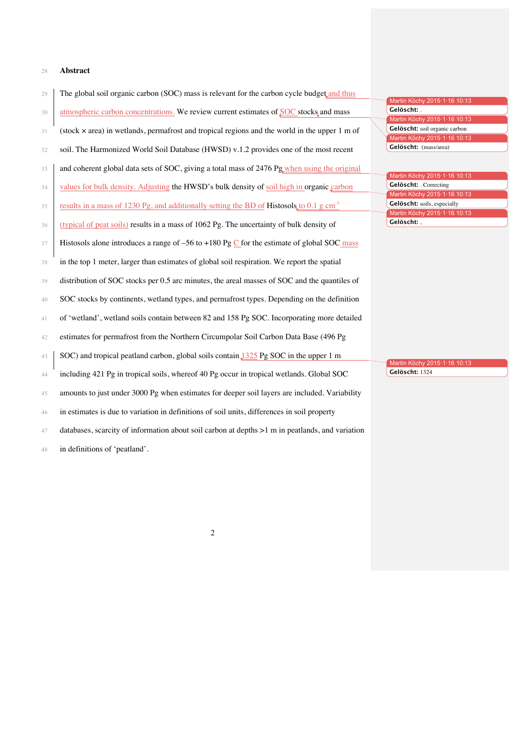## **Abstract**

| Gelöscht: .<br>atmospheric carbon concentrations. We review current estimates of SOC stocks and mass<br>30<br>Martin Köchy 2015·1·16 10:13<br>Gelöscht: soil organic carbon<br>(stock $\times$ area) in wetlands, permafrost and tropical regions and the world in the upper 1 m of<br>31<br>Martin Köchy 2015.1.16 10:13<br>soil. The Harmonized World Soil Database (HWSD) v.1.2 provides one of the most recent<br>32<br>and coherent global data sets of SOC, giving a total mass of 2476 Pg when using the original<br>33<br>Gelöscht: . Correcting<br>values for bulk density. Adjusting the HWSD's bulk density of soil high in organic carbon<br>34<br>results in a mass of 1230 Pg, and additionally setting the BD of Histosols to 0.1 g cm <sup>3</sup><br>35<br>Gelöscht:,<br>(typical of peat soils) results in a mass of 1062 Pg. The uncertainty of bulk density of<br>36<br>Histosols alone introduces a range of $-56$ to $+180$ Pg C for the estimate of global SOC mass<br>37<br>in the top 1 meter, larger than estimates of global soil respiration. We report the spatial<br>38<br>distribution of SOC stocks per 0.5 arc minutes, the areal masses of SOC and the quantiles of<br>39<br>SOC stocks by continents, wetland types, and permafrost types. Depending on the definition<br>40<br>of 'wetland', wetland soils contain between 82 and 158 Pg SOC. Incorporating more detailed<br>41<br>estimates for permafrost from the Northern Circumpolar Soil Carbon Data Base (496 Pg<br>42<br>SOC) and tropical peatland carbon, global soils contain 1325 Pg SOC in the upper 1 m<br>43<br>Gelöscht: 1324<br>including 421 Pg in tropical soils, whereof 40 Pg occur in tropical wetlands. Global SOC<br>44<br>amounts to just under 3000 Pg when estimates for deeper soil layers are included. Variability<br>45<br>in estimates is due to variation in definitions of soil units, differences in soil property<br>46<br>databases, scarcity of information about soil carbon at depths $>1$ m in peatlands, and variation<br>47<br>in definitions of 'peatland'.<br>48 |                              |  |
|---------------------------------------------------------------------------------------------------------------------------------------------------------------------------------------------------------------------------------------------------------------------------------------------------------------------------------------------------------------------------------------------------------------------------------------------------------------------------------------------------------------------------------------------------------------------------------------------------------------------------------------------------------------------------------------------------------------------------------------------------------------------------------------------------------------------------------------------------------------------------------------------------------------------------------------------------------------------------------------------------------------------------------------------------------------------------------------------------------------------------------------------------------------------------------------------------------------------------------------------------------------------------------------------------------------------------------------------------------------------------------------------------------------------------------------------------------------------------------------------------------------------------------------------------------------------------------------------------------------------------------------------------------------------------------------------------------------------------------------------------------------------------------------------------------------------------------------------------------------------------------------------------------------------------------------------------------------------------------------------------------------------------------------------------------------------------------------------------|------------------------------|--|
|                                                                                                                                                                                                                                                                                                                                                                                                                                                                                                                                                                                                                                                                                                                                                                                                                                                                                                                                                                                                                                                                                                                                                                                                                                                                                                                                                                                                                                                                                                                                                                                                                                                                                                                                                                                                                                                                                                                                                                                                                                                                                                   | Martin Köchy 2015·1·16 10:13 |  |
|                                                                                                                                                                                                                                                                                                                                                                                                                                                                                                                                                                                                                                                                                                                                                                                                                                                                                                                                                                                                                                                                                                                                                                                                                                                                                                                                                                                                                                                                                                                                                                                                                                                                                                                                                                                                                                                                                                                                                                                                                                                                                                   |                              |  |
|                                                                                                                                                                                                                                                                                                                                                                                                                                                                                                                                                                                                                                                                                                                                                                                                                                                                                                                                                                                                                                                                                                                                                                                                                                                                                                                                                                                                                                                                                                                                                                                                                                                                                                                                                                                                                                                                                                                                                                                                                                                                                                   |                              |  |
|                                                                                                                                                                                                                                                                                                                                                                                                                                                                                                                                                                                                                                                                                                                                                                                                                                                                                                                                                                                                                                                                                                                                                                                                                                                                                                                                                                                                                                                                                                                                                                                                                                                                                                                                                                                                                                                                                                                                                                                                                                                                                                   |                              |  |
|                                                                                                                                                                                                                                                                                                                                                                                                                                                                                                                                                                                                                                                                                                                                                                                                                                                                                                                                                                                                                                                                                                                                                                                                                                                                                                                                                                                                                                                                                                                                                                                                                                                                                                                                                                                                                                                                                                                                                                                                                                                                                                   | Gelöscht: (mass/area)        |  |
|                                                                                                                                                                                                                                                                                                                                                                                                                                                                                                                                                                                                                                                                                                                                                                                                                                                                                                                                                                                                                                                                                                                                                                                                                                                                                                                                                                                                                                                                                                                                                                                                                                                                                                                                                                                                                                                                                                                                                                                                                                                                                                   |                              |  |
|                                                                                                                                                                                                                                                                                                                                                                                                                                                                                                                                                                                                                                                                                                                                                                                                                                                                                                                                                                                                                                                                                                                                                                                                                                                                                                                                                                                                                                                                                                                                                                                                                                                                                                                                                                                                                                                                                                                                                                                                                                                                                                   | Martin Köchy 2015·1·16 10:13 |  |
|                                                                                                                                                                                                                                                                                                                                                                                                                                                                                                                                                                                                                                                                                                                                                                                                                                                                                                                                                                                                                                                                                                                                                                                                                                                                                                                                                                                                                                                                                                                                                                                                                                                                                                                                                                                                                                                                                                                                                                                                                                                                                                   |                              |  |
|                                                                                                                                                                                                                                                                                                                                                                                                                                                                                                                                                                                                                                                                                                                                                                                                                                                                                                                                                                                                                                                                                                                                                                                                                                                                                                                                                                                                                                                                                                                                                                                                                                                                                                                                                                                                                                                                                                                                                                                                                                                                                                   | Martin Köchy 2015-1-16 10:13 |  |
|                                                                                                                                                                                                                                                                                                                                                                                                                                                                                                                                                                                                                                                                                                                                                                                                                                                                                                                                                                                                                                                                                                                                                                                                                                                                                                                                                                                                                                                                                                                                                                                                                                                                                                                                                                                                                                                                                                                                                                                                                                                                                                   | Gelöscht: soils, especially  |  |
|                                                                                                                                                                                                                                                                                                                                                                                                                                                                                                                                                                                                                                                                                                                                                                                                                                                                                                                                                                                                                                                                                                                                                                                                                                                                                                                                                                                                                                                                                                                                                                                                                                                                                                                                                                                                                                                                                                                                                                                                                                                                                                   | Martin Köchy 2015-1-16 10:13 |  |
|                                                                                                                                                                                                                                                                                                                                                                                                                                                                                                                                                                                                                                                                                                                                                                                                                                                                                                                                                                                                                                                                                                                                                                                                                                                                                                                                                                                                                                                                                                                                                                                                                                                                                                                                                                                                                                                                                                                                                                                                                                                                                                   |                              |  |
|                                                                                                                                                                                                                                                                                                                                                                                                                                                                                                                                                                                                                                                                                                                                                                                                                                                                                                                                                                                                                                                                                                                                                                                                                                                                                                                                                                                                                                                                                                                                                                                                                                                                                                                                                                                                                                                                                                                                                                                                                                                                                                   |                              |  |
|                                                                                                                                                                                                                                                                                                                                                                                                                                                                                                                                                                                                                                                                                                                                                                                                                                                                                                                                                                                                                                                                                                                                                                                                                                                                                                                                                                                                                                                                                                                                                                                                                                                                                                                                                                                                                                                                                                                                                                                                                                                                                                   |                              |  |
|                                                                                                                                                                                                                                                                                                                                                                                                                                                                                                                                                                                                                                                                                                                                                                                                                                                                                                                                                                                                                                                                                                                                                                                                                                                                                                                                                                                                                                                                                                                                                                                                                                                                                                                                                                                                                                                                                                                                                                                                                                                                                                   |                              |  |
|                                                                                                                                                                                                                                                                                                                                                                                                                                                                                                                                                                                                                                                                                                                                                                                                                                                                                                                                                                                                                                                                                                                                                                                                                                                                                                                                                                                                                                                                                                                                                                                                                                                                                                                                                                                                                                                                                                                                                                                                                                                                                                   |                              |  |
|                                                                                                                                                                                                                                                                                                                                                                                                                                                                                                                                                                                                                                                                                                                                                                                                                                                                                                                                                                                                                                                                                                                                                                                                                                                                                                                                                                                                                                                                                                                                                                                                                                                                                                                                                                                                                                                                                                                                                                                                                                                                                                   |                              |  |
|                                                                                                                                                                                                                                                                                                                                                                                                                                                                                                                                                                                                                                                                                                                                                                                                                                                                                                                                                                                                                                                                                                                                                                                                                                                                                                                                                                                                                                                                                                                                                                                                                                                                                                                                                                                                                                                                                                                                                                                                                                                                                                   |                              |  |
|                                                                                                                                                                                                                                                                                                                                                                                                                                                                                                                                                                                                                                                                                                                                                                                                                                                                                                                                                                                                                                                                                                                                                                                                                                                                                                                                                                                                                                                                                                                                                                                                                                                                                                                                                                                                                                                                                                                                                                                                                                                                                                   |                              |  |
|                                                                                                                                                                                                                                                                                                                                                                                                                                                                                                                                                                                                                                                                                                                                                                                                                                                                                                                                                                                                                                                                                                                                                                                                                                                                                                                                                                                                                                                                                                                                                                                                                                                                                                                                                                                                                                                                                                                                                                                                                                                                                                   |                              |  |
|                                                                                                                                                                                                                                                                                                                                                                                                                                                                                                                                                                                                                                                                                                                                                                                                                                                                                                                                                                                                                                                                                                                                                                                                                                                                                                                                                                                                                                                                                                                                                                                                                                                                                                                                                                                                                                                                                                                                                                                                                                                                                                   |                              |  |
|                                                                                                                                                                                                                                                                                                                                                                                                                                                                                                                                                                                                                                                                                                                                                                                                                                                                                                                                                                                                                                                                                                                                                                                                                                                                                                                                                                                                                                                                                                                                                                                                                                                                                                                                                                                                                                                                                                                                                                                                                                                                                                   |                              |  |
|                                                                                                                                                                                                                                                                                                                                                                                                                                                                                                                                                                                                                                                                                                                                                                                                                                                                                                                                                                                                                                                                                                                                                                                                                                                                                                                                                                                                                                                                                                                                                                                                                                                                                                                                                                                                                                                                                                                                                                                                                                                                                                   | Martin Köchy 2015·1·16 10:13 |  |
|                                                                                                                                                                                                                                                                                                                                                                                                                                                                                                                                                                                                                                                                                                                                                                                                                                                                                                                                                                                                                                                                                                                                                                                                                                                                                                                                                                                                                                                                                                                                                                                                                                                                                                                                                                                                                                                                                                                                                                                                                                                                                                   |                              |  |
|                                                                                                                                                                                                                                                                                                                                                                                                                                                                                                                                                                                                                                                                                                                                                                                                                                                                                                                                                                                                                                                                                                                                                                                                                                                                                                                                                                                                                                                                                                                                                                                                                                                                                                                                                                                                                                                                                                                                                                                                                                                                                                   |                              |  |
|                                                                                                                                                                                                                                                                                                                                                                                                                                                                                                                                                                                                                                                                                                                                                                                                                                                                                                                                                                                                                                                                                                                                                                                                                                                                                                                                                                                                                                                                                                                                                                                                                                                                                                                                                                                                                                                                                                                                                                                                                                                                                                   |                              |  |
|                                                                                                                                                                                                                                                                                                                                                                                                                                                                                                                                                                                                                                                                                                                                                                                                                                                                                                                                                                                                                                                                                                                                                                                                                                                                                                                                                                                                                                                                                                                                                                                                                                                                                                                                                                                                                                                                                                                                                                                                                                                                                                   |                              |  |
|                                                                                                                                                                                                                                                                                                                                                                                                                                                                                                                                                                                                                                                                                                                                                                                                                                                                                                                                                                                                                                                                                                                                                                                                                                                                                                                                                                                                                                                                                                                                                                                                                                                                                                                                                                                                                                                                                                                                                                                                                                                                                                   |                              |  |
|                                                                                                                                                                                                                                                                                                                                                                                                                                                                                                                                                                                                                                                                                                                                                                                                                                                                                                                                                                                                                                                                                                                                                                                                                                                                                                                                                                                                                                                                                                                                                                                                                                                                                                                                                                                                                                                                                                                                                                                                                                                                                                   |                              |  |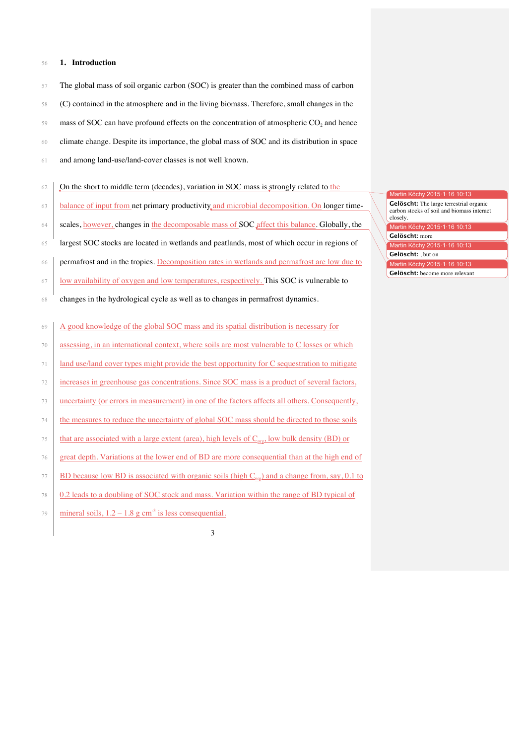### 56 **1. Introduction**

- 57 The global mass of soil organic carbon (SOC) is greater than the combined mass of carbon 58 (C) contained in the atmosphere and in the living biomass. Therefore, small changes in the  $59$  mass of SOC can have profound effects on the concentration of atmospheric CO<sub>2</sub> and hence 60 climate change. Despite its importance, the global mass of SOC and its distribution in space 61 and among land-use/land-cover classes is not well known.
- 62  $\int$  On the short to middle term (decades), variation in SOC mass is strongly related to the
- 63 balance of input from net primary productivity and microbial decomposition. On longer time-
- 64 scales, however, changes in the decomposable mass of SOC affect this balance. Globally, the
- 65 largest SOC stocks are located in wetlands and peatlands, most of which occur in regions of
- 66 permafrost and in the tropics. Decomposition rates in wetlands and permafrost are low due to
- 67 low availability of oxygen and low temperatures, respectively. This SOC is vulnerable to
- 68 changes in the hydrological cycle as well as to changes in permafrost dynamics.

69 A good knowledge of the global SOC mass and its spatial distribution is necessary for

- 70 assessing, in an international context, where soils are most vulnerable to C losses or which
- 71 land use/land cover types might provide the best opportunity for C sequestration to mitigate
- 72 increases in greenhouse gas concentrations. Since SOC mass is a product of several factors,
- 73 uncertainty (or errors in measurement) in one of the factors affects all others. Consequently,
- 74 the measures to reduce the uncertainty of global SOC mass should be directed to those soils
- that are associated with a large extent (area), high levels of  $C_{org}$ , low bulk density (BD) or
- 76 great depth. Variations at the lower end of BD are more consequential than at the high end of
- 77 BD because low BD is associated with organic soils (high  $C_{\text{ore}}$ ) and a change from, say, 0.1 to
- 78 0.2 leads to a doubling of SOC stock and mass. Variation within the range of BD typical of
- $\frac{m}{\text{linear}}$  soils,  $1.2 1.8$  g cm<sup>-3</sup> is less consequential.

- Martin Köchy 2015·1·16 10:13 Gelöscht: The large terrestrial organic carbon stocks of soil and biomass interact closely. Martin Köchy 2015·1·16 10:13 83 **Gelöscht:** more Martin Köchy 2015·1·16 10:13 84 **Gelöscht:** , but on Martin Köchy 2015·1·16 10:13
- Gelöscht: become more relevant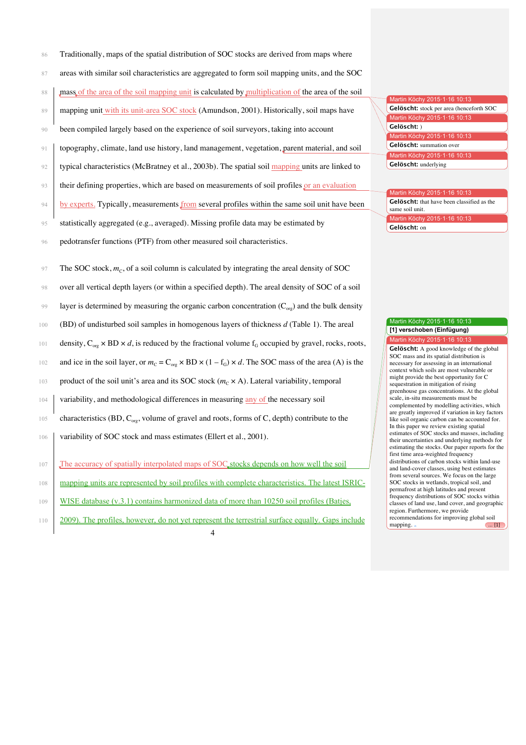- 86 Traditionally, maps of the spatial distribution of SOC stocks are derived from maps where
- 87 areas with similar soil characteristics are aggregated to form soil mapping units, and the SOC
- 88 mass of the area of the soil mapping unit is calculated by multiplication of the area of the soil
- 89 mapping unit with its unit-area SOC stock (Amundson, 2001). Historically, soil maps have
- 90 been compiled largely based on the experience of soil surveyors, taking into account
- 91 topography, climate, land use history, land management, vegetation, parent material, and soil
- 92 typical characteristics (McBratney et al., 2003b). The spatial soil mapping units are linked to
- 93 their defining properties, which are based on measurements of soil profiles or an evaluation
- 94 by experts. Typically, measurements from several profiles within the same soil unit have been
- 95 statistically aggregated (e.g., averaged). Missing profile data may be estimated by
- 96 pedotransfer functions (PTF) from other measured soil characteristics.
- $\gamma$ <sup>97</sup> The SOC stock,  $m_c$ , of a soil column is calculated by integrating the areal density of SOC
- 98 over all vertical depth layers (or within a specified depth). The areal density of SOC of a soil
- layer is determined by measuring the organic carbon concentration  $(C_{\alpha s})$  and the bulk density
- 100 (BD) of undisturbed soil samples in homogenous layers of thickness *d* (Table 1). The areal
- 101 density,  $C_{\text{org}} \times BD \times d$ , is reduced by the fractional volume  $f_G$  occupied by gravel, rocks, roots,
- 102 and ice in the soil layer, or  $m_C = C_{org} \times BD \times (1 f_G) \times d$ . The SOC mass of the area (A) is the
- 103 product of the soil unit's area and its SOC stock  $(m_C \times A)$ . Lateral variability, temporal
- 104 variability, and methodological differences in measuring any of the necessary soil
- 105 characteristics (BD,  $C_{\text{or}}$ , volume of gravel and roots, forms of C, depth) contribute to the
- 106 variability of SOC stock and mass estimates (Ellert et al., 2001).
- 107 The accuracy of spatially interpolated maps of SOC stocks depends on how well the soil
- 108 mapping units are represented by soil profiles with complete characteristics. The latest ISRIC-
- 109 WISE database (v.3.1) contains harmonized data of more than 10250 soil profiles (Batjes,
- 110 2009). The profiles, however, do not yet represent the terrestrial surface equally. Gaps include

Martin Köchy 2015·1·16 10:13 111 **Gelöscht:** stock per area (henceforth SOC Martin Köchy 2015·1·16 10:13 112 **Gelöscht:** ) Martin Köchy 2015·1·16 10:13 **Gelöscht:** summation over Martin Köchy 2015·1·16 10:13 **Gelöscht:** underlying

#### Martin Köchy 2015·1·16 10:13 Gelöscht: that have been classified as the same soil unit. Aartin Köchy 117 **Gelöscht:** on

#### Martin Köchy 2015·1·16 10:13 **[1] verschoben (Einfügung)**

Martin Köchy 2015·1·16 10:13 Gelöscht: A good knowledge of the global SOC mass and its spatial distribution is necessary for assessing in an international context which soils are most vulnerable or might provide the best opportunity for C sequestration in mitigation of rising greenhouse gas concentrations. At the global scale, in-situ measurements must be complemented by modelling activities, which are greatly improved if variation in key factors like soil organic carbon can be accounted for. In this paper we review existing spatial estimates of SOC stocks and masses, including their uncertainties and underlying methods for estimating the stocks. Our paper reports for the first time area-weighted frequency distributions of carbon stocks within land-use and land-cover classes, using best estimates from several sources. We focus on the large SOC stocks in wetlands, tropical soil, and permafrost at high latitudes and present 139 frequency distributions of SOC stocks within classes of land use, land cover, and geographic region. Furthermore, we provide recommendations for improving global soil mapping. . (11)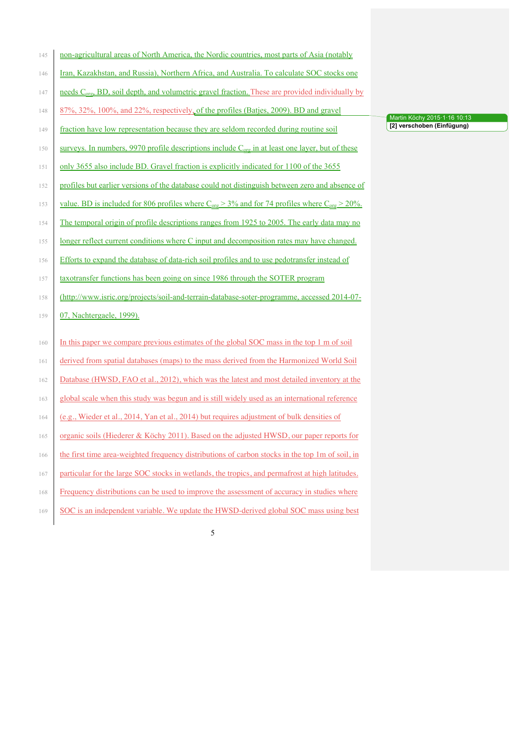| 145 | non-agricultural areas of North America, the Nordic countries, most parts of Asia (notably                                                                |
|-----|-----------------------------------------------------------------------------------------------------------------------------------------------------------|
| 146 | Iran, Kazakhstan, and Russia), Northern Africa, and Australia. To calculate SOC stocks one                                                                |
| 147 | needs C <sub>org</sub> , BD, soil depth, and volumetric gravel fraction. These are provided individually by                                               |
| 148 | 87%, 32%, 100%, and 22%, respectively, of the profiles (Batjes, 2009). BD and gravel                                                                      |
| 149 | fraction have low representation because they are seldom recorded during routine soil                                                                     |
| 150 | surveys. In numbers, 9970 profile descriptions include $C_{org}$ in at least one layer, but of these                                                      |
| 151 | only 3655 also include BD. Gravel fraction is explicitly indicated for 1100 of the 3655                                                                   |
| 152 | profiles but earlier versions of the database could not distinguish between zero and absence of                                                           |
| 153 | <u>value. BD is included for 806 profiles where <math>C_{\text{org}} &gt; 3\%</math> and for 74 profiles where <math>C_{\text{org}} &gt; 20\%</math>.</u> |
| 154 | The temporal origin of profile descriptions ranges from 1925 to 2005. The early data may no                                                               |
| 155 | longer reflect current conditions where C input and decomposition rates may have changed.                                                                 |
| 156 | Efforts to expand the database of data-rich soil profiles and to use pedotransfer instead of                                                              |
| 157 | taxotransfer functions has been going on since 1986 through the SOTER program                                                                             |
| 158 | (http://www.isric.org/projects/soil-and-terrain-database-soter-programme, accessed 2014-07-                                                               |
| 159 | 07, Nachtergaele, 1999).                                                                                                                                  |
| 160 | In this paper we compare previous estimates of the global SOC mass in the top 1 m of soil                                                                 |
| 161 | derived from spatial databases (maps) to the mass derived from the Harmonized World Soil                                                                  |
| 162 | Database (HWSD, FAO et al., 2012), which was the latest and most detailed inventory at the                                                                |
| 163 | global scale when this study was begun and is still widely used as an international reference                                                             |
| 164 | (e.g., Wieder et al., 2014, Yan et al., 2014) but requires adjustment of bulk densities of                                                                |
| 165 | organic soils (Hiederer & Köchy 2011). Based on the adjusted HWSD, our paper reports for                                                                  |
| 166 | the first time area-weighted frequency distributions of carbon stocks in the top 1m of soil, in                                                           |
| 167 | particular for the large SOC stocks in wetlands, the tropics, and permafrost at high latitudes.                                                           |
| 168 | Frequency distributions can be used to improve the assessment of accuracy in studies where                                                                |
| 169 | SOC is an independent variable. We update the HWSD-derived global SOC mass using best                                                                     |

Martin Köchy 2015·1·16 10:13 **[2] verschoben (Einfügung)**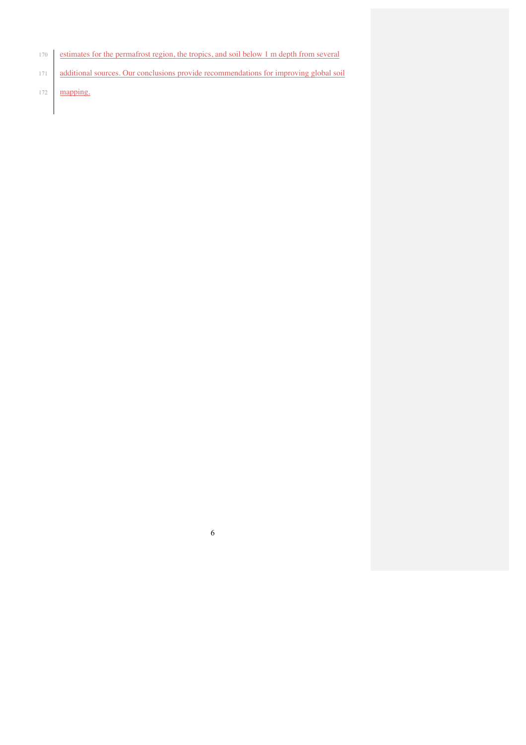- estimates for the permafrost region, the tropics, and soil below 1 m depth from several
- 171 additional sources. Our conclusions provide recommendations for improving global soil

**mapping**.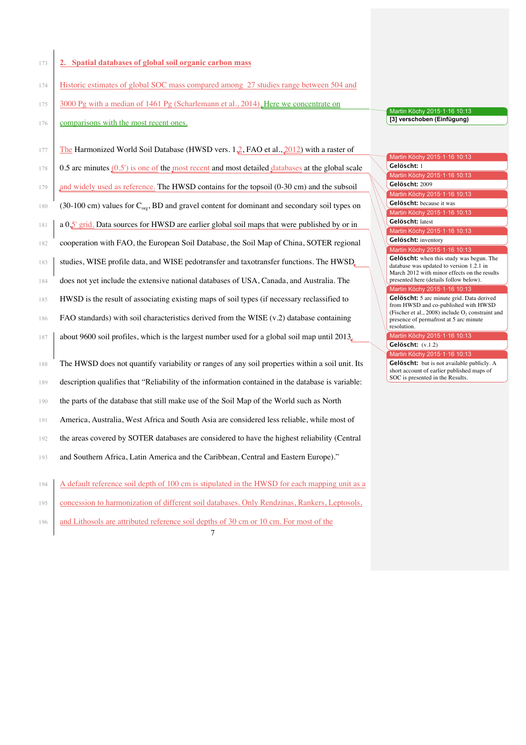## 173 **2. Spatial databases of global soil organic carbon mass**

- 174 Historic estimates of global SOC mass compared among 27 studies range between 504 and
- 175 3000 Pg with a median of 1461 Pg (Scharlemann et al., 2014). Here we concentrate on
- 176 comparisons with the most recent ones.

177 The Harmonized World Soil Database (HWSD vers. 1.2, FAO et al.,  $2012$ ) with a raster of 178 0.5 arc minutes  $(0.5')$  is one of the most recent and most detailed databases at the global scale 179 and widely used as reference. The HWSD contains for the topsoil (0-30 cm) and the subsoil  $(30-100 \text{ cm})$  values for  $C_{\text{ore}}$ , BD and gravel content for dominant and secondary soil types on 181 a 0.5' grid. Data sources for HWSD are earlier global soil maps that were published by or in cooperation with FAO, the European Soil Database, the Soil Map of China, SOTER regional 183 studies, WISE profile data, and WISE pedotransfer and taxotransfer functions. The HWSD does not yet include the extensive national databases of USA, Canada, and Australia. The HWSD is the result of associating existing maps of soil types (if necessary reclassified to FAO standards) with soil characteristics derived from the WISE (v.2) database containing about 9600 soil profiles, which is the largest number used for a global soil map until 2013. The HWSD does not quantify variability or ranges of any soil properties within a soil unit. Its description qualifies that "Reliability of the information contained in the database is variable: the parts of the database that still make use of the Soil Map of the World such as North America, Australia, West Africa and South Asia are considered less reliable, while most of the areas covered by SOTER databases are considered to have the highest reliability (Central and Southern Africa, Latin America and the Caribbean, Central and Eastern Europe)." A default reference soil depth of 100 cm is stipulated in the HWSD for each mapping unit as a concession to harmonization of different soil databases. Only Rendzinas, Rankers, Leptosols, and Lithosols are attributed reference soil depths of 30 cm or 10 cm. For most of the

7

Martin Köchy 2015·1·16 10:13 **[3] verschoben (Einfügung)**

Martin Köchy 2015·1·16 10:13 197 **Gelöscht:** 1 Martin Köchy 2015·1·16 10:13 198 **Gelöscht:** 2009 Martin Köchy 2015·1·16 10:13 Gelöscht: because it was Martin Köchy 2015·1·16 10:13 200 **Gelöscht:** latest Martin Köchy 2015·1·16 10:13 **Gelöscht:** inventory Martin Köchy 2015·1·16 10:13 Gelöscht: when this study was begun. The database was updated to version 1.2.1 in March 2012 with minor effects on the results presented here (details follow below). Martin Köchy 2015·1·16 10:13 Gelöscht: 5 arc minute grid. Data derived from HWSD and co-published with HWSD (Fischer et al., 2008) include  $O<sub>2</sub>$  constraint and presence of permafrost at 5 arc minute resolution. Martin Köchy 2015·1·16 10:13 Gelöscht:  $(v.1.2)$ Martin Köchy 2015·1·16 10:13 **Gelöscht:** but is not available publicly. A

short account of earlier published maps of SOC is presented in the Results.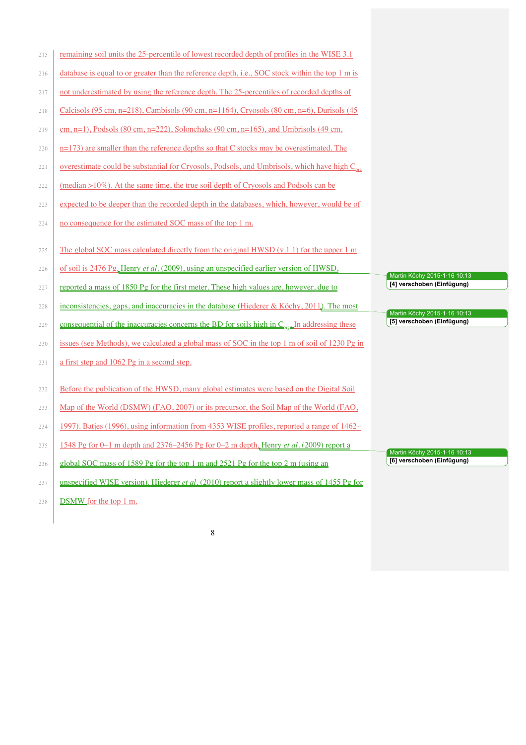| 215 | remaining soil units the 25-percentile of lowest recorded depth of profiles in the WISE 3.1                |                                                            |
|-----|------------------------------------------------------------------------------------------------------------|------------------------------------------------------------|
| 216 | database is equal to or greater than the reference depth, i.e., SOC stock within the top 1 m is            |                                                            |
| 217 | not underestimated by using the reference depth. The 25-percentiles of recorded depths of                  |                                                            |
| 218 | Calcisols (95 cm, n=218), Cambisols (90 cm, n=1164), Cryosols (80 cm, n=6), Durisols (45                   |                                                            |
| 219 | cm, n=1), Podsols (80 cm, n=222), Solonchaks (90 cm, n=165), and Umbrisols (49 cm,                         |                                                            |
| 220 | $n=173$ ) are smaller than the reference depths so that C stocks may be overestimated. The                 |                                                            |
| 221 | overestimate could be substantial for Cryosols, Podsols, and Umbrisols, which have high C <sub>org</sub>   |                                                            |
| 222 | $(\text{median} > 10\%)$ . At the same time, the true soil depth of Cryosols and Podsols can be            |                                                            |
| 223 | expected to be deeper than the recorded depth in the databases, which, however, would be of                |                                                            |
| 224 | no consequence for the estimated SOC mass of the top 1 m.                                                  |                                                            |
| 225 | The global SOC mass calculated directly from the original HWSD $(v.1.1)$ for the upper 1 m                 |                                                            |
| 226 | of soil is 2476 Pg, Henry et al. (2009), using an unspecified earlier version of HWSD,                     | Martin Köchy 2015·1·16 10:13                               |
| 227 | reported a mass of 1850 Pg for the first meter. These high values are, however, due to                     | [4] verschoben (Einfügung)                                 |
| 228 | inconsistencies, gaps, and inaccuracies in the database (Hiederer & Köchy, 2011). The most                 | Martin Köchy 2015·1·16 10:13                               |
| 229 | consequential of the inaccuracies concerns the BD for soils high in $C_{\text{ore}}$ . In addressing these | [5] verschoben (Einfügung)                                 |
| 230 | issues (see Methods), we calculated a global mass of SOC in the top 1 m of soil of 1230 Pg in              |                                                            |
| 231 | a first step and 1062 Pg in a second step.                                                                 |                                                            |
| 232 | Before the publication of the HWSD, many global estimates were based on the Digital Soil                   |                                                            |
| 233 | Map of the World (DSMW) (FAO, 2007) or its precursor, the Soil Map of the World (FAO,                      |                                                            |
| 234 | 1997). Batjes (1996), using information from 4353 WISE profiles, reported a range of 1462–                 |                                                            |
| 235 |                                                                                                            |                                                            |
|     | 1548 Pg for 0-1 m depth and 2376-2456 Pg for 0-2 m depth, Henry et al. (2009) report a                     |                                                            |
| 236 | global SOC mass of 1589 Pg for the top 1 m and 2521 Pg for the top 2 m (using an                           | Martin Köchy 2015-1-16 10:13<br>[6] verschoben (Einfügung) |
| 237 | unspecified WISE version). Hiederer <i>et al.</i> (2010) report a slightly lower mass of 1455 Pg for       |                                                            |
| 238 | DSMW for the top 1 m.                                                                                      |                                                            |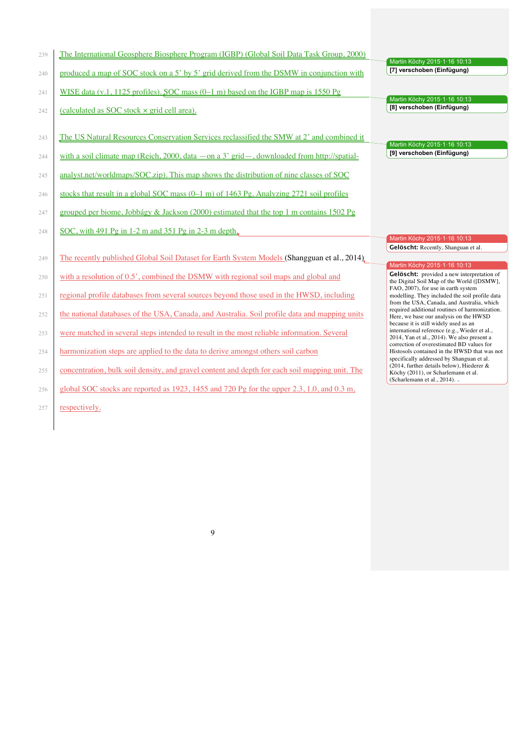| 239 | The International Geosphere Biosphere Program (IGBP) (Global Soil Data Task Group, 2000)                |                                                                                              |
|-----|---------------------------------------------------------------------------------------------------------|----------------------------------------------------------------------------------------------|
|     |                                                                                                         | Martin Köchy 2015·1·16 10:13<br>[7] verschoben (Einfügung)                                   |
| 240 | produced a map of SOC stock on a 5' by 5' grid derived from the DSMW in conjunction with                |                                                                                              |
| 241 | WISE data $(v.1, 1125$ profiles). SOC mass $(0-1 \text{ m})$ based on the IGBP map is 1550 Pg           |                                                                                              |
|     |                                                                                                         | Martin Köchy 2015·1·16 10:13                                                                 |
| 242 | (calculated as SOC stock x grid cell area).                                                             | [8] verschoben (Einfügung)                                                                   |
|     |                                                                                                         |                                                                                              |
| 243 | The US Natural Resources Conservation Services reclassified the SMW at 2' and combined it               |                                                                                              |
|     |                                                                                                         | Martin Köchy 2015-1-16 10:13                                                                 |
| 244 | with a soil climate map (Reich, 2000, data $-\text{on}$ a 3' grid $-$ , downloaded from http://spatial- | [9] verschoben (Einfügung)                                                                   |
| 245 | analyst.net/worldmaps/SOC.zip). This map shows the distribution of nine classes of SOC                  |                                                                                              |
|     |                                                                                                         |                                                                                              |
| 246 | stocks that result in a global SOC mass $(0-1 \text{ m})$ of 1463 Pg. Analyzing 2721 soil profiles      |                                                                                              |
| 247 | grouped per biome, Jobbágy & Jackson (2000) estimated that the top 1 m contains 1502 Pg                 |                                                                                              |
|     |                                                                                                         |                                                                                              |
| 248 | SOC, with $491$ Pg in 1-2 m and $351$ Pg in 2-3 m depth.                                                |                                                                                              |
|     |                                                                                                         | Martin Köchy 2015·1·16 10:13                                                                 |
|     |                                                                                                         | Gelöscht: Recently, Shanguan et al.                                                          |
| 249 | The recently published Global Soil Dataset for Earth System Models (Shangguan et al., 2014).            |                                                                                              |
|     |                                                                                                         |                                                                                              |
| 250 | with a resolution of 0.5', combined the DSMW with regional soil maps and global and                     | Martin Köchy 2015·1·16 10:13<br>Gelöscht: provided a new interpretation of                   |
|     |                                                                                                         | the Digital Soil Map of the World ([DSMW],                                                   |
| 251 | regional profile databases from several sources beyond those used in the HWSD, including                | FAO, 2007), for use in earth system<br>modelling. They included the soil profile data        |
|     |                                                                                                         | from the USA, Canada, and Australia, which<br>required additional routines of harmonization. |
| 252 | the national databases of the USA, Canada, and Australia. Soil profile data and mapping units           | Here, we base our analysis on the HWSD                                                       |
|     |                                                                                                         | because it is still widely used as an<br>international reference (e.g., Wieder et al.,       |
| 253 | were matched in several steps intended to result in the most reliable information. Several              | 2014, Yan et al., 2014). We also present a                                                   |
| 254 |                                                                                                         | correction of overestimated BD values for<br>Histosols contained in the HWSD that was not    |
|     | harmonization steps are applied to the data to derive amongst others soil carbon                        | specifically addressed by Shanguan et al.                                                    |
| 255 | concentration, bulk soil density, and gravel content and depth for each soil mapping unit. The          | (2014, further details below), Hiederer $&$                                                  |
|     |                                                                                                         | Köchy (2011), or Scharlemann et al.<br>(Scharlemann et al., 2014). -                         |
| 256 | global SOC stocks are reported as 1923, 1455 and 720 Pg for the upper 2.3, 1.0, and 0.3 m,              |                                                                                              |

257 respectively.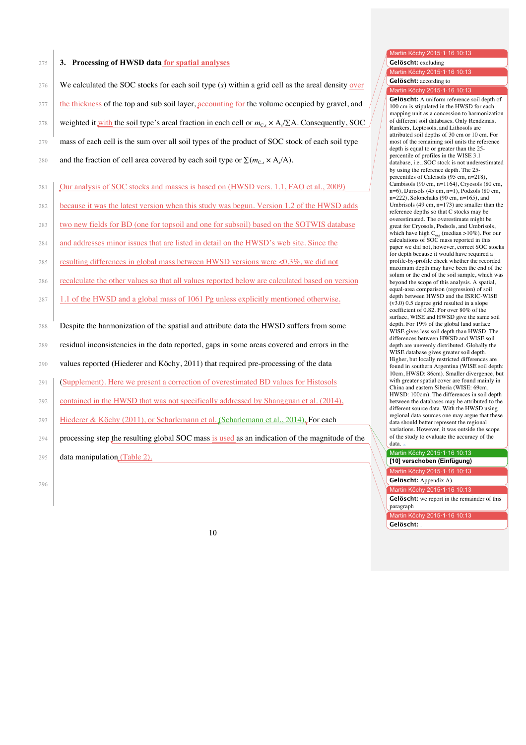## 275 **3. Processing of HWSD data for spatial analyses**

|     |                                                                                                                 | <b>Gelöscht:</b> according to                                                                                                                                                 |
|-----|-----------------------------------------------------------------------------------------------------------------|-------------------------------------------------------------------------------------------------------------------------------------------------------------------------------|
| 276 | We calculated the SOC stocks for each soil type $(s)$ within a grid cell as the areal density over              | Martin Köchy 2015.1.16 10:13                                                                                                                                                  |
| 277 | the thickness of the top and sub soil layer, accounting for the volume occupied by gravel, and                  | <b>Gelöscht:</b> A uniform reference soil depth of<br>100 cm is stipulated in the HWSD for each<br>mapping unit as a concession to harmonization                              |
| 278 | weighted it with the soil type's areal fraction in each cell or $m_{C_3} \times A/\Sigma A$ . Consequently, SOC | of different soil databases. Only Rendzinas,<br>Rankers, Leptosols, and Lithosols are                                                                                         |
| 279 | mass of each cell is the sum over all soil types of the product of SOC stock of each soil type                  | attributed soil depths of 30 cm or 10 cm. For<br>most of the remaining soil units the reference<br>depth is equal to or greater than the 25-                                  |
| 280 | and the fraction of cell area covered by each soil type or $\Sigma(m_c, \times A/A)$ .                          | percentile of profiles in the WISE 3.1<br>database, i.e., SOC stock is not underestimated<br>by using the reference depth. The 25-                                            |
| 281 | Our analysis of SOC stocks and masses is based on (HWSD vers. 1.1, FAO et al., 2009)                            | percentiles of Calcisols $(95 \text{ cm}, n=218)$ ,<br>Cambisols $(90 \text{ cm}, n=1164)$ , Cryosols $(80 \text{ cm},$<br>$n=6$ ), Durisols (45 cm, $n=1$ ), Podzols (80 cm, |
| 282 | because it was the latest version when this study was begun. Version 1.2 of the HWSD adds                       | $n=222$ ), Solonchaks (90 cm, $n=165$ ), and<br>Umbrisols (49 cm, $n=173$ ) are smaller than the<br>reference depths so that C stocks may be                                  |

- 283 two new fields for BD (one for topsoil and one for subsoil) based on the SOTWIS database
- 284 and addresses minor issues that are listed in detail on the HWSD's web site. Since the
- 285 resulting differences in global mass between HWSD versions were <0.3%, we did not
- 286 recalculate the other values so that all values reported below are calculated based on version
- 287 1.1 of the HWSD and a global mass of 1061 Pg unless explicitly mentioned otherwise.
- 288 Despite the harmonization of the spatial and attribute data the HWSD suffers from some
- 289 residual inconsistencies in the data reported, gaps in some areas covered and errors in the
- 290 values reported (Hiederer and Köchy, 2011) that required pre-processing of the data
- 291 (Supplement). Here we present a correction of overestimated BD values for Histosols
- 292 contained in the HWSD that was not specifically addressed by Shangguan et al. (2014),
- 293 Hiederer & Köchy (2011), or Scharlemann et al. (Scharlemann et al., 2014). For each
- 294 | processing step the resulting global SOC mass is used as an indication of the magnitude of the

295 data manipulation (Table 2).

296

349 **Gelöscht:** Appendix A).

Martin Köchy 2015·1·16 10:13 **[10] verschoben (Einfügung)** Martin Köchy 2015·1·16 10

Martin Köchy 2015·1·16 10:13 Gelöscht: excluding Martin Köchy 2015·1·16 10:13 **Gelöscht:** according to Martin Köchy 2015·1·16 10:13 Gelöscht: A uniform reference soil depth of 300 100 cm is stipulated in the HWSD for each mapping unit as a concession to harmonization of different soil databases. Only Rendzinas, Rankers, Leptosols, and Lithosols are attributed soil depths of 30 cm or 10 cm. For most of the remaining soil units the reference depth is equal to or greater than the 25percentile of profiles in the WISE 3.1 database, i.e., SOC stock is not underestimated by using the reference depth. The 25-

 $n=6$ ), Durisols (45 cm,  $n=1$ ), Podzols (80 cm,  $n=222$ ), Solonchaks (90 cm,  $n=165$ ), and Umbrisols (49 cm,  $n=173$ ) are smaller than the reference depths so that C stocks may be overestimated. The overestimate might be great for Cryosols, Podsols, and Umbrisols, which have high  $C_{org}$  (median >10%). For our calculations of SOC mass reported in this paper we did not, however, correct SOC stocks for depth because it would have required a profile-by-profile check whether the recorded maximum depth may have been the end of the solum or the end of the soil sample, which was beyond the scope of this analysis. A spatial, equal-area comparison (regression) of soil<br>depth between HWSD and the ISRIC-WISE  $(v3.0)$  0.5 degree grid resulted in a slope coefficient of 0.82. For over 80% of the surface, WISE and HWSD give the same soil depth. For 19% of the global land surface WISE gives less soil depth than HWSD. The differences between HWSD and WISE soil depth are unevenly distributed. Globally the WISE database gives greater soil depth. Higher, but locally restricted differences are found in southern Argentina (WISE soil depth: 10cm, HWSD: 86cm). Smaller divergence, but with greater spatial cover are found mainly in 340 China and eastern Siberia (WISE: 69cm, HWSD: 100cm). The differences in soil depth between the databases may be attributed to the different source data. With the HWSD using regional data sources one may argue that these data should better represent the regional variations. However, it was outside the scope of the study to evaluate the accuracy of the

> Martin Köchy 2015·1·16 10:13 Gelöscht: we report in the remainder of this

paragraph Martin Köchy 2015·1·16 10:13

352 **Gelöscht:** .

data.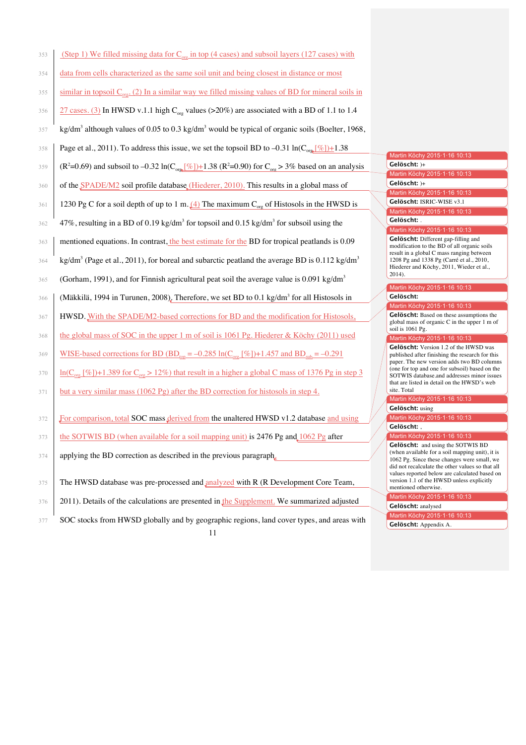| 353 | (Step 1) We filled missing data for $C_{\text{org}}$ in top (4 cases) and subsoil layers (127 cases) with                                                   |                                                                                                                                       |
|-----|-------------------------------------------------------------------------------------------------------------------------------------------------------------|---------------------------------------------------------------------------------------------------------------------------------------|
| 354 | data from cells characterized as the same soil unit and being closest in distance or most                                                                   |                                                                                                                                       |
| 355 | similar in topsoil $C_{org}$ . (2) In a similar way we filled missing values of BD for mineral soils in                                                     |                                                                                                                                       |
| 356 | $\frac{27 \text{ cases. (3)}}{21 \text{ cases. (3)}}$ In HWSD v.1.1 high C <sub>org</sub> values (>20%) are associated with a BD of 1.1 to 1.4              |                                                                                                                                       |
| 357 | kg/dm <sup>3</sup> although values of 0.05 to 0.3 kg/dm <sup>3</sup> would be typical of organic soils (Boelter, 1968,                                      |                                                                                                                                       |
| 358 | Page et al., 2011). To address this issue, we set the topsoil BD to -0.31 $\ln(C_{org} / \sqrt{\frac{6}{5}}) + 1.38$                                        | Martin Köchy 2015.1.16 10:13                                                                                                          |
| 359 | (R <sup>2</sup> =0.69) and subsoil to -0.32 ln(C <sub>ors</sub> [\html{\left(\)}-1.38 (R <sup>2</sup> =0.90) for C <sub>org</sub> > 3% based on an analysis | Gelöscht: )+<br>Martin Köchy 2015.1.16 10:13                                                                                          |
| 360 | of the <b>SPADE/M2</b> soil profile database (Hiederer, 2010). This results in a global mass of                                                             | Gelöscht: )+                                                                                                                          |
| 361 | 1230 Pg C for a soil depth of up to 1 m. $(4)$ The maximum C <sub>org</sub> of Histosols in the HWSD is                                                     | Martin Köchy 2015.1.16 10:13<br>Gelöscht: ISRIC-WISE v3.1<br>Martin Köchy 2015.1.16 10:13                                             |
| 362 | 47%, resulting in a BD of 0.19 kg/dm <sup>3</sup> for topsoil and 0.15 kg/dm <sup>3</sup> for subsoil using the                                             | Gelöscht: .<br>Martin Köchy 2015.1.16 10:13                                                                                           |
| 363 | mentioned equations. In contrast, the best estimate for the BD for tropical peatlands is 0.09                                                               | <b>Gelöscht:</b> Different gap-filling<br>modification to the BD of all orga                                                          |
| 364 | kg/dm <sup>3</sup> (Page et al., 2011), for boreal and subarctic peatland the average BD is 0.112 kg/dm <sup>3</sup>                                        | result in a global C mass ranging<br>1208 Pg and 1338 Pg (Carré et al.<br>Hiederer and Köchy, 2011, Wied-                             |
| 365 | (Gorham, 1991), and for Finnish agricultural peat soil the average value is $0.091 \text{ kg/dm}^3$                                                         | $2014$ ).                                                                                                                             |
| 366 | (Mäkkilä, 1994 in Turunen, 2008). Therefore, we set BD to 0.1 kg/dm <sup>3</sup> for all Histosols in                                                       | Martin Köchy 2015.1.16 10:13<br>Gelöscht:                                                                                             |
| 367 | HWSD. With the SPADE/M2-based corrections for BD and the modification for Histosols,                                                                        | Martin Köchy 2015.1.16 10:13<br>Gelöscht: Based on these assun<br>global mass of organic $C$ in the $u$                               |
| 368 | the global mass of SOC in the upper 1 m of soil is 1061 Pg. Hiederer & Köchy (2011) used                                                                    | soil is $1061$ Pg.<br>Martin Köchy 2015.1.16 10:13                                                                                    |
| 369 | <u>WISE-based corrections for BD (BD<sub>top</sub></u> = -0.285 $\ln(C_{\text{org}} \mid \% )+1.457$ and BD <sub>sub</sub> = -0.291                         | <b>Gelöscht:</b> Version 1.2 of the H<br>published after finishing the resea<br>paper. The new version adds two                       |
| 370 | $\underline{\ln(C_{org} [%]) + 1.389 \text{ for } C_{org} > 12\%}$ that result in a higher a global C mass of 1376 Pg in step 3                             | (one for top and one for subsoil) b<br>SOTWIS database and addresses                                                                  |
| 371 | but a very similar mass (1062 Pg) after the BD correction for histosols in step 4.                                                                          | that are listed in detail on the HW<br>site. Total<br>Martin Köchy 2015-1-16 10:13                                                    |
|     |                                                                                                                                                             | <b>Gelöscht: using</b>                                                                                                                |
| 372 | For comparison, total SOC mass derived from the unaltered HWSD v1.2 database and using                                                                      | Martin Köchy 2015 · 1 · 16 10:13<br>Gelöscht: .                                                                                       |
| 373 | the SOTWIS BD (when available for a soil mapping unit) is 2476 Pg and 1062 Pg after                                                                         | Martin Köchy 2015.1.16 10:13                                                                                                          |
| 374 | applying the BD correction as described in the previous paragraph.                                                                                          | <b>Gelöscht:</b> and using the SOTW<br>(when available for a soil mappin<br>1062 Pg. Since these changes were                         |
| 375 | The HWSD database was pre-processed and analyzed with R (R Development Core Team,                                                                           | did not recalculate the other value<br>values reported below are calcula<br>version 1.1 of the HWSD unless of<br>mentioned otherwise. |
| 376 | 2011). Details of the calculations are presented in the Supplement. We summarized adjusted                                                                  | Martin Köchy 2015.1.16 10:13<br><b>Gelöscht:</b> analysed                                                                             |

11 377 SOC stocks from HWSD globally and by geographic regions, land cover types, and areas with

378 **Gelöscht:** )+ Martin Köchy 2015·1·16 10:13 379 **Gelöscht:** )+ Martin Köchy 2015·1·16 10:13 380 **Gelöscht:** ISRIC-WISE v3.1 Martin Köchy 2015·1·16 10:13 Gelöscht: .

Martin Köchy 2015·1·16 10:13 Gelöscht: Different gap-filling and modification to the BD of all organic soils result in a global C mass ranging between 385 1208 Pg and 1338 Pg (Carré et al., 2010, Hiederer and Köchy, 2011, Wieder et al., 2014).

## Gelöscht:

Martin Köchy 2015·1·16 10:13 Gelöscht: Based on these assumptions the global mass of organic C in the upper 1 m of soil is 1061 Pg.

Gelöscht: Version 1.2 of the HWSD was published after finishing the research for this paper. The new version adds two BD columns (one for top and one for subsoil) based on the SOTWIS database. and addresses minor issues 397 that are listed in detail on the HWSD's web site. Total

Martin Köchy 2015·1·16 10:13

**Gelöscht:** and using the SOTWIS BD  $(when available for a soil mapping unit), it is$ 1062 Pg. Since these changes were small, we did not recalculate the other values so that all values reported below are calculated based on version 1.1 of the HWSD unless explicitly mentioned otherwise.

408 **Gelöscht:** analysed

Martin Köchy 2015·1·16 10:13

409 **Gelöscht:** Appendix A.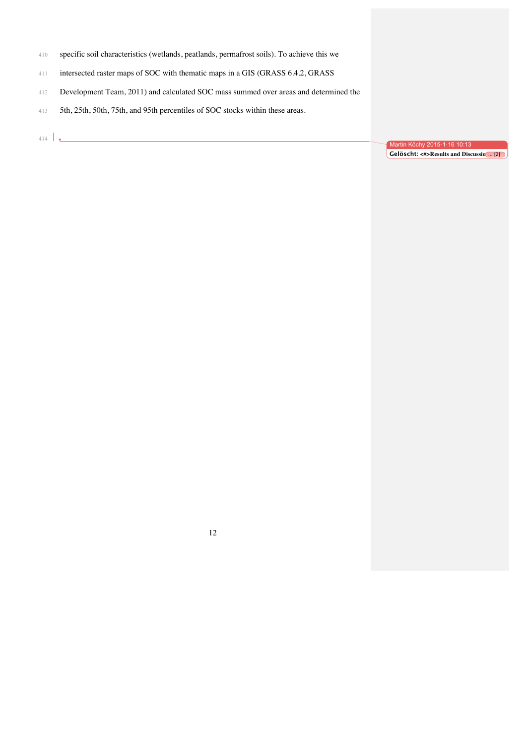- specific soil characteristics (wetlands, peatlands, permafrost soils). To achieve this we
- intersected raster maps of SOC with thematic maps in a GIS (GRASS 6.4.2, GRASS
- Development Team, 2011) and calculated SOC mass summed over areas and determined the
- 5th, 25th, 50th, 75th, and 95th percentiles of SOC stocks within these areas.
- $\mathbf{v}$

Martin Köchy 2015·1·16 10:13 **Gelöscht: <#>Results and Discussio** ... [2]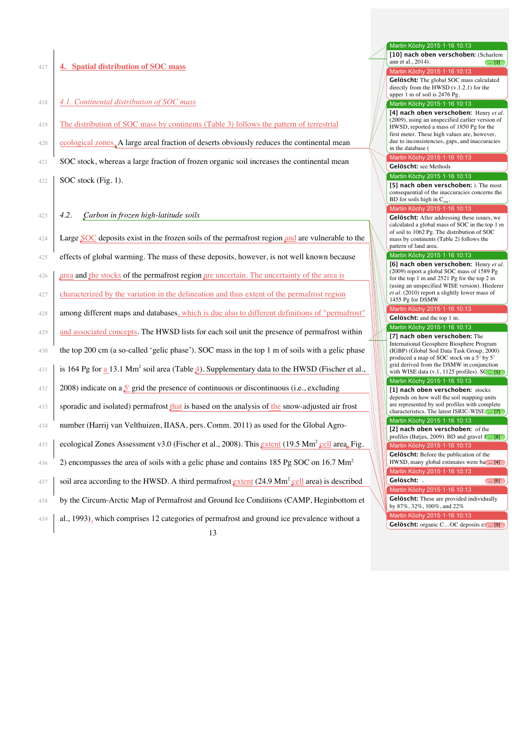#### 417 **4. Spatial distribution of SOC mass**

## 418 *4.1. Continental distribution of SOC mass*

- 419 The distribution of SOC mass by continents (Table 3) follows the pattern of terrestrial
- 420 ecological zones. A large areal fraction of deserts obviously reduces the continental mean
- 421 SOC stock, whereas a large fraction of frozen organic soil increases the continental mean

 $422$  SOC stock (Fig. 1).

#### 423 *4.2. Carbon in frozen high-latitude soils*

| 424 | Large SOC deposits exist in the frozen soils of the permafrost region and are vulnerable to the                       |  |
|-----|-----------------------------------------------------------------------------------------------------------------------|--|
|     |                                                                                                                       |  |
| 425 | effects of global warming. The mass of these deposits, however, is not well known because                             |  |
| 426 | area and the stocks of the permafrost region are uncertain. The uncertainty of the area is                            |  |
| 427 | characterized by the variation in the delineation and thus extent of the permafrost region                            |  |
| 428 | among different maps and databases, which is due also to different definitions of "permafrost"                        |  |
| 429 | and associated concepts. The HWSD lists for each soil unit the presence of permafrost within                          |  |
| 430 | the top 200 cm (a so-called 'gelic phase'). SOC mass in the top 1 m of soils with a gelic phase                       |  |
| 431 | is 164 Pg for a 13.1 Mm <sup>2</sup> soil area (Table $\triangleq$ ). Supplementary data to the HWSD (Fischer et al., |  |
| 432 | 2008) indicate on a $5$ grid the presence of continuous or discontinuous (i.e., excluding                             |  |
| 433 | sporadic and isolated) permafrost that is based on the analysis of the snow-adjusted air frost                        |  |
| 434 | number (Harrij van Velthuizen, IIASA, pers. Comm. 2011) as used for the Global Agro-                                  |  |
| 435 | ecological Zones Assessment v3.0 (Fischer et al., 2008). This extent (19.5 Mm <sup>2</sup> cell area. Fig.            |  |
| 436 | 2) encompasses the area of soils with a gelic phase and contains 185 Pg SOC on 16.7 $\text{Mm}^2$                     |  |
| 437 | soil area according to the HWSD. A third permafrost $ext{extent}$ (24.9 Mm <sup>2</sup> cell area) is described       |  |
| 438 | by the Circum-Arctic Map of Permafrost and Ground Ice Conditions (CAMP, Heginbottom et                                |  |
| 439 | al., 1993), which comprises 12 categories of permafrost and ground ice prevalence without a                           |  |
|     | 12                                                                                                                    |  |

# 13

### Martin Köchy 2015·1·16 10:13

555 **[10] nach oben verschoben:** (Scharlem  $\frac{5}{5}$  ann et al., 2014).  $\frac{5}{5}$ 

Martin Köchy 2015·1·16 10:13 557 **Gelöscht:** The global SOC mass calculated directly from the  $\text{HWSD}$  (v.1.2.1) for the upper 1 m of soil is  $2476$  Pg. Martin Köchy 2015·1·16 10:13

560 **[4] nach oben verschoben:** Henry *et al.* (2009), using an unspecified earlier version of HWSD, reported a mass of 1850 Pg for the first meter. These high values are, however, due to inconsistencies, gaps, and inaccuracies in the database (

#### Martin Köchy 2015·1·16 10:13 566 **Gelöscht:** see Methods

Martin Köchy 2015·1·16 10:13

[5] nach oben verschoben: ). The most consequential of the inaccuracies concerns the BD for soils high in  $\mathrm{C}_{\mathrm{org}}$ 

#### Martin Köchy 2015·1·16 10:13

Gelöscht: After addressing these issues, we calculated a global mass of SOC in the top 1 m of soil to 1062 Pg. The distribution of SOC mass by continents (Table 2) follows the pattern of land area.

#### Martin Köchy 2015·1·16 10:13

**[6] nach oben verschoben:** Henry *et al.*  $\| \t\|$  (2009) report a global SOC mass of 1589 Pg for the top 1 m and 2521 Pg for the top 2 m (using an unspecified WISE version). Hiederer et al. (2010) report a slightly lower mass of 1455 Pg for DSMW

# Martin Köchy 2015·1·16 10:13

**Gelöscht:** and the top 1 m. Martin Köchy 2015·1·16 10:1

590 **[7] nach oben verschoben:** The International Geosphere Biosphere Program 592 (IGBP) (Global Soil Data Task Group, 2000) produced a map of SOC stock on a  $5'$  by 5 594 grid derived from the DSMW in conjunction with WISE data (v.1, 1125 profiles).  $S(\dots [5])$ 

## Martin Köchy 2015·1·16 10:13

643 **[1] nach oben verschoben:** stocks depends on how well the soil mapping units are represented by soil profiles with complete characteristics. The latest ISRIC-WISE ... [7]

# Martin Köchy 2015·1·16 10:13

Martin Köchy 2015·1·16 10:13 641 **[2] nach oben verschoben:** of the profiles (Batjes, 2009). BD and gravel  $f$ ...  $[8]$ 

Gelöscht: Before the publication of the HWSD, many global estimates were ba $\ldots$  [4] Martin Köchy 2015·1·16 10:13

#### 596 **Gelöscht:** ... [6]

Martin Köchy 2015·1·16 10:13 **Gelöscht:** These are provided individually 613 by 87%, 32%, 100%, and 22%

lartin Köchy 2015·1·16 10:13

Gelöscht: organic C...OC deposits ex.... [9]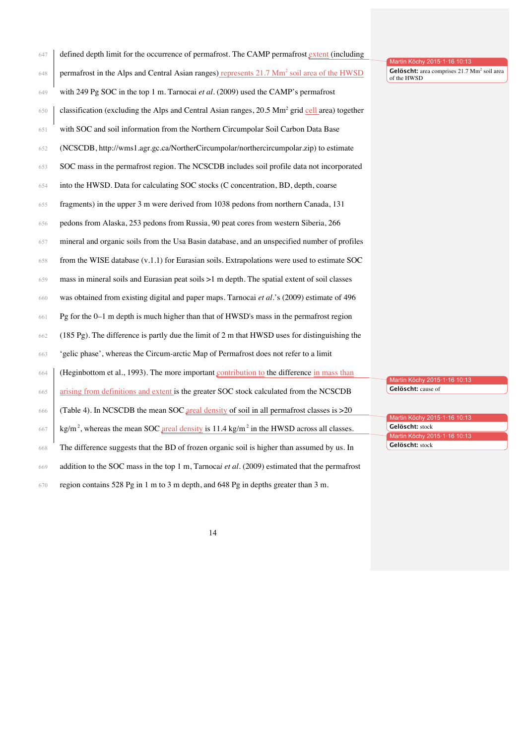| 647 | defined depth limit for the occurrence of permafrost. The CAMP permafrost extent (including                    | Martin Köchy 2015·1·16 10:13                                           |
|-----|----------------------------------------------------------------------------------------------------------------|------------------------------------------------------------------------|
| 648 | permafrost in the Alps and Central Asian ranges) represents 21.7 Mm <sup>2</sup> soil area of the HWSD         | Gelöscht: area comprises 21.7 Mm <sup>2</sup> soil area<br>of the HWSD |
| 649 | with 249 Pg SOC in the top 1 m. Tarnocai et al. (2009) used the CAMP's permafrost                              |                                                                        |
| 650 | classification (excluding the Alps and Central Asian ranges, 20.5 Mm <sup>2</sup> grid cell area) together     |                                                                        |
| 651 | with SOC and soil information from the Northern Circumpolar Soil Carbon Data Base                              |                                                                        |
| 652 | (NCSCDB, http://wms1.agr.gc.ca/NortherCircumpolar/northercircumpolar.zip) to estimate                          |                                                                        |
| 653 | SOC mass in the permafrost region. The NCSCDB includes soil profile data not incorporated                      |                                                                        |
| 654 | into the HWSD. Data for calculating SOC stocks (C concentration, BD, depth, coarse                             |                                                                        |
| 655 | fragments) in the upper 3 m were derived from 1038 pedons from northern Canada, 131                            |                                                                        |
| 656 | pedons from Alaska, 253 pedons from Russia, 90 peat cores from western Siberia, 266                            |                                                                        |
| 657 | mineral and organic soils from the Usa Basin database, and an unspecified number of profiles                   |                                                                        |
| 658 | from the WISE database $(v.1.1)$ for Eurasian soils. Extrapolations were used to estimate SOC                  |                                                                        |
| 659 | mass in mineral soils and Eurasian peat soils >1 m depth. The spatial extent of soil classes                   |                                                                        |
| 660 | was obtained from existing digital and paper maps. Tarnocai et al.'s (2009) estimate of 496                    |                                                                        |
| 661 | Pg for the $0-1$ m depth is much higher than that of HWSD's mass in the permafrost region                      |                                                                        |
| 662 | (185 Pg). The difference is partly due the limit of 2 m that HWSD uses for distinguishing the                  |                                                                        |
| 663 | 'gelic phase', whereas the Circum-arctic Map of Permafrost does not refer to a limit                           |                                                                        |
| 664 | (Heginbottom et al., 1993). The more important contribution to the difference in mass than                     | Martin Köchy 2015·1·16 10:13                                           |
| 665 | arising from definitions and extent is the greater SOC stock calculated from the NCSCDB                        | Gelöscht: cause of                                                     |
| 666 | (Table 4). In NCSCDB the mean SOC areal density of soil in all permafrost classes is >20                       | Martin Köchy 2015·1·16 10:13                                           |
| 667 | $\text{kg/m}^2$ , whereas the mean SOC areal density is 11.4 kg/m <sup>2</sup> in the HWSD across all classes. | Gelöscht: stock<br>Martin Köchy 2015·1·16 10:13                        |
| 668 | The difference suggests that the BD of frozen organic soil is higher than assumed by us. In                    | Gelöscht: stock                                                        |
| 669 | addition to the SOC mass in the top 1 m, Tarnocai et al. $(2009)$ estimated that the permafrost                |                                                                        |
| 670 | region contains 528 Pg in 1 m to 3 m depth, and 648 Pg in depths greater than 3 m.                             |                                                                        |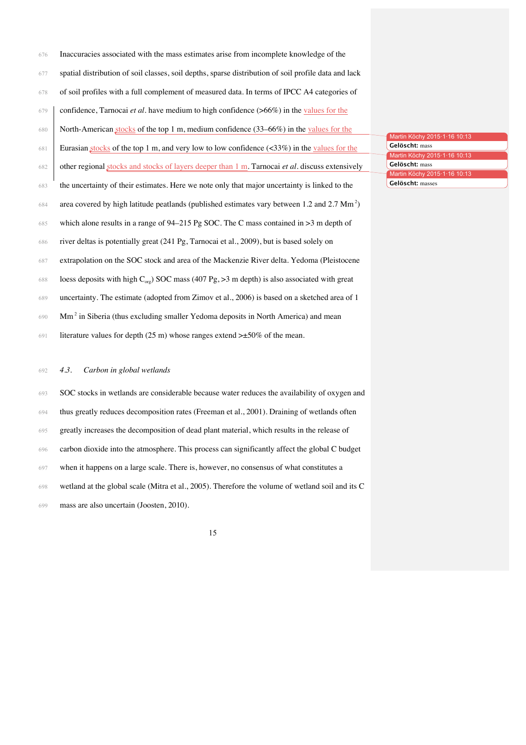| 676 | Inaccuracies associated with the mass estimates arise from incomplete knowledge of the               |
|-----|------------------------------------------------------------------------------------------------------|
| 677 | spatial distribution of soil classes, soil depths, sparse distribution of soil profile data and lack |
| 678 | of soil profiles with a full complement of measured data. In terms of IPCC A4 categories of          |
|     | 679   confidence, Tarnocai et al. have medium to high confidence ( $>66\%$ ) in the values for the   |
|     | 680 North-American stocks of the top 1 m, medium confidence (33–66%) in the values for the           |
|     | 681 Eurasian stocks of the top 1 m, and very low to low confidence (<33%) in the values for the      |

| 682 | other regional stocks and stocks of layers deeper than 1 m. Tarnocai et al. discuss extensively             |
|-----|-------------------------------------------------------------------------------------------------------------|
| 683 | the uncertainty of their estimates. Here we note only that major uncertainty is linked to the               |
| 684 | area covered by high latitude peatlands (published estimates vary between $1.2$ and $2.7$ Mm <sup>2</sup> ) |
| 685 | which alone results in a range of $94-215$ Pg SOC. The C mass contained in $>3$ m depth of                  |
| 686 | river deltas is potentially great (241 Pg, Tarnocai et al., 2009), but is based solely on                   |

- extrapolation on the SOC stock and area of the Mackenzie River delta. Yedoma (Pleistocene
- 688 loess deposits with high  $C_{\text{org}}$ ) SOC mass (407 Pg, >3 m depth) is also associated with great
- uncertainty. The estimate (adopted from Zimov et al., 2006) is based on a sketched area of 1
- Mm<sup>2</sup> in Siberia (thus excluding smaller Yedoma deposits in North America) and mean
- 691 literature values for depth (25 m) whose ranges extend  $\geq \pm 50\%$  of the mean.

#### *4.3. Carbon in global wetlands*

 SOC stocks in wetlands are considerable because water reduces the availability of oxygen and thus greatly reduces decomposition rates (Freeman et al., 2001). Draining of wetlands often greatly increases the decomposition of dead plant material, which results in the release of carbon dioxide into the atmosphere. This process can significantly affect the global C budget when it happens on a large scale. There is, however, no consensus of what constitutes a wetland at the global scale (Mitra et al., 2005). Therefore the volume of wetland soil and its C mass are also uncertain (Joosten, 2010).

| Martin Köchy 2015.1.16 10:13 |
|------------------------------|
| Gelöscht: mass               |
| Martin Köchy 2015.1.16 10:13 |
| Gelöscht: mass               |
| Martin Köchy 2015.1.16 10:13 |
| <b>Gelöscht:</b> masses      |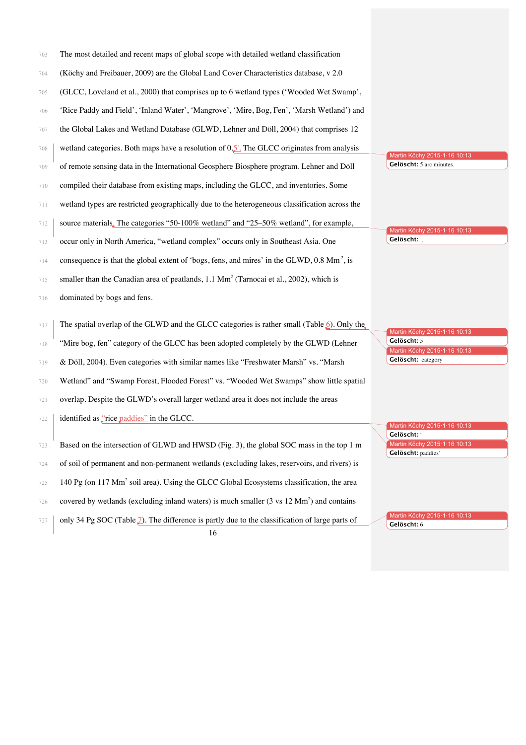| 703 | The most detailed and recent maps of global scope with detailed wetland classification                       |                                                                   |
|-----|--------------------------------------------------------------------------------------------------------------|-------------------------------------------------------------------|
| 704 | (Köchy and Freibauer, 2009) are the Global Land Cover Characteristics database, v 2.0                        |                                                                   |
| 705 | (GLCC, Loveland et al., 2000) that comprises up to 6 wetland types ('Wooded Wet Swamp',                      |                                                                   |
| 706 | 'Rice Paddy and Field', 'Inland Water', 'Mangrove', 'Mire, Bog, Fen', 'Marsh Wetland') and                   |                                                                   |
| 707 | the Global Lakes and Wetland Database (GLWD, Lehner and Döll, 2004) that comprises 12                        |                                                                   |
| 708 | wetland categories. Both maps have a resolution of $0.5'$ . The GLCC originates from analysis                |                                                                   |
| 709 | of remote sensing data in the International Geosphere Biosphere program. Lehner and Döll                     | Martin Köchy 2015·1·16 10:13<br>Gelöscht: 5 arc minutes.          |
| 710 | compiled their database from existing maps, including the GLCC, and inventories. Some                        |                                                                   |
| 711 | wetland types are restricted geographically due to the heterogeneous classification across the               |                                                                   |
| 712 | source materials. The categories "50-100% wetland" and "25-50% wetland", for example,                        | Martin Köchy 2015·1·16 10:13                                      |
| 713 | occur only in North America, "wetland complex" occurs only in Southeast Asia. One                            | Gelöscht:                                                         |
| 714 | consequence is that the global extent of 'bogs, fens, and mires' in the GLWD, 0.8 Mm <sup>2</sup> , is       |                                                                   |
| 715 | smaller than the Canadian area of peatlands, $1.1 \text{ Mm}^2$ (Tarnocai et al., 2002), which is            |                                                                   |
| 716 | dominated by bogs and fens.                                                                                  |                                                                   |
| 717 | The spatial overlap of the GLWD and the GLCC categories is rather small (Table $\delta$ ). Only the          | Martin Köchy 2015·1·16 10:13                                      |
| 718 | "Mire bog, fen" category of the GLCC has been adopted completely by the GLWD (Lehner                         | Gelöscht: 5<br>Martin Köchy 2015·1·16 10:13                       |
| 719 | & Döll, 2004). Even categories with similar names like "Freshwater Marsh" vs. "Marsh                         | Gelöscht: category                                                |
| 720 | Wetland" and "Swamp Forest, Flooded Forest" vs. "Wooded Wet Swamps" show little spatial                      |                                                                   |
| 721 | overlap. Despite the GLWD's overall larger wetland area it does not include the areas                        |                                                                   |
| 722 | identified as "rice paddies" in the GLCC.                                                                    | Martin Köchy 2015·1·16 10:13                                      |
| 723 | Based on the intersection of GLWD and HWSD (Fig. 3), the global SOC mass in the top 1 m                      | Gelöscht: '<br>Martin Köchy 2015·1·16 10:13<br>Gelöscht: paddies' |
| 724 | of soil of permanent and non-permanent wetlands (excluding lakes, reservoirs, and rivers) is                 |                                                                   |
| 725 | 140 Pg (on 117 Mm <sup>2</sup> soil area). Using the GLCC Global Ecosystems classification, the area         |                                                                   |
| 726 | covered by wetlands (excluding inland waters) is much smaller $(3 \text{ vs } 12 \text{ Mm}^2)$ and contains |                                                                   |
| 727 | only 34 Pg SOC (Table $\mathcal{I}$ ). The difference is partly due to the classification of large parts of  | Martin Köchy 2015·1·16 10:13<br>Gelöscht: 6                       |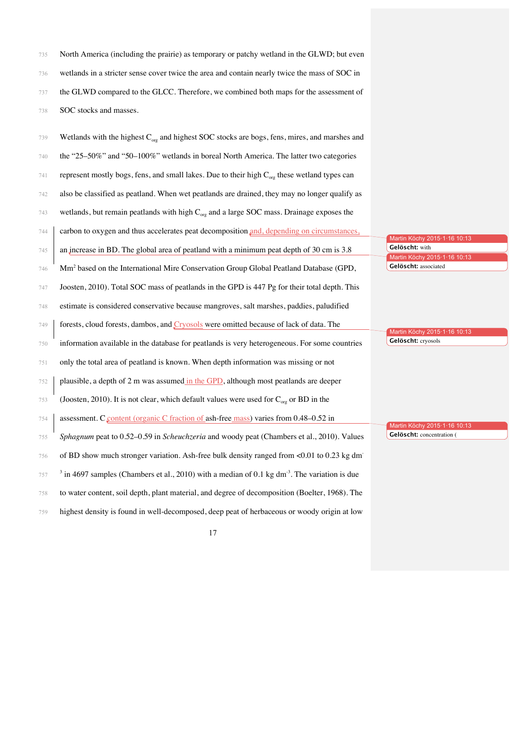735 North America (including the prairie) as temporary or patchy wetland in the GLWD; but even wetlands in a stricter sense cover twice the area and contain nearly twice the mass of SOC in the GLWD compared to the GLCC. Therefore, we combined both maps for the assessment of SOC stocks and masses.

| 739 | Wetlands with the highest $C_{org}$ and highest SOC stocks are bogs, fens, mires, and marshes and           |                                                |
|-----|-------------------------------------------------------------------------------------------------------------|------------------------------------------------|
| 740 | the "25-50%" and "50-100%" wetlands in boreal North America. The latter two categories                      |                                                |
| 741 | represent mostly bogs, fens, and small lakes. Due to their high $C_{org}$ these wetland types can           |                                                |
| 742 | also be classified as peatland. When wet peatlands are drained, they may no longer qualify as               |                                                |
| 743 | wetlands, but remain peatlands with high $C_{org}$ and a large SOC mass. Drainage exposes the               |                                                |
| 744 | carbon to oxygen and thus accelerates peat decomposition and, depending on circumstances,                   | Martin Köchy 2015-1-16 10:13                   |
| 745 | an increase in BD. The global area of peatland with a minimum peat depth of 30 cm is 3.8                    | Gelöscht: with<br>Martin Köchy 2015-1-16 10:13 |
| 746 | Mm <sup>2</sup> based on the International Mire Conservation Group Global Peatland Database (GPD,           | Gelöscht: associated                           |
| 747 | Joosten, 2010). Total SOC mass of peatlands in the GPD is 447 Pg for their total depth. This                |                                                |
| 748 | estimate is considered conservative because mangroves, salt marshes, paddies, paludified                    |                                                |
| 749 | forests, cloud forests, dambos, and <i>Cryosols</i> were omitted because of lack of data. The               | Martin Köchy 2015·1·16 10:13                   |
| 750 | information available in the database for peatlands is very heterogeneous. For some countries               | Gelöscht: cryosols                             |
| 751 | only the total area of peatland is known. When depth information was missing or not                         |                                                |
| 752 | plausible, a depth of 2 m was assumed in the GPD, although most peatlands are deeper                        |                                                |
| 753 | (Joosten, 2010). It is not clear, which default values were used for $C_{\text{ore}}$ or BD in the          |                                                |
| 754 | assessment. C <sub>content</sub> (organic C fraction of ash-free mass) varies from 0.48–0.52 in             | Martin Köchy 2015·1·16 10:13                   |
| 755 | Sphagnum peat to 0.52–0.59 in Scheuchzeria and woody peat (Chambers et al., 2010). Values                   | Gelöscht: concentration (                      |
|     |                                                                                                             |                                                |
| 756 | of BD show much stronger variation. Ash-free bulk density ranged from <0.01 to 0.23 kg dm                   |                                                |
| 757 | $3$ in 4697 samples (Chambers et al., 2010) with a median of 0.1 kg dm <sup>-3</sup> . The variation is due |                                                |
| 758 | to water content, soil depth, plant material, and degree of decomposition (Boelter, 1968). The              |                                                |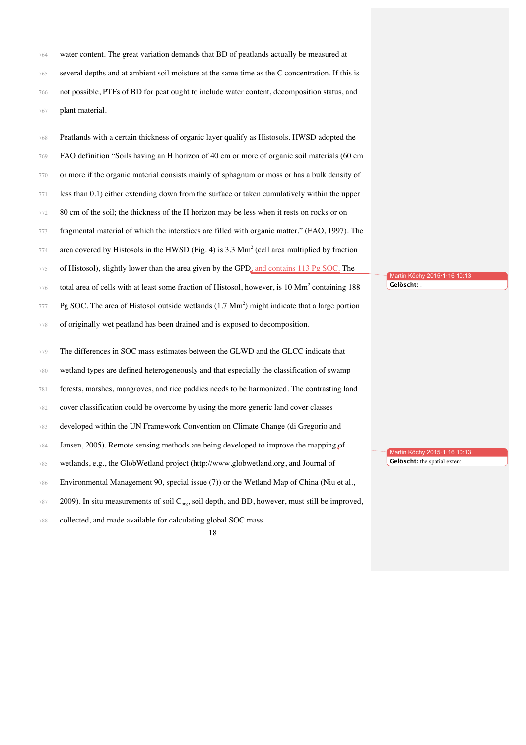| 764 | water content. The great variation demands that BD of peatlands actually be measured at         |
|-----|-------------------------------------------------------------------------------------------------|
| 765 | several depths and at ambient soil moisture at the same time as the C concentration. If this is |
| 766 | not possible, PTFs of BD for peat ought to include water content, decomposition status, and     |
| 767 | plant material.                                                                                 |

| 768 | Peatlands with a certain thickness of organic layer qualify as Histosols. HWSD adopted the                 |                                  |
|-----|------------------------------------------------------------------------------------------------------------|----------------------------------|
| 769 | FAO definition "Soils having an H horizon of 40 cm or more of organic soil materials (60 cm                |                                  |
| 770 | or more if the organic material consists mainly of sphagnum or moss or has a bulk density of               |                                  |
| 771 | less than 0.1) either extending down from the surface or taken cumulatively within the upper               |                                  |
| 772 | 80 cm of the soil; the thickness of the H horizon may be less when it rests on rocks or on                 |                                  |
| 773 | fragmental material of which the interstices are filled with organic matter." (FAO, 1997). The             |                                  |
| 774 | area covered by Histosols in the HWSD (Fig. 4) is $3.3 \text{ Mm}^2$ (cell area multiplied by fraction     |                                  |
| 775 | of Histosol), slightly lower than the area given by the GPD, and contains 113 Pg SOC. The                  | Martin Köchy 2015·1·16 10:13     |
| 776 | total area of cells with at least some fraction of Histosol, however, is 10 Mm <sup>2</sup> containing 188 | Gelöscht: .                      |
| 777 | Pg SOC. The area of Histosol outside wetlands $(1.7 \text{ Mm}^2)$ might indicate that a large portion     |                                  |
| 778 | of originally wet peatland has been drained and is exposed to decomposition.                               |                                  |
|     |                                                                                                            |                                  |
| 779 | The differences in SOC mass estimates between the GLWD and the GLCC indicate that                          |                                  |
| 780 | wetland types are defined heterogeneously and that especially the classification of swamp                  |                                  |
| 781 | forests, marshes, mangroves, and rice paddies needs to be harmonized. The contrasting land                 |                                  |
| 782 | cover classification could be overcome by using the more generic land cover classes                        |                                  |
| 783 | developed within the UN Framework Convention on Climate Change (di Gregorio and                            |                                  |
| 784 | Jansen, 2005). Remote sensing methods are being developed to improve the mapping of                        | Martin Köchy 2015 · 1 · 16 10:13 |
| 785 | wetlands, e.g., the GlobWetland project (http://www.globwetland.org, and Journal of                        | Gelöscht: the spatial extent     |
| 786 | Environmental Management 90, special issue (7)) or the Wetland Map of China (Niu et al.,                   |                                  |
| 787 | 2009). In situ measurements of soil $C_{org}$ , soil depth, and BD, however, must still be improved,       |                                  |
| 788 | collected, and made available for calculating global SOC mass.                                             |                                  |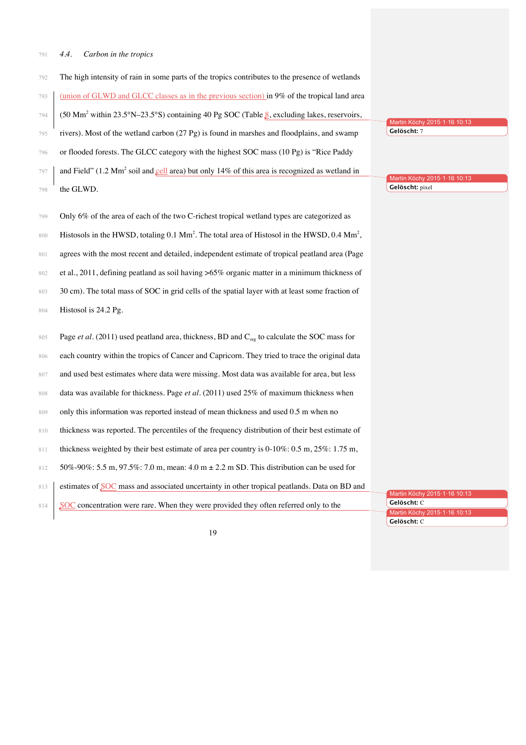#### *4.4. Carbon in the tropics*

- The high intensity of rain in some parts of the tropics contributes to the presence of wetlands
- (union of GLWD and GLCC classes as in the previous section) in 9% of the tropical land area
- $(794 \mid (50 \text{ Mm}^2 \text{ within } 23.5^\circ \text{N} 23.5^\circ \text{S}) \text{ containing 40 Pg SOC (Table }$ <sup>8</sup>, excluding lakes, reservoirs,
- rivers). Most of the wetland carbon (27 Pg) is found in marshes and floodplains, and swamp
- or flooded forests. The GLCC category with the highest SOC mass (10 Pg) is "Rice Paddy
- and Field" (1.2 Mm<sup>2</sup> soil and cell area) but only 14% of this area is recognized as wetland in
- the GLWD.
- Only 6% of the area of each of the two C-richest tropical wetland types are categorized as
- Histosols in the HWSD, totaling 0.1 Mm<sup>2</sup>. The total area of Histosol in the HWSD, 0.4 Mm<sup>2</sup>,
- agrees with the most recent and detailed, independent estimate of tropical peatland area (Page
- et al., 2011, defining peatland as soil having >65% organic matter in a minimum thickness of
- 803 30 cm). The total mass of SOC in grid cells of the spatial layer with at least some fraction of
- Histosol is 24.2 Pg.
- 805 Page *et al.* (2011) used peatland area, thickness, BD and C<sub>org</sub> to calculate the SOC mass for 806 each country within the tropics of Cancer and Capricorn. They tried to trace the original data
- 807 and used best estimates where data were missing. Most data was available for area, but less
- data was available for thickness. Page *et al.* (2011) used 25% of maximum thickness when
- 809 only this information was reported instead of mean thickness and used 0.5 m when no
- 810 thickness was reported. The percentiles of the frequency distribution of their best estimate of
- 811 thickness weighted by their best estimate of area per country is 0-10%: 0.5 m, 25%: 1.75 m,
- 50%-90%: 5.5 m, 97.5%: 7.0 m, mean: 4.0 m ± 2.2 m SD. This distribution can be used for
- 813 estimates of SOC mass and associated uncertainty in other tropical peatlands. Data on BD and

| 814 SOC concentration were rare. When they were provided they often referred only to the | تممام مثقلم |
|------------------------------------------------------------------------------------------|-------------|
|                                                                                          |             |

Martin Köchy 2015·1·16 10:13 **Gelöscht:** C

Martin Köchy 2015·1·16 10:1

Martin Köchy 2015-1-16 10 **Gelöscht:** 7

Martin Köchy 2015·1·16 10:13 **Gelöscht:** pixel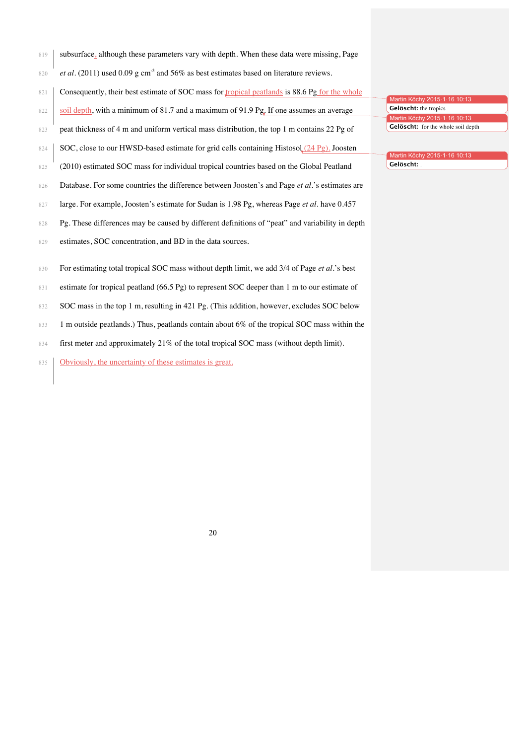- 819 subsurface, although these parameters vary with depth. When these data were missing, Page
- 820 *et al.* (2011) used 0.09 g cm<sup>-3</sup> and 56% as best estimates based on literature reviews.
- 821 Consequently, their best estimate of SOC mass for tropical peatlands is 88.6 Pg for the whole
- 822 soil depth, with a minimum of 81.7 and a maximum of 91.9 Pg. If one assumes an average
- 823 peat thickness of 4 m and uniform vertical mass distribution, the top 1 m contains 22 Pg of
- 824 SOC, close to our HWSD-based estimate for grid cells containing Histosol  $(24 \text{ Pg})$ . Joosten
- 825 (2010) estimated SOC mass for individual tropical countries based on the Global Peatland
- 826 Database. For some countries the difference between Joosten's and Page *et al.*'s estimates are
- 827 large. For example, Joosten's estimate for Sudan is 1.98 Pg, whereas Page *et al.* have 0.457
- 828 Pg. These differences may be caused by different definitions of "peat" and variability in depth
- 829 estimates, SOC concentration, and BD in the data sources.
- 830 For estimating total tropical SOC mass without depth limit, we add 3/4 of Page *et al.*'s best
- 831 estimate for tropical peatland (66.5 Pg) to represent SOC deeper than 1 m to our estimate of
- 832 SOC mass in the top 1 m, resulting in 421 Pg. (This addition, however, excludes SOC below
- 833 1 m outside peatlands.) Thus, peatlands contain about 6% of the tropical SOC mass within the
- 834 first meter and approximately 21% of the total tropical SOC mass (without depth limit).
- 835 Obviously, the uncertainty of these estimates is great.

Martin Köchy 2015·1·16 **Gelöscht:** the tropics Martin Köchy 2015·1·16 10:13 **Gelöscht:** for the whole soil depth

Martin Köchy 2015·1·16 10:13 838 **Gelöscht:** .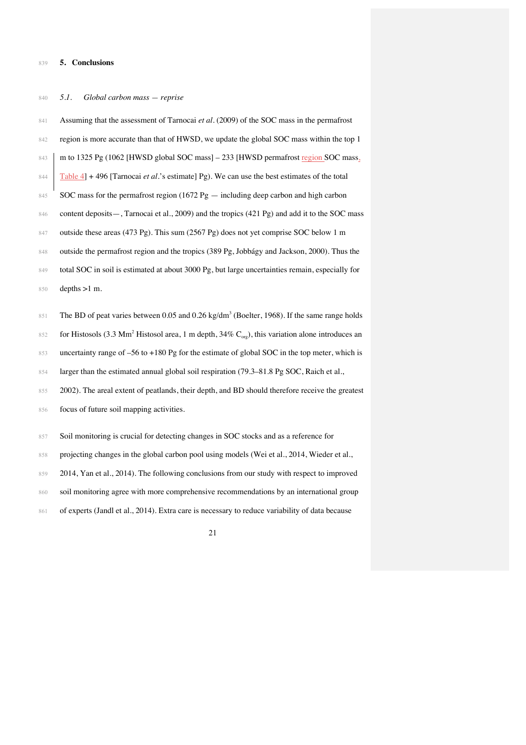#### 839 **5. Conclusions**

#### 840 *5.1. Global carbon mass — reprise*

841 Assuming that the assessment of Tarnocai et al. (2009) of the SOC mass in the permafrost 842 region is more accurate than that of HWSD, we update the global SOC mass within the top 1 843 m to 1325 Pg (1062 [HWSD global SOC mass] – 233 [HWSD permafrost region SOC mass<sub>2</sub> 844 Table 4] + 496 [Tarnocai *et al.*'s estimate] Pg). We can use the best estimates of the total 845 SOC mass for the permafrost region (1672 Pg — including deep carbon and high carbon 846 content deposits—, Tarnocai et al., 2009) and the tropics (421 Pg) and add it to the SOC mass 847 outside these areas (473 Pg). This sum (2567 Pg) does not yet comprise SOC below 1 m 848 outside the permafrost region and the tropics (389 Pg, Jobbágy and Jackson, 2000). Thus the 849 total SOC in soil is estimated at about 3000 Pg, but large uncertainties remain, especially for 850 depths >1 m.  $851$  The BD of peat varies between 0.05 and 0.26 kg/dm<sup>3</sup> (Boelter, 1968). If the same range holds for Histosols (3.3 Mm<sup>2</sup> Histosol area, 1 m depth, 34% C<sub>org</sub>), this variation alone introduces an 853 uncertainty range of –56 to +180 Pg for the estimate of global SOC in the top meter, which is 854 larger than the estimated annual global soil respiration (79.3–81.8 Pg SOC, Raich et al.,

855 2002). The areal extent of peatlands, their depth, and BD should therefore receive the greatest 856 focus of future soil mapping activities.

857 Soil monitoring is crucial for detecting changes in SOC stocks and as a reference for

858 projecting changes in the global carbon pool using models (Wei et al., 2014, Wieder et al.,

859 2014, Yan et al., 2014). The following conclusions from our study with respect to improved

860 soil monitoring agree with more comprehensive recommendations by an international group

861 of experts (Jandl et al., 2014). Extra care is necessary to reduce variability of data because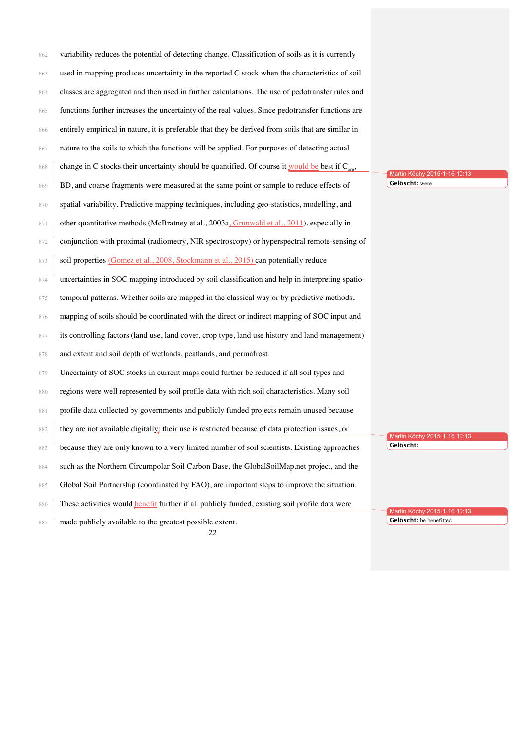| 862 | variability reduces the potential of detecting change. Classification of soils as it is currently    |                              |
|-----|------------------------------------------------------------------------------------------------------|------------------------------|
| 863 | used in mapping produces uncertainty in the reported C stock when the characteristics of soil        |                              |
| 864 | classes are aggregated and then used in further calculations. The use of pedotransfer rules and      |                              |
| 865 | functions further increases the uncertainty of the real values. Since pedotransfer functions are     |                              |
| 866 | entirely empirical in nature, it is preferable that they be derived from soils that are similar in   |                              |
| 867 | nature to the soils to which the functions will be applied. For purposes of detecting actual         |                              |
| 868 | change in C stocks their uncertainty should be quantified. Of course it would be best if $C_{org}$ , | Martin Köchy 2015·1·16 10:13 |
| 869 | BD, and coarse fragments were measured at the same point or sample to reduce effects of              | Gelöscht: were               |
| 870 | spatial variability. Predictive mapping techniques, including geo-statistics, modelling, and         |                              |
| 871 | other quantitative methods (McBratney et al., 2003a, Grunwald et al., 2011), especially in           |                              |
| 872 | conjunction with proximal (radiometry, NIR spectroscopy) or hyperspectral remote-sensing of          |                              |
| 873 | soil properties (Gomez et al., 2008, Stockmann et al., 2015) can potentially reduce                  |                              |
| 874 | uncertainties in SOC mapping introduced by soil classification and help in interpreting spatio-      |                              |
| 875 | temporal patterns. Whether soils are mapped in the classical way or by predictive methods,           |                              |
| 876 | mapping of soils should be coordinated with the direct or indirect mapping of SOC input and          |                              |
| 877 | its controlling factors (land use, land cover, crop type, land use history and land management)      |                              |
| 878 | and extent and soil depth of wetlands, peatlands, and permafrost.                                    |                              |
| 879 | Uncertainty of SOC stocks in current maps could further be reduced if all soil types and             |                              |
| 880 | regions were well represented by soil profile data with rich soil characteristics. Many soil         |                              |
| 881 | profile data collected by governments and publicly funded projects remain unused because             |                              |
| 882 | they are not available digitally: their use is restricted because of data protection issues, or      | Martin Köchy 2015.1.16 10:13 |
| 883 | because they are only known to a very limited number of soil scientists. Existing approaches         | Gelöscht: ,                  |
| 884 | such as the Northern Circumpolar Soil Carbon Base, the GlobalSoilMap.net project, and the            |                              |
| 885 | Global Soil Partnership (coordinated by FAO), are important steps to improve the situation.          |                              |
| 886 | These activities would benefit further if all publicly funded, existing soil profile data were       | Martin Köchy 2015.1.16 10:13 |
| 887 | made publicly available to the greatest possible extent.<br>22                                       | Gelöscht: be benefitted      |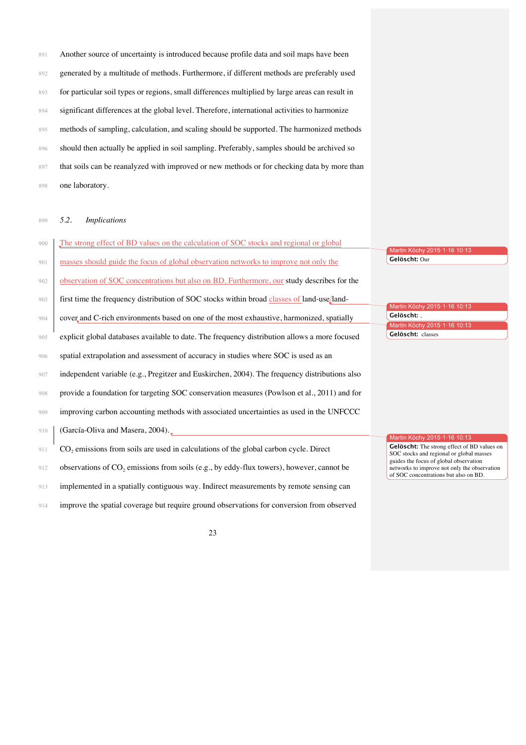891 Another source of uncertainty is introduced because profile data and soil maps have been 892 generated by a multitude of methods. Furthermore, if different methods are preferably used 893 for particular soil types or regions, small differences multiplied by large areas can result in 894 significant differences at the global level. Therefore, international activities to harmonize 895 methods of sampling, calculation, and scaling should be supported. The harmonized methods 896 should then actually be applied in soil sampling. Preferably, samples should be archived so 897 that soils can be reanalyzed with improved or new methods or for checking data by more than one laboratory.

*5.2. Implications*

| 900 | The strong effect of BD values on the calculation of SOC stocks and regional or global           | Martin Köchy 2015-1-16 10:13                                                                                                    |
|-----|--------------------------------------------------------------------------------------------------|---------------------------------------------------------------------------------------------------------------------------------|
| 901 | masses should guide the focus of global observation networks to improve not only the             | Gelöscht: Our                                                                                                                   |
| 902 | observation of SOC concentrations but also on BD. Furthermore, our study describes for the       |                                                                                                                                 |
| 903 | first time the frequency distribution of SOC stocks within broad classes of land-use/land-       | Martin Köchy 2015-1-16 10:13                                                                                                    |
| 904 | cover and C-rich environments based on one of the most exhaustive, harmonized, spatially         | Gelöscht: .<br>Martin Köchy 2015-1-16 10:13                                                                                     |
| 905 | explicit global databases available to date. The frequency distribution allows a more focused    | Gelöscht: classes                                                                                                               |
| 906 | spatial extrapolation and assessment of accuracy in studies where SOC is used as an              |                                                                                                                                 |
| 907 | independent variable (e.g., Pregitzer and Euskirchen, 2004). The frequency distributions also    |                                                                                                                                 |
| 908 | provide a foundation for targeting SOC conservation measures (Powlson et al., 2011) and for      |                                                                                                                                 |
| 909 | improving carbon accounting methods with associated uncertainties as used in the UNFCCC          |                                                                                                                                 |
| 910 | (García-Oliva and Masera, 2004).                                                                 |                                                                                                                                 |
| 911 | CO <sub>2</sub> emissions from soils are used in calculations of the global carbon cycle. Direct | Martin Köchy 2015·1·16 10:13<br>Gelöscht: The strong effect of BD values on<br>SOC stocks and regional or global masses         |
| 912 | observations of $CO_2$ emissions from soils (e.g., by eddy-flux towers), however, cannot be      | guides the focus of global observation<br>networks to improve not only the observation<br>of SOC concentrations but also on BD. |
| 913 | implemented in a spatially contiguous way. Indirect measurements by remote sensing can           |                                                                                                                                 |
| 914 | improve the spatial coverage but require ground observations for conversion from observed        |                                                                                                                                 |

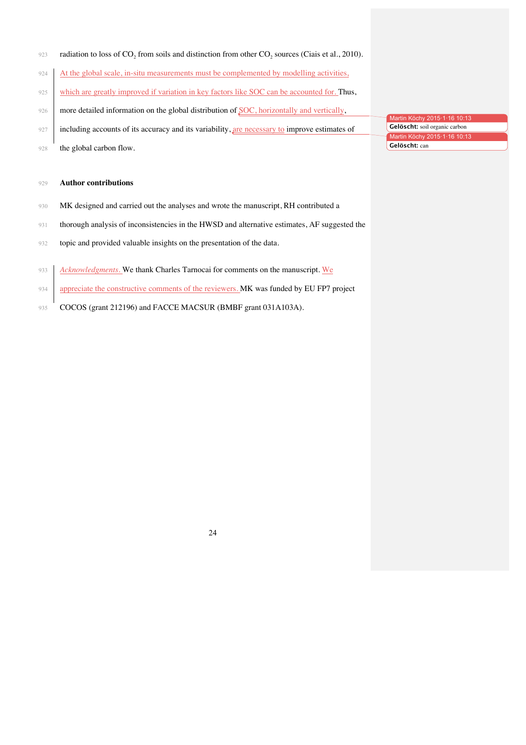- $\mu$  radiation to loss of CO<sub>2</sub> from soils and distinction from other CO<sub>2</sub> sources (Ciais et al., 2010).
- 924 At the global scale, in-situ measurements must be complemented by modelling activities,
- 925 which are greatly improved if variation in key factors like SOC can be accounted for. Thus,
- 926 more detailed information on the global distribution of SOC, horizontally and vertically,
- 927 including accounts of its accuracy and its variability, are necessary to improve estimates of
- 928 the global carbon flow.

#### 929 **Author contributions**

- 930 MK designed and carried out the analyses and wrote the manuscript, RH contributed a
- 931 thorough analysis of inconsistencies in the HWSD and alternative estimates, AF suggested the
- 932 topic and provided valuable insights on the presentation of the data.
- 933 *Acknowledgments*. We thank Charles Tarnocai for comments on the manuscript. We
- 934 appreciate the constructive comments of the reviewers. MK was funded by EU FP7 project
- 935 COCOS (grant 212196) and FACCE MACSUR (BMBF grant 031A103A).

Martin Köchy 2015·1·16 10:13 936 **Gelöscht:** soil organic carbon Martin Köchy 2015·1·16 10:13 937 **Gelöscht:** can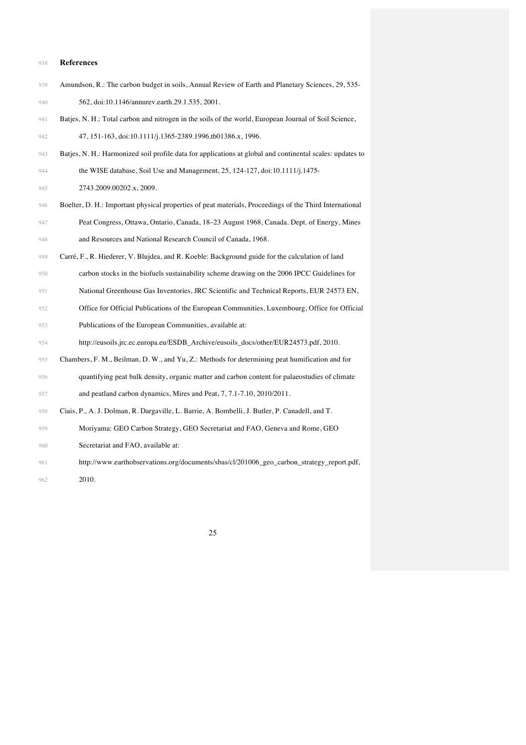#### **References**

- Amundson, R.: The carbon budget in soils, Annual Review of Earth and Planetary Sciences, 29, 535- 562, doi:10.1146/annurev.earth.29.1.535, 2001.
- Batjes, N. H.: Total carbon and nitrogen in the soils of the world, European Journal of Soil Science, 47, 151-163, doi:10.1111/j.1365-2389.1996.tb01386.x, 1996.
- Batjes, N. H.: Harmonized soil profile data for applications at global and continental scales: updates to
- the WISE database, Soil Use and Management, 25, 124-127, doi:10.1111/j.1475-

945 2743.2009.00202.x, 2009.

- Boelter, D. H.: Important physical properties of peat materials, Proceedings of the Third International Peat Congress, Ottawa, Ontario, Canada, 18–23 August 1968, Canada. Dept. of Energy, Mines and Resources and National Research Council of Canada, 1968.
- Carré, F., R. Hiederer, V. Blujdea, and R. Koeble: Background guide for the calculation of land
- carbon stocks in the biofuels sustainability scheme drawing on the 2006 IPCC Guidelines for
- National Greenhouse Gas Inventories, JRC Scientific and Technical Reports, EUR 24573 EN,
- Office for Official Publications of the European Communities, Luxembourg, Office for Official
- Publications of the European Communities, available at:

http://eusoils.jrc.ec.europa.eu/ESDB\_Archive/eusoils\_docs/other/EUR24573.pdf, 2010.

- Chambers, F. M., Beilman, D. W., and Yu, Z.: Methods for determining peat humification and for
- quantifying peat bulk density, organic matter and carbon content for palaeostudies of climate and peatland carbon dynamics, Mires and Peat, 7, 7.1-7.10, 2010/2011.
- Ciais, P., A. J. Dolman, R. Dargaville, L. Barrie, A. Bombelli, J. Butler, P. Canadell, and T.
- Moriyama: GEO Carbon Strategy, GEO Secretariat and FAO, Geneva and Rome, GEO
- Secretariat and FAO, available at:
- http://www.earthobservations.org/documents/sbas/cl/201006\_geo\_carbon\_strategy\_report.pdf,
- 2010.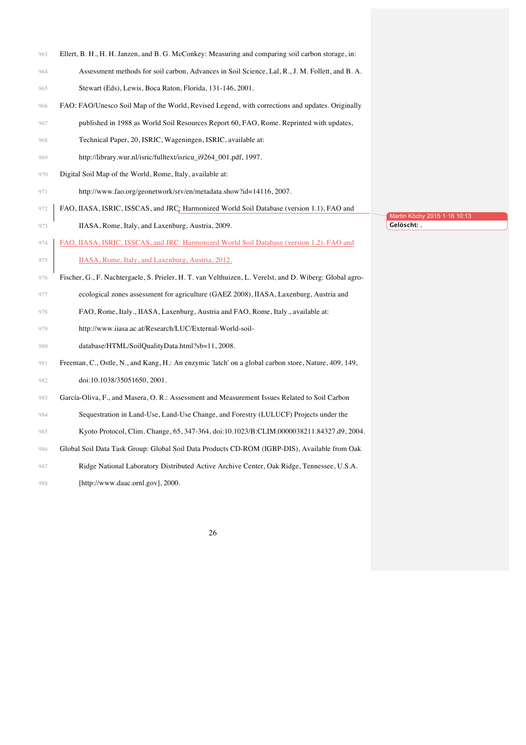- Ellert, B. H., H. H. Janzen, and B. G. McConkey: Measuring and comparing soil carbon storage, in:
- Assessment methods for soil carbon, Advances in Soil Science, Lal, R., J. M. Follett, and B. A.
- Stewart (Eds), Lewis, Boca Raton, Florida, 131-146, 2001.
- FAO: FAO/Unesco Soil Map of the World, Revised Legend, with corrections and updates. Originally
- published in 1988 as World Soil Resources Report 60, FAO, Rome. Reprinted with updates,
- Technical Paper, 20, ISRIC, Wageningen, ISRIC, available at:
- http://library.wur.nl/isric/fulltext/isricu\_i9264\_001.pdf, 1997.
- Digital Soil Map of the World, Rome, Italy, available at:
- http://www.fao.org/geonetwork/srv/en/metadata.show?id=14116, 2007.
- 972 | FAO, IIASA, ISRIC, ISSCAS, and JRC: Harmonized World Soil Database (version 1.1), FAO and
- IIASA, Rome, Italy, and Laxenburg, Austria, 2009.
- FAO, IIASA, ISRIC, ISSCAS, and JRC: Harmonized World Soil Database (version 1.2), FAO and
- 975 IIASA, Rome, Italy, and Laxenburg, Austria, 2012.
- Fischer, G., F. Nachtergaele, S. Prieler, H. T. van Velthuizen, L. Verelst, and D. Wiberg: Global agro-
- ecological zones assessment for agriculture (GAEZ 2008), IIASA, Laxenburg, Austria and
- FAO, Rome, Italy., IIASA, Laxenburg, Austria and FAO, Rome, Italy., available at:
- http://www.iiasa.ac.at/Research/LUC/External-World-soil-
- database/HTML/SoilQualityData.html?sb=11, 2008.
- Freeman, C., Ostle, N., and Kang, H.: An enzymic 'latch' on a global carbon store, Nature, 409, 149, doi:10.1038/35051650, 2001.
- García-Oliva, F., and Masera, O. R.: Assessment and Measurement Issues Related to Soil Carbon
- Sequestration in Land-Use, Land-Use Change, and Forestry (LULUCF) Projects under the
- Kyoto Protocol, Clim. Change, 65, 347-364, doi:10.1023/B:CLIM.0000038211.84327.d9, 2004.
- Global Soil Data Task Group: Global Soil Data Products CD-ROM (IGBP-DIS), Available from Oak
- Ridge National Laboratory Distributed Active Archive Center, Oak Ridge, Tennessee, U.S.A.
- [http://www.daac.ornl.gov], 2000.

Martin Köchy 2015·1·16 10:13 **Gelöscht:** ,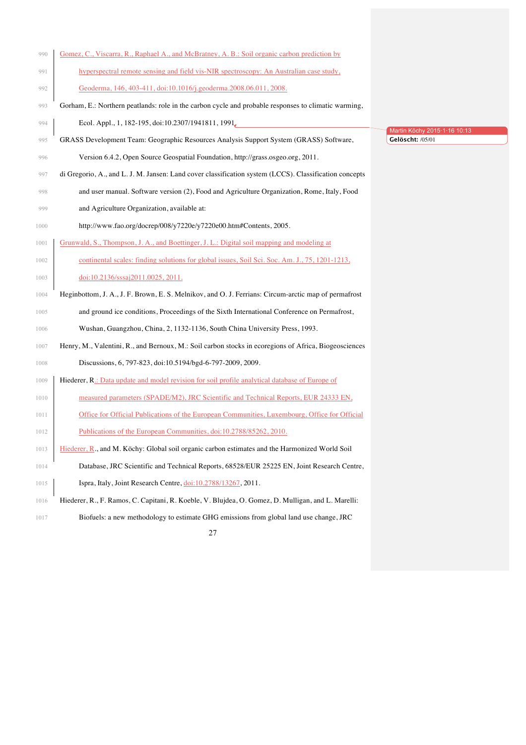| 990  | Gomez, C., Viscarra, R., Raphael A., and McBratney, A. B.: Soil organic carbon prediction by           |                                                      |
|------|--------------------------------------------------------------------------------------------------------|------------------------------------------------------|
| 991  | hyperspectral remote sensing and field vis-NIR spectroscopy: An Australian case study,                 |                                                      |
| 992  | Geoderma, 146, 403-411, doi:10.1016/j.geoderma.2008.06.011, 2008.                                      |                                                      |
| 993  | Gorham, E.: Northern peatlands: role in the carbon cycle and probable responses to climatic warming,   |                                                      |
| 994  | Ecol. Appl., 1, 182-195, doi:10.2307/1941811, 1991,                                                    |                                                      |
| 995  | GRASS Development Team: Geographic Resources Analysis Support System (GRASS) Software,                 | Martin Köchy 2015 · 1 · 16 10:13<br>Gelöscht: /05/01 |
| 996  | Version 6.4.2, Open Source Geospatial Foundation, http://grass.osgeo.org, 2011.                        |                                                      |
| 997  | di Gregorio, A., and L. J. M. Jansen: Land cover classification system (LCCS). Classification concepts |                                                      |
| 998  | and user manual. Software version (2), Food and Agriculture Organization, Rome, Italy, Food            |                                                      |
| 999  | and Agriculture Organization, available at:                                                            |                                                      |
| 1000 | http://www.fao.org/docrep/008/y7220e/y7220e00.htm#Contents, 2005.                                      |                                                      |
| 1001 | Grunwald, S., Thompson, J. A., and Boettinger, J. L.: Digital soil mapping and modeling at             |                                                      |
| 1002 | continental scales: finding solutions for global issues, Soil Sci. Soc. Am. J., 75, 1201-1213,         |                                                      |
| 1003 | doi:10.2136/sssaj2011.0025, 2011.                                                                      |                                                      |
| 1004 | Heginbottom, J. A., J. F. Brown, E. S. Melnikov, and O. J. Ferrians: Circum-arctic map of permafrost   |                                                      |
| 1005 | and ground ice conditions, Proceedings of the Sixth International Conference on Permafrost,            |                                                      |
| 1006 | Wushan, Guangzhou, China, 2, 1132-1136, South China University Press, 1993.                            |                                                      |
| 1007 | Henry, M., Valentini, R., and Bernoux, M.: Soil carbon stocks in ecoregions of Africa, Biogeosciences  |                                                      |
| 1008 | Discussions, 6, 797-823, doi:10.5194/bgd-6-797-2009, 2009.                                             |                                                      |
| 1009 | Hiederer, R.: Data update and model revision for soil profile analytical database of Europe of         |                                                      |
| 1010 | measured parameters (SPADE/M2), JRC Scientific and Technical Reports, EUR 24333 EN,                    |                                                      |
| 1011 | Office for Official Publications of the European Communities, Luxembourg, Office for Official          |                                                      |
| 1012 | Publications of the European Communities, doi:10.2788/85262, 2010.                                     |                                                      |
| 1013 | Hiederer, R., and M. Köchy: Global soil organic carbon estimates and the Harmonized World Soil         |                                                      |
| 1014 | Database, JRC Scientific and Technical Reports, 68528/EUR 25225 EN, Joint Research Centre,             |                                                      |
| 1015 | Ispra, Italy, Joint Research Centre, $\frac{doi:10.2788}{13267}$ , 2011.                               |                                                      |
| 1016 | Hiederer, R., F. Ramos, C. Capitani, R. Koeble, V. Blujdea, O. Gomez, D. Mulligan, and L. Marelli:     |                                                      |
| 1017 | Biofuels: a new methodology to estimate GHG emissions from global land use change, JRC                 |                                                      |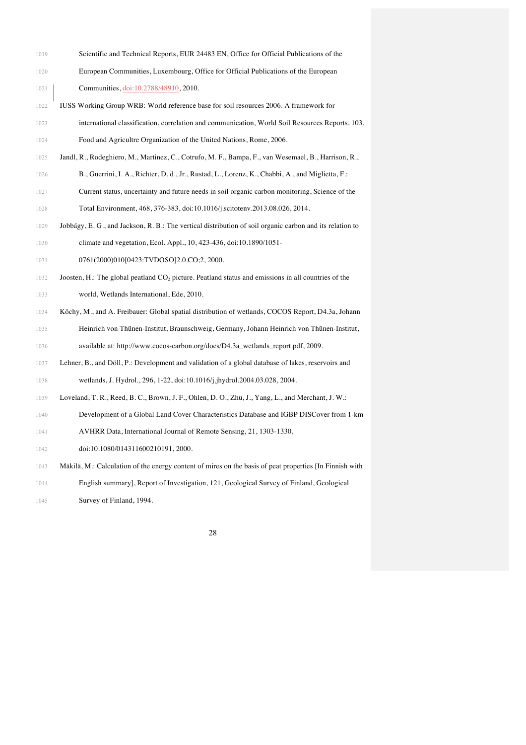- 1019 Scientific and Technical Reports, EUR 24483 EN, Office for Official Publications of the
- European Communities, Luxembourg, Office for Official Publications of the European **Communities**, doi:10.2788/48910, 2010.
- IUSS Working Group WRB: World reference base for soil resources 2006. A framework for international classification, correlation and communication, World Soil Resources Reports, 103,
- Food and Agricultre Organization of the United Nations, Rome, 2006.
- Jandl, R., Rodeghiero, M., Martinez, C., Cotrufo, M. F., Bampa, F., van Wesemael, B., Harrison, R.,
- B., Guerrini, I. A., Richter, D. d., Jr., Rustad, L., Lorenz, K., Chabbi, A., and Miglietta, F.:
- Current status, uncertainty and future needs in soil organic carbon monitoring, Science of the Total Environment, 468, 376-383, doi:10.1016/j.scitotenv.2013.08.026, 2014.
- Jobbágy, E. G., and Jackson, R. B.: The vertical distribution of soil organic carbon and its relation to climate and vegetation, Ecol. Appl., 10, 423-436, doi:10.1890/1051-
- 1031 0761(2000)010[0423:TVDOSO]2.0.CO;2, 2000.
- 1032 Joosten, H.: The global peatland CO<sub>2</sub> picture. Peatland status and emissions in all countries of the
- world, Wetlands International, Ede, 2010.
- Köchy, M., and A. Freibauer: Global spatial distribution of wetlands, COCOS Report, D4.3a, Johann
- Heinrich von Thünen-Institut, Braunschweig, Germany, Johann Heinrich von Thünen-Institut, available at: http://www.cocos-carbon.org/docs/D4.3a\_wetlands\_report.pdf, 2009.
- Lehner, B., and Döll, P.: Development and validation of a global database of lakes, reservoirs and wetlands, J. Hydrol., 296, 1-22, doi:10.1016/j.jhydrol.2004.03.028, 2004.
- Loveland, T. R., Reed, B. C., Brown, J. F., Ohlen, D. O., Zhu, J., Yang, L., and Merchant, J. W.:
- Development of a Global Land Cover Characteristics Database and IGBP DISCover from 1-km
- AVHRR Data, International Journal of Remote Sensing, 21, 1303-1330,
- 1042 doi:10.1080/014311600210191, 2000.
- Mäkilä, M.: Calculation of the energy content of mires on the basis of peat properties [In Finnish with

 English summary], Report of Investigation, 121, Geological Survey of Finland, Geological **Survey of Finland, 1994.**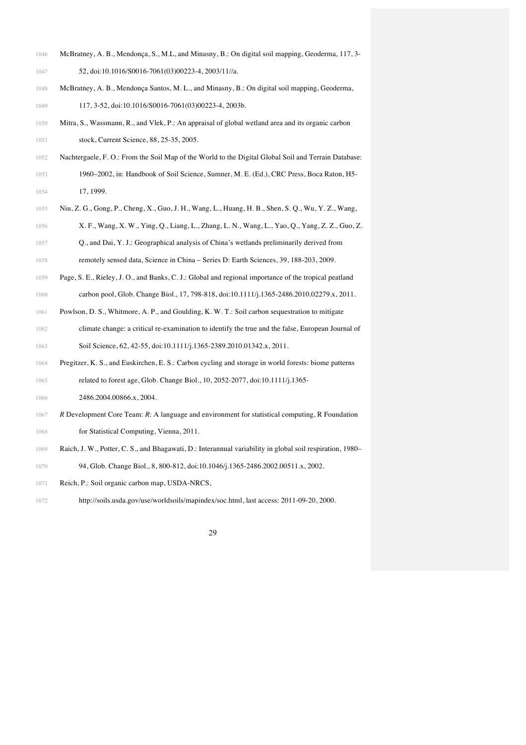- McBratney, A. B., Mendonça, S., M.L, and Minasny, B.: On digital soil mapping, Geoderma, 117, 3-
- 1047 52, doi:10.1016/S0016-7061(03)00223-4, 2003/11//a.
- McBratney, A. B., Mendonça Santos, M. L., and Minasny, B.: On digital soil mapping, Geoderma, 1049 117, 3-52, doi:10.1016/S0016-7061(03)00223-4, 2003b.
- Mitra, S., Wassmann, R., and Vlek, P.: An appraisal of global wetland area and its organic carbon 1051 stock, Current Science, 88, 25-35, 2005.
- Nachtergaele, F. O.: From the Soil Map of the World to the Digital Global Soil and Terrain Database:
- 1960–2002, in: Handbook of Soil Science, Sumner, M. E. (Ed.), CRC Press, Boca Raton, H5- 17, 1999.
- Niu, Z. G., Gong, P., Cheng, X., Guo, J. H., Wang, L., Huang, H. B., Shen, S. Q., Wu, Y. Z., Wang, X. F., Wang, X. W., Ying, Q., Liang, L., Zhang, L. N., Wang, L., Yao, Q., Yang, Z. Z., Guo, Z. Q., and Dai, Y. J.: Geographical analysis of China's wetlands preliminarily derived from
- remotely sensed data, Science in China Series D: Earth Sciences, 39, 188-203, 2009.
- Page, S. E., Rieley, J. O., and Banks, C. J.: Global and regional importance of the tropical peatland
- carbon pool, Glob. Change Biol., 17, 798-818, doi:10.1111/j.1365-2486.2010.02279.x, 2011.
- Powlson, D. S., Whitmore, A. P., and Goulding, K. W. T.: Soil carbon sequestration to mitigate
- climate change: a critical re-examination to identify the true and the false, European Journal of 1063 Soil Science, 62, 42-55, doi:10.1111/j.1365-2389.2010.01342.x, 2011.
- Pregitzer, K. S., and Euskirchen, E. S.: Carbon cycling and storage in world forests: biome patterns related to forest age, Glob. Change Biol., 10, 2052-2077, doi:10.1111/j.1365-
- 1066 2486.2004.00866.x, 2004.
- *R* Development Core Team: *R*: A language and environment for statistical computing, R Foundation
- for Statistical Computing, Vienna, 2011.
- Raich, J. W., Potter, C. S., and Bhagawati, D.: Interannual variability in global soil respiration, 1980–
- 94, Glob. Change Biol., 8, 800-812, doi:10.1046/j.1365-2486.2002.00511.x, 2002.
- Reich, P.: Soil organic carbon map, USDA-NRCS,
- http://soils.usda.gov/use/worldsoils/mapindex/soc.html, last access: 2011-09-20, 2000.

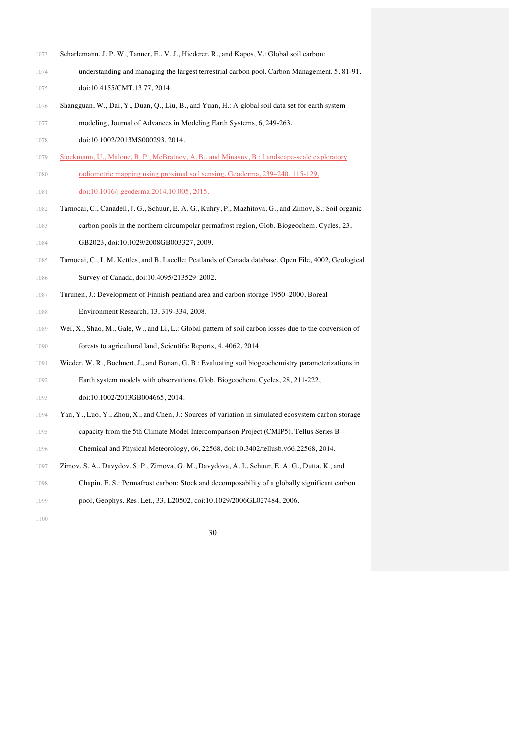- 1073 Scharlemann, J. P. W., Tanner, E., V. J., Hiederer, R., and Kapos, V.: Global soil carbon:
- understanding and managing the largest terrestrial carbon pool, Carbon Management, 5, 81-91, 1075 doi:10.4155/CMT.13.77, 2014.
- Shangguan, W., Dai, Y., Duan, Q., Liu, B., and Yuan, H.: A global soil data set for earth system
- modeling, Journal of Advances in Modeling Earth Systems, 6, 249-263,
- 1078 doi:10.1002/2013MS000293, 2014.
- Stockmann, U., Malone, B. P., McBratney, A. B., and Minasny, B.: Landscape-scale exploratory 1080 radiometric mapping using proximal soil sensing, Geoderma, 239-240, 115-129,
- 1081 doi:10.1016/j.geoderma.2014.10.005, 2015.
- Tarnocai, C., Canadell, J. G., Schuur, E. A. G., Kuhry, P., Mazhitova, G., and Zimov, S.: Soil organic carbon pools in the northern circumpolar permafrost region, Glob. Biogeochem. Cycles, 23, **GB2023, doi:10.1029/2008GB003327, 2009.**
- Tarnocai, C., I. M. Kettles, and B. Lacelle: Peatlands of Canada database, Open File, 4002, Geological 1086 Survey of Canada, doi:10.4095/213529, 2002.
- Turunen, J.: Development of Finnish peatland area and carbon storage 1950–2000, Boreal
- Environment Research, 13, 319-334, 2008.
- Wei, X., Shao, M., Gale, W., and Li, L.: Global pattern of soil carbon losses due to the conversion of forests to agricultural land, Scientific Reports, 4, 4062, 2014.
- Wieder, W. R., Boehnert, J., and Bonan, G. B.: Evaluating soil biogeochemistry parameterizations in Earth system models with observations, Glob. Biogeochem. Cycles, 28, 211-222,
- 1093 doi:10.1002/2013GB004665, 2014.
- Yan, Y., Luo, Y., Zhou, X., and Chen, J.: Sources of variation in simulated ecosystem carbon storage
- capacity from the 5th Climate Model Intercomparison Project (CMIP5), Tellus Series B –
- Chemical and Physical Meteorology, 66, 22568, doi:10.3402/tellusb.v66.22568, 2014.
- Zimov, S. A., Davydov, S. P., Zimova, G. M., Davydova, A. I., Schuur, E. A. G., Dutta, K., and
- Chapin, F. S.: Permafrost carbon: Stock and decomposability of a globally significant carbon
- pool, Geophys. Res. Let., 33, L20502, doi:10.1029/2006GL027484, 2006.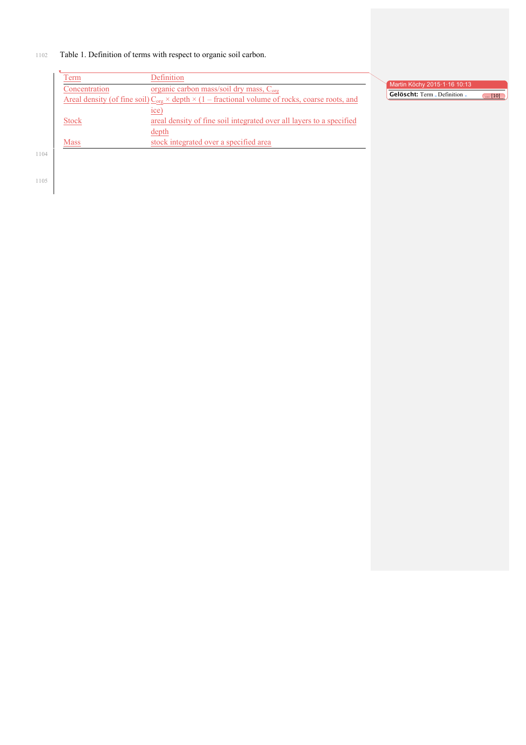## 1102 Table 1. Definition of terms with respect to organic soil carbon.

|      | l'erm         | Definition                                                                                                             |                                       |
|------|---------------|------------------------------------------------------------------------------------------------------------------------|---------------------------------------|
|      | Concentration | organic carbon mass/soil dry mass, C <sub>org</sub>                                                                    | Martin Köchy 2015.1.16 10:13          |
|      |               | Areal density (of fine soil) $C_{\text{ore}} \times$ depth $\times$ (1 – fractional volume of rocks, coarse roots, and | Gelöscht: Term . Definition .<br>[10] |
|      |               | ice)                                                                                                                   |                                       |
|      | <b>Stock</b>  | areal density of fine soil integrated over all layers to a specified                                                   |                                       |
|      |               | depth                                                                                                                  |                                       |
|      | <b>Mass</b>   | stock integrated over a specified area                                                                                 |                                       |
| 1104 |               |                                                                                                                        |                                       |
|      |               |                                                                                                                        |                                       |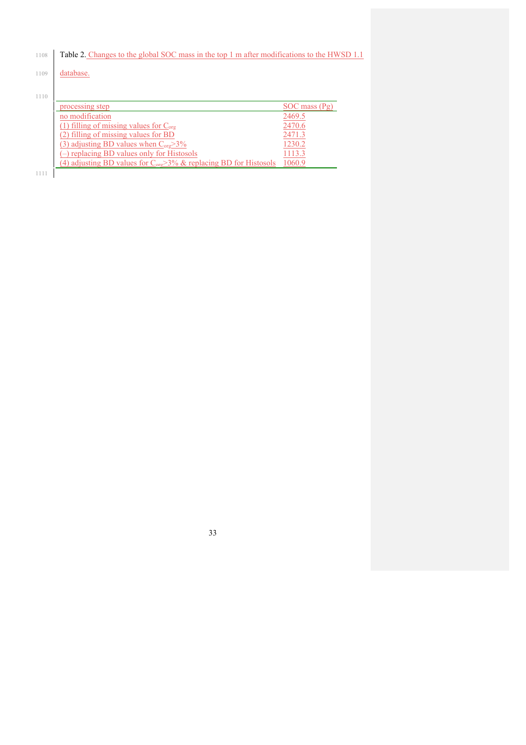| 1108 | Table 2. Changes to the global SOC mass in the top 1 m after modifications to the HWSD 1.1 |                   |  |  |  |  |
|------|--------------------------------------------------------------------------------------------|-------------------|--|--|--|--|
| 1109 | database.                                                                                  |                   |  |  |  |  |
|      |                                                                                            |                   |  |  |  |  |
| 1110 |                                                                                            |                   |  |  |  |  |
|      | processing step                                                                            | $SOC$ mass $(Pg)$ |  |  |  |  |
|      | no modification                                                                            | 2469.5            |  |  |  |  |
|      | (1) filling of missing values for $C_{org}$                                                | 2470.6            |  |  |  |  |
|      | (2) filling of missing values for BD                                                       | 2471.3            |  |  |  |  |
|      | (3) adjusting BD values when $C_{org} > 3\%$                                               | 1230.2            |  |  |  |  |
|      | (-) replacing BD values only for Histosols                                                 | 1113.3            |  |  |  |  |
|      | (4) adjusting BD values for $C_{\text{ore}} > 3\%$ & replacing BD for Histosols            | 1060.9            |  |  |  |  |
| 1111 |                                                                                            |                   |  |  |  |  |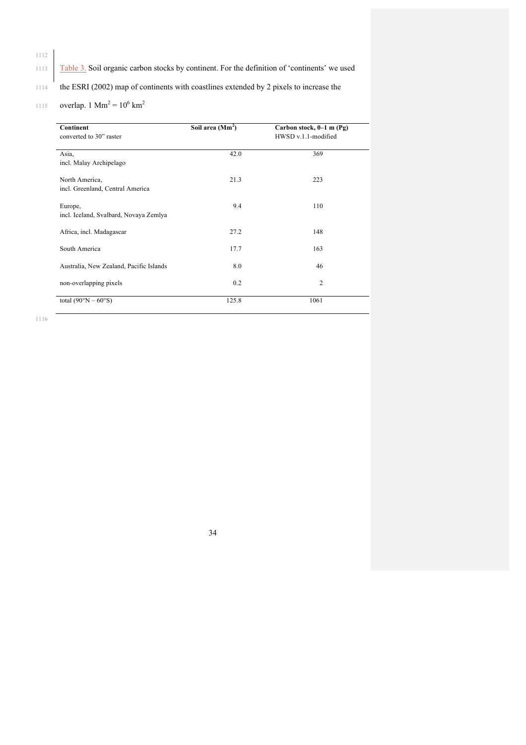## 1113 Table 3. Soil organic carbon stocks by continent. For the definition of 'continents' we used

<sup>1114</sup> the ESRI (2002) map of continents with coastlines extended by 2 pixels to increase the

1115 overlap. 1 Mm<sup>2</sup> =  $10^6$  km<sup>2</sup>

| Continent<br>converted to 30" raster               | Soil area (Mm <sup>2</sup> ) | Carbon stock, $0-1$ m (Pg)<br>HWSD v.1.1-modified |
|----------------------------------------------------|------------------------------|---------------------------------------------------|
| Asia.<br>incl. Malay Archipelago                   | 42.0                         | 369                                               |
| North America,<br>incl. Greenland, Central America | 21.3                         | 223                                               |
| Europe,<br>incl. Iceland, Svalbard, Novaya Zemlya  | 9.4                          | 110                                               |
| Africa, incl. Madagascar                           | 27.2                         | 148                                               |
| South America                                      | 17.7                         | 163                                               |
| Australia, New Zealand, Pacific Islands            | 8.0                          | 46                                                |
| non-overlapping pixels                             | 0.2                          | $\overline{2}$                                    |
| total $(90^{\circ}N - 60^{\circ}S)$                | 125.8                        | 1061                                              |

1116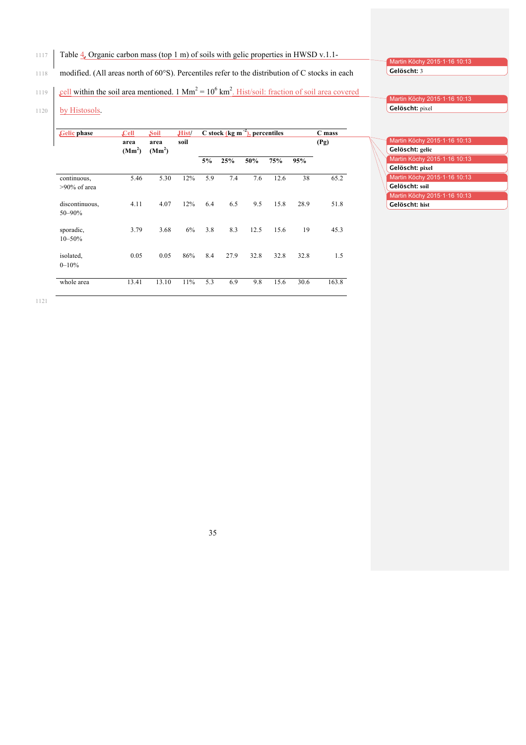1117 Table 4. Organic carbon mass (top 1 m) of soils with gelic properties in HWSD v.1.1-

1118 modified. (All areas north of 60°S). Percentiles refer to the distribution of C stocks in each

Gelöscht: 3

1119 cell within the soil area mentioned. 1 Mm<sup>2</sup> =  $10^6$  km<sup>2</sup>. Hist/soil: fraction of soil area covered

1120 by Histosols.

| Gelic phase                    | $\mathcal{L}$ ell          | Soil                       | Hist/ |     |      | C stock (kg m $^{-2}$ ), percentiles |      |      | C mass |
|--------------------------------|----------------------------|----------------------------|-------|-----|------|--------------------------------------|------|------|--------|
|                                | area<br>(Mm <sup>2</sup> ) | area<br>(Mm <sup>2</sup> ) | soil  |     |      |                                      |      |      | (Pg)   |
|                                |                            |                            |       | 5%  | 25%  | 50%                                  | 75%  | 95%  |        |
| continuous,<br>$>90\%$ of area | 5.46                       | 5.30                       | 12%   | 5.9 | 7.4  | 7.6                                  | 12.6 | 38   | 65.2   |
| discontinuous,<br>50-90%       | 4.11                       | 4.07                       | 12%   | 6.4 | 6.5  | 9.5                                  | 15.8 | 28.9 | 51.8   |
| sporadic,<br>$10 - 50%$        | 3.79                       | 3.68                       | 6%    | 3.8 | 8.3  | 12.5                                 | 15.6 | 19   | 45.3   |
| isolated.<br>$0 - 10%$         | 0.05                       | 0.05                       | 86%   | 8.4 | 27.9 | 32.8                                 | 32.8 | 32.8 | 1.5    |
| whole area                     | 13.41                      | 13.10                      | 11%   | 5.3 | 6.9  | 9.8                                  | 15.6 | 30.6 | 163.8  |

Martin Köchy 2015·1·16 10:13 **123 Gelöscht:** pixel

Martin Köchy 2015·1·16 10:13

| Martin Köchy 2015.1.16 10:13 |
|------------------------------|
| Gelöscht: gelic              |
| Martin Köchy 2015.1.16 10:13 |
| Gelöscht: pixel              |
| Martin Köchy 2015.1.16 10:13 |
| Gelöscht: soil               |
| Martin Köchy 2015.1.16 10:13 |
| Gelöscht: hist               |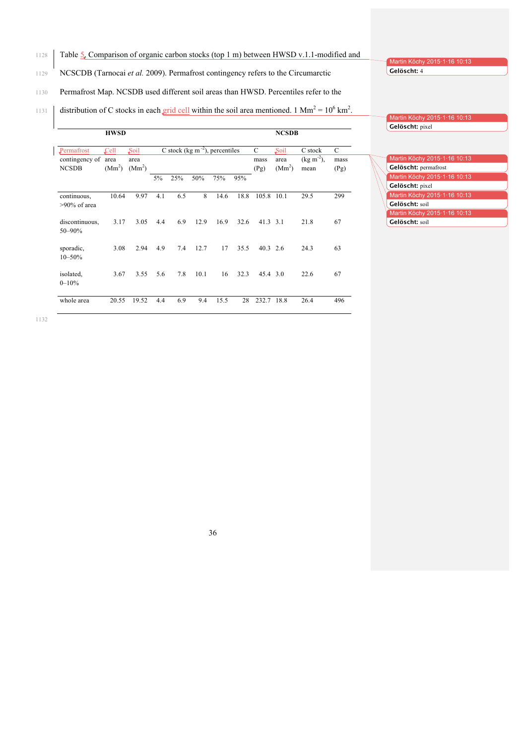## 1128 Table 5. Comparison of organic carbon stocks (top 1 m) between HWSD v.1.1-modified and

## 1129 NCSCDB (Tarnocai *et al.* 2009). Permafrost contingency refers to the Circumarctic

1130 Permafrost Map. NCSDB used different soil areas than HWSD. Percentiles refer to the

1131 distribution of C stocks in each grid cell within the soil area mentioned. 1 Mm<sup>2</sup> =  $10^6$  km<sup>2</sup>.

|                                              | <b>HWSD</b>                                                              |       |       |                                      |      |      |                   |                                    | <b>NCSDB</b>                          |                   |     |
|----------------------------------------------|--------------------------------------------------------------------------|-------|-------|--------------------------------------|------|------|-------------------|------------------------------------|---------------------------------------|-------------------|-----|
| Permafrost<br>contingency of<br><b>NCSDB</b> | Soil<br>Cell<br>area<br>area<br>(Mm <sup>2</sup> )<br>(Mm <sup>2</sup> ) |       |       | C stock (kg m $^{-2}$ ), percentiles |      |      | C<br>mass<br>(Pg) | Soil<br>area<br>(Mm <sup>2</sup> ) | C stock<br>$(kg \, m^{-2})$ ,<br>mean | C<br>mass<br>(Pg) |     |
|                                              |                                                                          |       | $5\%$ | 25%                                  | 50%  | 75%  | 95%               |                                    |                                       |                   |     |
| continuous,<br>$>90\%$ of area               | 10.64                                                                    | 9.97  | 4.1   | 6.5                                  | 8    | 14.6 | 18.8              | 105.8 10.1                         |                                       | 29.5              | 299 |
| discontinuous.<br>50-90%                     | 3.17                                                                     | 3.05  | 4.4   | 6.9                                  | 12.9 | 16.9 | 32.6              | 41.3                               | 3.1                                   | 21.8              | 67  |
| sporadic,<br>$10 - 50%$                      | 3.08                                                                     | 2.94  | 4.9   | 7.4                                  | 12.7 | 17   | 35.5              | 40.3                               | 2.6                                   | 24.3              | 63  |
| isolated.<br>$0 - 10%$                       | 3.67                                                                     | 3.55  | 5.6   | 7.8                                  | 10.1 | 16   | 32.3              | 45.4 3.0                           |                                       | 22.6              | 67  |
| whole area                                   | 20.55                                                                    | 19.52 | 4.4   | 6.9                                  | 9.4  | 15.5 | 28                | 232.7                              | 18.8                                  | 26.4              | 496 |

Martin Köchy 2015·1·16 10:13 Gelöscht: 4

1134 **Gelöscht:** pixel

Martin Köchy 2015·1·16 10:13

| Martin Köchy 2015.1.16 10:13 |
|------------------------------|
| Gelöscht: permafrost         |
| Martin Köchy 2015.1.16 10:13 |
| Gelöscht: pixel              |
| Martin Köchy 2015.1.16 10:13 |
| Gelöscht: soil               |
| Martin Köchy 2015.1.16 10:13 |
| Gelöscht: soil               |
|                              |

1132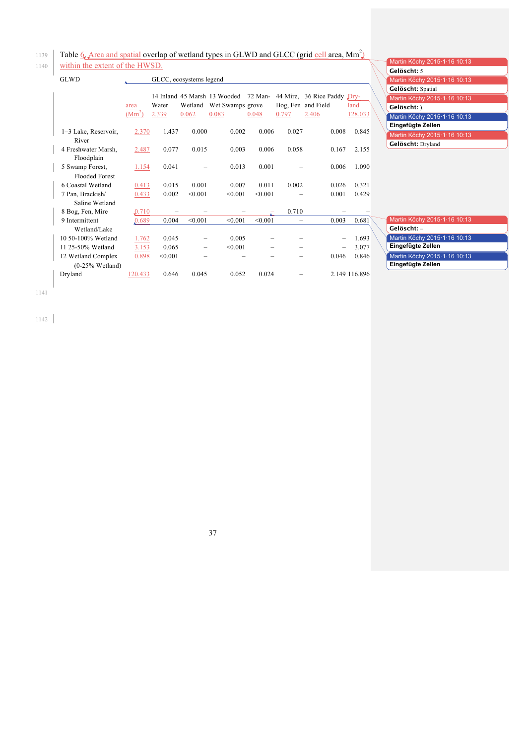Table 6. Area and spatial overlap of wetland types in GLWD and GLCC (grid cell area, Mm<sup>2</sup>)

1140 within the extent of the HWSD.

|  | ۰ |  |
|--|---|--|
|  |   |  |
|  |   |  |

| <b>GLWD</b><br>GLCC, ecosystems legend   |                  |                |                  |                                                           |                  |       |                                                            |                 |  |
|------------------------------------------|------------------|----------------|------------------|-----------------------------------------------------------|------------------|-------|------------------------------------------------------------|-----------------|--|
|                                          | area<br>$(Mm^2)$ | Water<br>2.339 | Wetland<br>0.062 | 14 Inland 45 Marsh 13 Wooded<br>Wet Swamps grove<br>0.083 | 72 Man-<br>0.048 | 0.797 | 44 Mire, 36 Rice Paddy Dry-<br>Bog, Fen and Field<br>2.406 | land<br>128.033 |  |
| 1–3 Lake, Reservoir,<br>River            | 2.370            | 1.437          | 0.000            | 0.002                                                     | 0.006            | 0.027 | 0.008                                                      | 0.845           |  |
| 4 Freshwater Marsh,<br>Floodplain        | 2.487            | 0.077          | 0.015            | 0.003                                                     | 0.006            | 0.058 | 0.167                                                      | 2.155           |  |
| 5 Swamp Forest,<br><b>Flooded Forest</b> | 1.154            | 0.041          |                  | 0.013                                                     | 0.001            |       | 0.006                                                      | 1.090           |  |
| 6 Coastal Wetland                        | 0.413            | 0.015          | 0.001            | 0.007                                                     | 0.011            | 0.002 | 0.026                                                      | 0.321           |  |
| 7 Pan, Brackish/<br>Saline Wetland       | 0.433            | 0.002          | < 0.001          | < 0.001                                                   | < 0.001          |       | 0.001                                                      | 0.429           |  |
| 8 Bog, Fen, Mire                         | 0.710            |                |                  |                                                           |                  | 0.710 |                                                            |                 |  |
| 9 Intermittent                           | 0.689            | 0.004          | < 0.001          | < 0.001                                                   | < 0.001          |       | 0.003                                                      | 0.681           |  |
| Wetland/Lake                             |                  |                |                  |                                                           |                  |       |                                                            |                 |  |
| 10 50-100% Wetland                       | 1.762            | 0.045          |                  | 0.005                                                     |                  |       |                                                            | 1.693           |  |
| 11 25-50% Wetland                        | 3.153            | 0.065          |                  | < 0.001                                                   |                  |       |                                                            | 3.077           |  |
| 12 Wetland Complex                       | 0.898            | < 0.001        |                  |                                                           |                  |       | 0.046                                                      | 0.846           |  |
| $(0-25\%$ Wetland)                       |                  |                |                  |                                                           |                  |       |                                                            |                 |  |
| Dryland                                  | 120.433          | 0.646          | 0.045            | 0.052                                                     | 0.024            |       |                                                            | 2.149 116.896   |  |

|                | Martin Köchy 2015 · 1 · 16 10:13 |
|----------------|----------------------------------|
|                | Gelöscht: 5                      |
|                | Martin Köchy 2015.1.16 10:13     |
|                | Gelöscht: Spatial                |
|                | Martin Köchy 2015 · 1 · 16 10:13 |
|                | Gelöscht: ).                     |
| $\overline{3}$ | Martin Köchy 2015 · 1 · 16 10:13 |
|                | Eingefügte Zellen                |
| I5             | Martin Köchy 2015.1.16 10:13     |
|                | Gelöscht: Dryland                |

| $\overline{\mathbf{1}}$ | Martin Köchy 2015 · 1 · 16 10:13 |
|-------------------------|----------------------------------|
|                         | Gelöscht: -                      |
| 13                      | Martin Köchy 2015 · 1 · 16 10:13 |
| 17                      | Eingefügte Zellen                |
| 16                      | Martin Köchy 2015 · 1 · 16 10:13 |
|                         | Eingefügte Zellen                |
|                         |                                  |

1141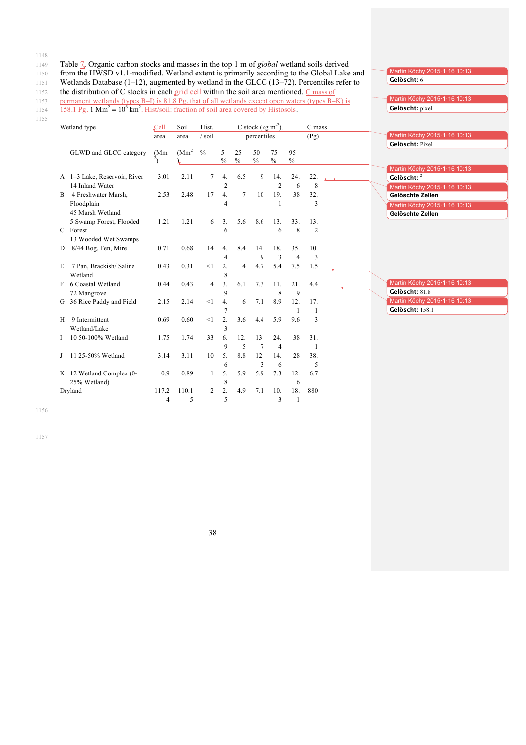1149 Table 7. Organic carbon stocks and masses in the top 1 m of *global* wetland soils derived

1150 from the HWSD v1.1-modified. Wetland extent is primarily according to the Global Lake and

1155

|    | 158.1 Pg. 1 $\text{Mm}^2 = 10^6 \text{ km}^2$ . Hist/soil: fraction of soil area covered by Histosols. |                   | permanent wetlands (types B-I) is 81.8 Pg, that of all wetlands except open waters (types B-K) is |                |                       |                     |                                 |                       |                       |                |   |  | Gelöscht: pixel                                  |
|----|--------------------------------------------------------------------------------------------------------|-------------------|---------------------------------------------------------------------------------------------------|----------------|-----------------------|---------------------|---------------------------------|-----------------------|-----------------------|----------------|---|--|--------------------------------------------------|
|    | Wetland type                                                                                           | $\mathcal{L}$ ell | Soil                                                                                              | Hist.          |                       |                     | C stock ( $\text{kg m}^{-2}$ ), |                       |                       | C mass         |   |  |                                                  |
|    |                                                                                                        | area              | area                                                                                              | / soil         |                       |                     | percentiles                     |                       |                       | (Pg)           |   |  | Martin Köchy 2015·1·16 10:13<br>Gelöscht: Pixel  |
|    | GLWD and GLCC category                                                                                 | (Mm)              | (Mm <sup>2</sup> )                                                                                | $\frac{0}{0}$  | 5<br>$\frac{0}{0}$    | 25<br>$\frac{0}{0}$ | 50<br>$\frac{0}{0}$             | 75<br>$\frac{0}{0}$   | 95<br>$\%$            |                |   |  |                                                  |
|    | A 1-3 Lake, Reservoir, River                                                                           | 3.01              | 2.11                                                                                              | 7              | 4.                    | 6.5                 | 9                               | 14.                   | 24.                   | 22.            |   |  | Martin Köchy 2015·1·16 10:13<br>Gelöscht: 2      |
|    | 14 Inland Water                                                                                        |                   |                                                                                                   |                | 2                     |                     |                                 | $\overline{2}$        | 6                     | 8              |   |  | Martin Köchy 2015-1-16 10:13                     |
| B  | 4 Freshwater Marsh,                                                                                    | 2.53              | 2.48                                                                                              | 17             | 4.                    | $\tau$              | 10                              | 19.                   | 38                    | 32.            |   |  | Gelöschte Zellen                                 |
|    | Floodplain<br>45 Marsh Wetland                                                                         |                   |                                                                                                   |                | 4                     |                     |                                 | $\mathbf{1}$          |                       | 3              |   |  | Martin Köchy 2015·1·16 10:13<br>Gelöschte Zellen |
|    | 5 Swamp Forest, Flooded                                                                                | 1.21              | 1.21                                                                                              | 6              | 3 <sub>1</sub>        | 5.6                 | 8.6                             | 13.                   | 33.                   | 13.            |   |  |                                                  |
|    | C Forest<br>13 Wooded Wet Swamps                                                                       |                   |                                                                                                   |                | 6                     |                     |                                 | 6                     | 8                     | $\overline{2}$ |   |  |                                                  |
| D  | 8/44 Bog, Fen, Mire                                                                                    | 0.71              | 0.68                                                                                              | 14             | 4.                    | 8.4                 | 14.                             | 18.                   | 35.                   | 10.            |   |  |                                                  |
| Е  | 7 Pan, Brackish/Saline<br>Wetland                                                                      | 0.43              | 0.31                                                                                              | <1             | 4<br>2.<br>8          | $\overline{4}$      | $\mathbf Q$<br>4.7              | 3<br>5.4              | $\overline{4}$<br>7.5 | 3<br>1.5       |   |  |                                                  |
|    | 6 Coastal Wetland                                                                                      | 0.44              | 0.43                                                                                              | $\overline{4}$ | 3.                    | 6.1                 | 7.3                             | 11.                   | 21.                   | 4.4            | v |  | Martin Köchy 2015-1-16 10:13                     |
|    | 72 Mangrove                                                                                            |                   |                                                                                                   |                | 9                     |                     |                                 | 8                     | 9                     |                |   |  | Gelöscht: 81.8                                   |
| G  | 36 Rice Paddy and Field                                                                                | 2.15              | 2.14                                                                                              | <1             | $\overline{4}$ .      | 6                   | 7.1                             | 8.9                   | 12.                   | 17.<br>1       |   |  | Martin Köchy 2015-1-16 10:13<br>Gelöscht: 158.1  |
| Н  | 9 Intermittent<br>Wetland/Lake                                                                         | 0.69              | 0.60                                                                                              | $\leq$ 1       | $\overline{2}$ .<br>3 | 3.6                 | 4.4                             | 5.9                   | 9.6                   | 3              |   |  |                                                  |
|    | 10 50-100% Wetland                                                                                     | 1.75              | 1.74                                                                                              | 33             | 6.<br>9               | 12.<br>5            | 13.<br>$\overline{7}$           | 24.<br>$\overline{4}$ | 38                    | 31.<br>1       |   |  |                                                  |
| J. | 11 25-50% Wetland                                                                                      | 3.14              | 3.11                                                                                              | 10             | 5.<br>6               | 8.8                 | 12.<br>$\overline{\mathbf{3}}$  | 14.<br>6              | 28                    | 38.<br>5       |   |  |                                                  |
|    | K 12 Wetland Complex (0-<br>25% Wetland)                                                               | 0.9               | 0.89                                                                                              | 1              | 5.<br>8               | 5.9                 | 5.9                             | 7.3                   | 12.<br>6              | 6.7            |   |  |                                                  |
|    | Dryland                                                                                                | 117.2             | 110.1                                                                                             | 2              | 2.                    | 4.9                 | 7.1                             | 10.                   | 18.                   | 880            |   |  |                                                  |
|    |                                                                                                        | 4                 | 5                                                                                                 |                | 5                     |                     |                                 | 3                     | $\mathbf{1}$          |                |   |  |                                                  |

Martin Köchy 2015·1·16 10:13

1156

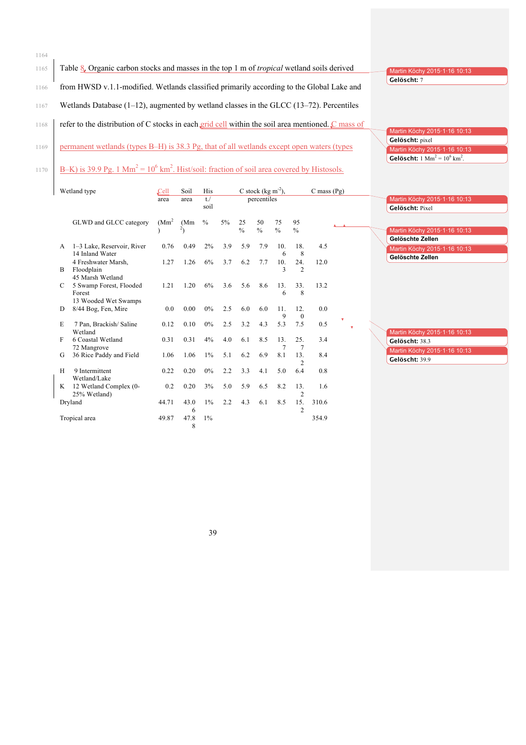1164 1165 Table 8. Organic carbon stocks and masses in the top 1 m of *tropical* wetland soils derived 1166 from HWSD v.1.1-modified. Wetlands classified primarily according to the Global Lake and 1167 Wetlands Database (1-12), augmented by wetland classes in the GLCC (13-72). Percentiles 1168 refer to the distribution of C stocks in each grid cell within the soil area mentioned. C mass of 1169 permanent wetlands (types B–H) is 38.3 Pg, that of all wetlands except open waters (types 1170 **B–K)** is 39.9 Pg. 1 Mm<sup>2</sup> =  $10^6$  km<sup>2</sup>. Hist/soil: fraction of soil area covered by Histosols. Martin Köchy 2015·1·16 10:13 Gelöscht: 7 Martin Köchy 2015·1·16 10:13 1172 **Gelöscht:** pixel Martin Köchy 2015·1·16 10:13 **Gelöscht:**  $1 \text{ Mm}^2 = 10^6 \text{ km}^2$ .

|   | Wetland type                      | Cell               | Soil | His    |     |               | C stock (kg $m^{-2}$ ), |               |                | $C$ mass $(Pg)$ |   |   |                                  |
|---|-----------------------------------|--------------------|------|--------|-----|---------------|-------------------------|---------------|----------------|-----------------|---|---|----------------------------------|
|   |                                   | area               | area | $t$ ./ |     |               | percentiles             |               |                |                 |   |   | Martin Köchy 2015.1.16 10:13     |
|   |                                   |                    |      | soil   |     |               |                         |               |                |                 |   |   | Gelöscht: Pixel                  |
|   |                                   |                    |      |        |     |               |                         |               |                |                 |   |   |                                  |
|   | GLWD and GLCC category            | (Mm <sup>2</sup> ) | (Mm) | $\%$   | 5%  | 25            | 50                      | 75            | 95             |                 |   |   |                                  |
|   |                                   |                    |      |        |     | $\frac{0}{0}$ | $\frac{0}{0}$           | $\frac{0}{0}$ | $\frac{0}{0}$  |                 |   |   | Martin Köchy 2015-1-16 10:13     |
|   |                                   |                    |      |        |     |               |                         |               |                |                 |   |   | Gelöschte Zellen                 |
| A | 1-3 Lake, Reservoir, River        | 0.76               | 0.49 | 2%     | 3.9 | 5.9           | 7.9                     | 10.           | 18.            | 4.5             |   |   | Martin Köchy 2015-1-16 10:13     |
|   | 14 Inland Water                   |                    |      |        |     |               |                         | 6             | 8              |                 |   |   | Gelöschte Zellen                 |
|   | 4 Freshwater Marsh,               | 1.27               | 1.26 | 6%     | 3.7 | 6.2           | 7.7                     | 10.<br>3      | 24.            | 12.0            |   |   |                                  |
| B | Floodplain<br>45 Marsh Wetland    |                    |      |        |     |               |                         |               | 2              |                 |   |   |                                  |
|   |                                   | 1.21               | 1.20 | 6%     | 3.6 | 5.6           | 8.6                     | 13.           | 33.            | 13.2            |   |   |                                  |
| C | 5 Swamp Forest, Flooded<br>Forest |                    |      |        |     |               |                         | 6             | 8              |                 |   |   |                                  |
|   | 13 Wooded Wet Swamps              |                    |      |        |     |               |                         |               |                |                 |   |   |                                  |
| D | 8/44 Bog, Fen, Mire               | 0.0                | 0.00 | $0\%$  | 2.5 | 6.0           | 6.0                     | 11.           | 12.            | 0.0             |   |   |                                  |
|   |                                   |                    |      |        |     |               |                         |               | $\mathbf{0}$   |                 |   |   |                                  |
| E | 7 Pan, Brackish/Saline            | 0.12               | 0.10 | $0\%$  | 2.5 | 3.2           | 4.3                     | 5.3           | 7.5            | 0.5             | v |   |                                  |
|   | Wetland                           |                    |      |        |     |               |                         |               |                |                 |   | v | Martin Köchy 2015-1-16 10:13     |
| F | 6 Coastal Wetland                 | 0.31               | 0.31 | 4%     | 4.0 | 6.1           | 8.5                     | 13.           | 25.            | 3.4             |   |   | Gelöscht: 38.3                   |
|   | 72 Mangrove                       |                    |      |        |     |               |                         |               |                |                 |   |   |                                  |
| G | 36 Rice Paddy and Field           | 1.06               | 1.06 | $1\%$  | 5.1 | 6.2           | 6.9                     | 8.1           | 13.            | 8.4             |   |   | Martin Köchy 2015 · 1 · 16 10:13 |
|   |                                   |                    |      |        |     |               |                         |               | 2              |                 |   |   | Gelöscht: 39.9                   |
| H | 9 Intermittent                    | 0.22               | 0.20 | $0\%$  | 2.2 | 3.3           | 4.1                     | 5.0           | 6.4            | 0.8             |   |   |                                  |
|   | Wetland/Lake                      |                    |      |        |     |               |                         |               |                |                 |   |   |                                  |
| K | 12 Wetland Complex (0-            | 0.2                | 0.20 | 3%     | 5.0 | 5.9           | 6.5                     | 8.2           | 13.            | 1.6             |   |   |                                  |
|   | 25% Wetland)                      |                    |      |        |     |               |                         |               | $\overline{2}$ |                 |   |   |                                  |
|   | Dryland                           | 44.71              | 43.0 | $1\%$  | 2.2 | 4.3           | 6.1                     | 8.5           | 15.            | 310.6           |   |   |                                  |
|   |                                   |                    | 6    |        |     |               |                         |               | $\overline{c}$ |                 |   |   |                                  |
|   | Tropical area                     | 49.87              | 47.8 | $1\%$  |     |               |                         |               |                | 354.9           |   |   |                                  |
|   |                                   |                    | 8    |        |     |               |                         |               |                |                 |   |   |                                  |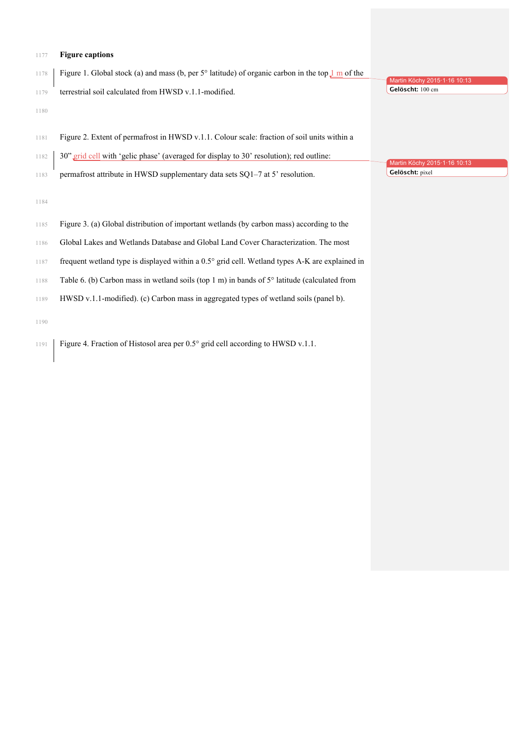#### **Figure captions**

- Figure 1. Global stock (a) and mass (b, per 5° latitude) of organic carbon in the top 1 m of the
- terrestrial soil calculated from HWSD v.1.1-modified.
- 

- Figure 2. Extent of permafrost in HWSD v.1.1. Colour scale: fraction of soil units within a
- 1182 30" grid cell with 'gelic phase' (averaged for display to 30' resolution); red outline:
- permafrost attribute in HWSD supplementary data sets SQ1–7 at 5' resolution.

- Figure 3. (a) Global distribution of important wetlands (by carbon mass) according to the
- Global Lakes and Wetlands Database and Global Land Cover Characterization. The most
- frequent wetland type is displayed within a 0.5° grid cell. Wetland types A-K are explained in
- Table 6. (b) Carbon mass in wetland soils (top 1 m) in bands of 5° latitude (calculated from
- HWSD v.1.1-modified). (c) Carbon mass in aggregated types of wetland soils (panel b).

Figure 4. Fraction of Histosol area per 0.5° grid cell according to HWSD v.1.1.

Martin Köchy 2015·1·16 10: **Gelöscht:** 100 cm

Martin Köchy 2015·1·16 10:13 **Gelöscht:** pixel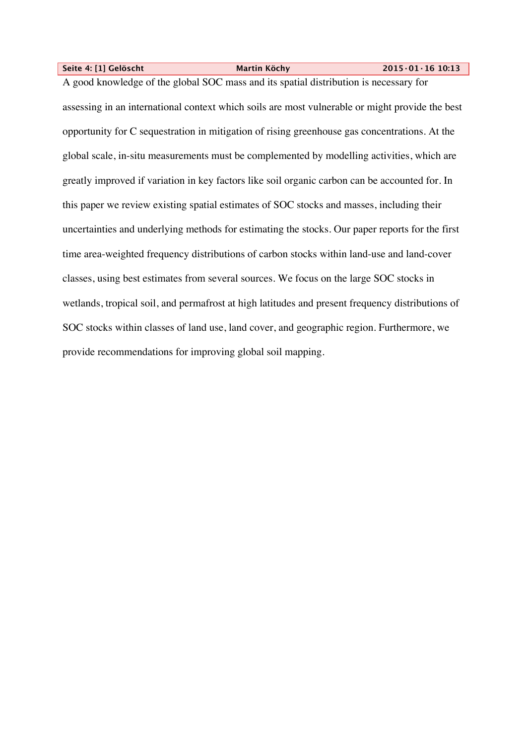**Seite 4: [1] Gelöscht Martin Köchy 2015·01·16 10:13**

A good knowledge of the global SOC mass and its spatial distribution is necessary for assessing in an international context which soils are most vulnerable or might provide the best opportunity for C sequestration in mitigation of rising greenhouse gas concentrations. At the global scale, in-situ measurements must be complemented by modelling activities, which are greatly improved if variation in key factors like soil organic carbon can be accounted for. In this paper we review existing spatial estimates of SOC stocks and masses, including their uncertainties and underlying methods for estimating the stocks. Our paper reports for the first time area-weighted frequency distributions of carbon stocks within land-use and land-cover classes, using best estimates from several sources. We focus on the large SOC stocks in wetlands, tropical soil, and permafrost at high latitudes and present frequency distributions of SOC stocks within classes of land use, land cover, and geographic region. Furthermore, we provide recommendations for improving global soil mapping.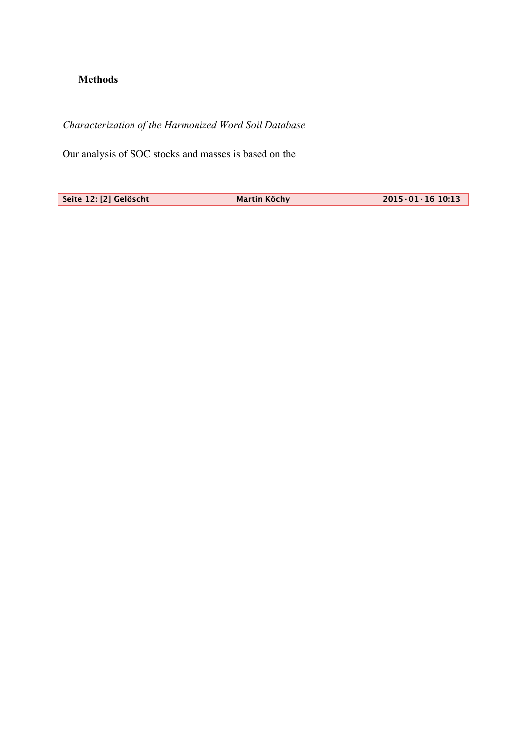# **Methods**

*Characterization of the Harmonized Word Soil Database*

Our analysis of SOC stocks and masses is based on the

**Seite 12: [2] Gelöscht Martin Köchy 2015·01·16 10:13**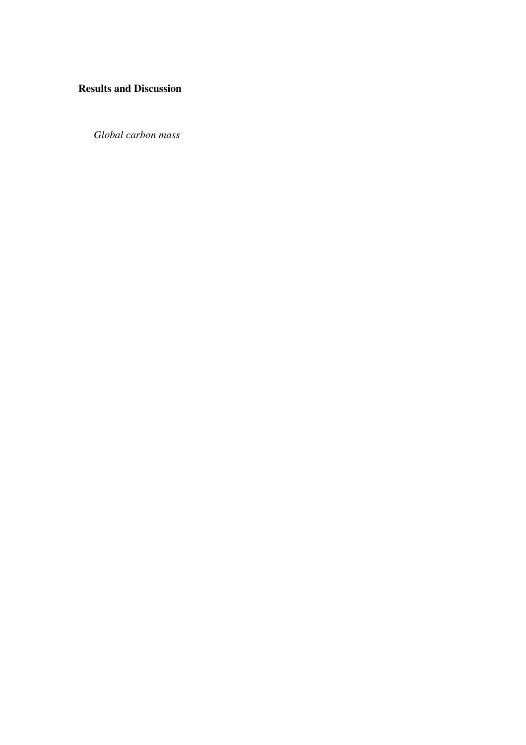# **Results and Discussion**

*Global carbon mass*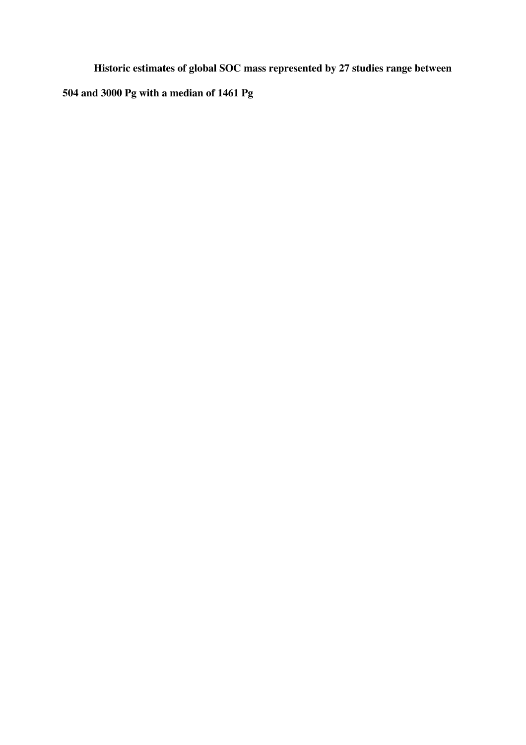**Historic estimates of global SOC mass represented by 27 studies range between** 

**504 and 3000 Pg with a median of 1461 Pg**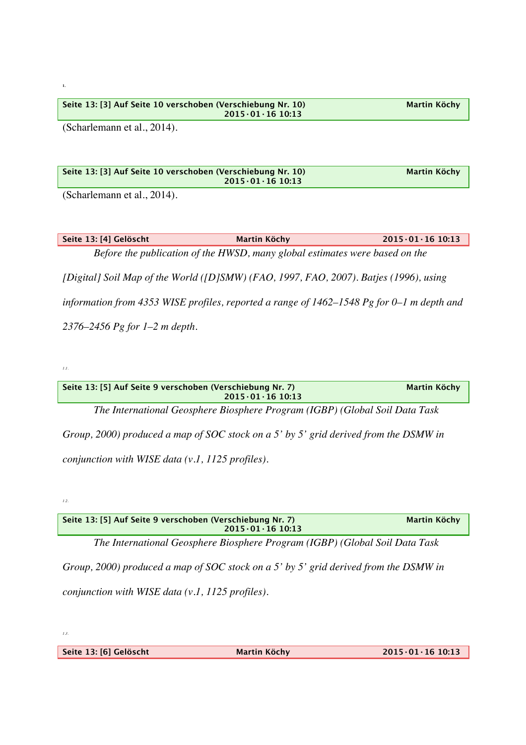| $2015 \cdot 01 \cdot 16$ 10:13 |
|--------------------------------|
|--------------------------------|

(Scharlemann et al., 2014).

**Seite 13: [3] Auf Seite 10 verschoben (Verschiebung Nr. 10) Martin Köchy 2015·01·16 10:13**

(Scharlemann et al., 2014).

**Seite 13: [4] Gelöscht Martin Köchy 2015·01·16 10:13** *Before the publication of the HWSD, many global estimates were based on the [Digital] Soil Map of the World ([D]SMW) (FAO, 1997, FAO, 2007). Batjes (1996), using information from 4353 WISE profiles, reported a range of 1462–1548 Pg for 0–1 m depth and 2376–2456 Pg for 1–2 m depth.*

*1.1.*

**1.**

| Seite 13: [5] Auf Seite 9 verschoben (Verschiebung Nr. 7)<br>$2015.01.16$ 10:13      | <b>Martin Köchy</b> |
|--------------------------------------------------------------------------------------|---------------------|
| The International Geosphere Biosphere Program (IGBP) (Global Soil Data Task          |                     |
| Group, 2000) produced a map of SOC stock on a 5' by 5' grid derived from the DSMW in |                     |
| conjunction with WISE data $(v.1, 1125$ profiles).                                   |                     |

*1.2.*

| Seite 13: [5] Auf Seite 9 verschoben (Verschiebung Nr. 7)<br>$2015 \cdot 01 \cdot 16$ 10:13 | Martin Köchy |
|---------------------------------------------------------------------------------------------|--------------|
|                                                                                             |              |

*The International Geosphere Biosphere Program (IGBP) (Global Soil Data Task* 

*Group, 2000) produced a map of SOC stock on a 5' by 5' grid derived from the DSMW in conjunction with WISE data (v.1, 1125 profiles).* 

*1.3.*

**Seite 13: [6] Gelöscht Martin Köchy 2015·01·16 10:13**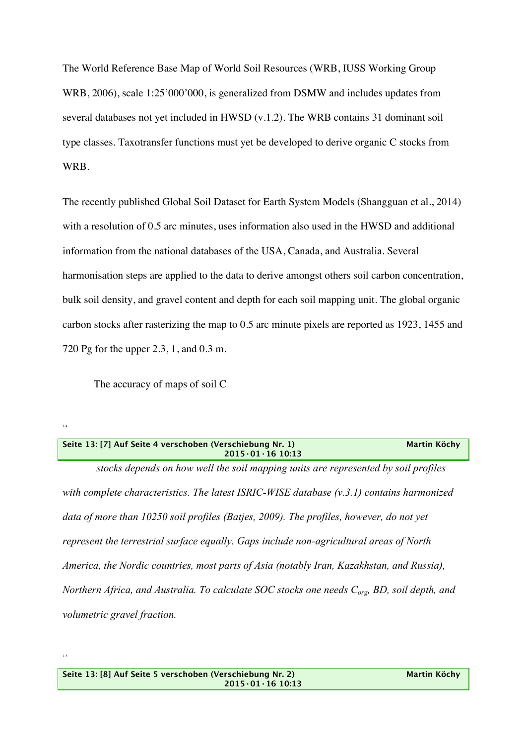The World Reference Base Map of World Soil Resources (WRB, IUSS Working Group WRB, 2006), scale 1:25'000'000, is generalized from DSMW and includes updates from several databases not yet included in HWSD (v.1.2). The WRB contains 31 dominant soil type classes. Taxotransfer functions must yet be developed to derive organic C stocks from WRB.

The recently published Global Soil Dataset for Earth System Models (Shangguan et al., 2014) with a resolution of 0.5 arc minutes, uses information also used in the HWSD and additional information from the national databases of the USA, Canada, and Australia. Several harmonisation steps are applied to the data to derive amongst others soil carbon concentration, bulk soil density, and gravel content and depth for each soil mapping unit. The global organic carbon stocks after rasterizing the map to 0.5 arc minute pixels are reported as 1923, 1455 and 720 Pg for the upper 2.3, 1, and 0.3 m.

The accuracy of maps of soil C

| Seite 13: [7] Auf Seite 4 verschoben (Verschiebung Nr. 1) | Martin Köchv |
|-----------------------------------------------------------|--------------|
| $2015 \cdot 01 \cdot 16$ 10:13                            |              |

*stocks depends on how well the soil mapping units are represented by soil profiles with complete characteristics. The latest ISRIC-WISE database (v.3.1) contains harmonized data of more than 10250 soil profiles (Batjes, 2009). The profiles, however, do not yet represent the terrestrial surface equally. Gaps include non-agricultural areas of North America, the Nordic countries, most parts of Asia (notably Iran, Kazakhstan, and Russia), Northern Africa, and Australia. To calculate SOC stocks one needs Corg, BD, soil depth, and volumetric gravel fraction.* 

1.4.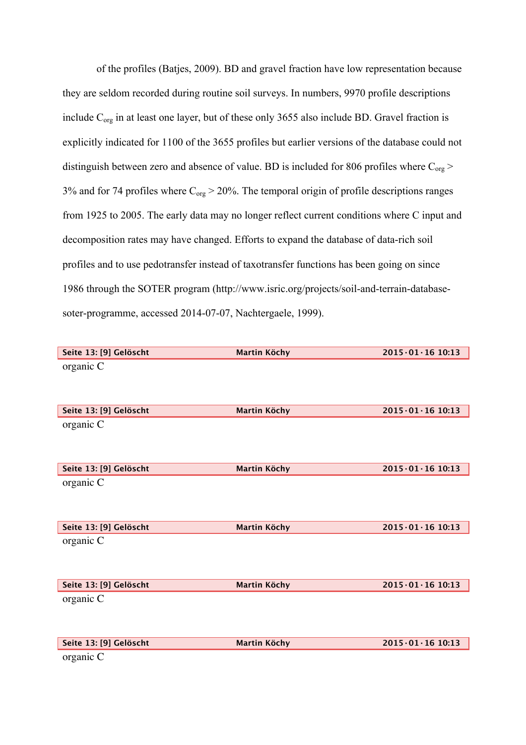of the profiles (Batjes, 2009). BD and gravel fraction have low representation because they are seldom recorded during routine soil surveys. In numbers, 9970 profile descriptions include C<sub>org</sub> in at least one layer, but of these only 3655 also include BD. Gravel fraction is explicitly indicated for 1100 of the 3655 profiles but earlier versions of the database could not distinguish between zero and absence of value. BD is included for 806 profiles where  $C_{org}$  > 3% and for 74 profiles where  $C_{org} > 20$ %. The temporal origin of profile descriptions ranges from 1925 to 2005. The early data may no longer reflect current conditions where C input and decomposition rates may have changed. Efforts to expand the database of data-rich soil profiles and to use pedotransfer instead of taxotransfer functions has been going on since 1986 through the SOTER program (http://www.isric.org/projects/soil-and-terrain-databasesoter-programme, accessed 2014-07-07, Nachtergaele, 1999).

| Seite 13: [9] Gelöscht | <b>Martin Köchy</b> | $2015 \cdot 01 \cdot 16$ 10:13 |
|------------------------|---------------------|--------------------------------|
| organic C              |                     |                                |
|                        |                     |                                |
|                        |                     |                                |
|                        |                     |                                |
| Seite 13: [9] Gelöscht | <b>Martin Köchy</b> | $2015 \cdot 01 \cdot 16$ 10:13 |
| organic C              |                     |                                |
|                        |                     |                                |
|                        |                     |                                |
| Seite 13: [9] Gelöscht | <b>Martin Köchy</b> | $2015 \cdot 01 \cdot 16$ 10:13 |
| organic C              |                     |                                |
|                        |                     |                                |
|                        |                     |                                |
| Seite 13: [9] Gelöscht | <b>Martin Köchy</b> | $2015 \cdot 01 \cdot 16$ 10:13 |
|                        |                     |                                |
| organic C              |                     |                                |
|                        |                     |                                |
|                        |                     |                                |
| Seite 13: [9] Gelöscht | <b>Martin Köchy</b> | $2015.01.16$ 10:13             |
| organic C              |                     |                                |
|                        |                     |                                |
|                        |                     |                                |
| Seite 13: [9] Gelöscht | <b>Martin Köchy</b> | $2015 \cdot 01 \cdot 16$ 10:13 |
| organic C              |                     |                                |